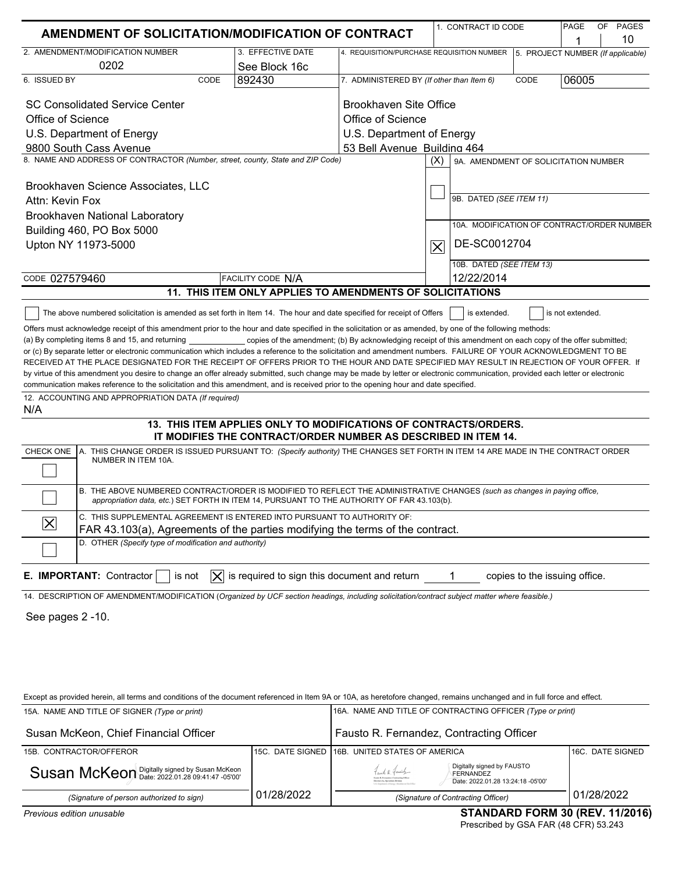| AMENDMENT OF SOLICITATION/MODIFICATION OF CONTRACT                                                                                                                                                                                                                                                                                                                                                                                                                                                                                                                                                                                                                                                                                                                                                                                                                                                                                                                                                                                                                                                                                                                                                                                                                                                                                                                                                      |                                                                                                                                                                                                                                                    |                                                            | 1. CONTRACT ID CODE                         |                               | PAGE             | OF PAGES<br>10                    |
|---------------------------------------------------------------------------------------------------------------------------------------------------------------------------------------------------------------------------------------------------------------------------------------------------------------------------------------------------------------------------------------------------------------------------------------------------------------------------------------------------------------------------------------------------------------------------------------------------------------------------------------------------------------------------------------------------------------------------------------------------------------------------------------------------------------------------------------------------------------------------------------------------------------------------------------------------------------------------------------------------------------------------------------------------------------------------------------------------------------------------------------------------------------------------------------------------------------------------------------------------------------------------------------------------------------------------------------------------------------------------------------------------------|----------------------------------------------------------------------------------------------------------------------------------------------------------------------------------------------------------------------------------------------------|------------------------------------------------------------|---------------------------------------------|-------------------------------|------------------|-----------------------------------|
| 2. AMENDMENT/MODIFICATION NUMBER                                                                                                                                                                                                                                                                                                                                                                                                                                                                                                                                                                                                                                                                                                                                                                                                                                                                                                                                                                                                                                                                                                                                                                                                                                                                                                                                                                        | 3. EFFECTIVE DATE                                                                                                                                                                                                                                  | 4. REQUISITION/PURCHASE REQUISITION NUMBER                 |                                             |                               |                  | 5. PROJECT NUMBER (If applicable) |
| 0202                                                                                                                                                                                                                                                                                                                                                                                                                                                                                                                                                                                                                                                                                                                                                                                                                                                                                                                                                                                                                                                                                                                                                                                                                                                                                                                                                                                                    | See Block 16c                                                                                                                                                                                                                                      |                                                            |                                             |                               |                  |                                   |
| 6. ISSUED BY<br>CODE                                                                                                                                                                                                                                                                                                                                                                                                                                                                                                                                                                                                                                                                                                                                                                                                                                                                                                                                                                                                                                                                                                                                                                                                                                                                                                                                                                                    | 892430                                                                                                                                                                                                                                             | 7. ADMINISTERED BY (If other than Item 6)                  |                                             | CODE                          | 06005            |                                   |
|                                                                                                                                                                                                                                                                                                                                                                                                                                                                                                                                                                                                                                                                                                                                                                                                                                                                                                                                                                                                                                                                                                                                                                                                                                                                                                                                                                                                         |                                                                                                                                                                                                                                                    |                                                            |                                             |                               |                  |                                   |
| <b>SC Consolidated Service Center</b>                                                                                                                                                                                                                                                                                                                                                                                                                                                                                                                                                                                                                                                                                                                                                                                                                                                                                                                                                                                                                                                                                                                                                                                                                                                                                                                                                                   |                                                                                                                                                                                                                                                    | Brookhaven Site Office                                     |                                             |                               |                  |                                   |
| <b>Office of Science</b>                                                                                                                                                                                                                                                                                                                                                                                                                                                                                                                                                                                                                                                                                                                                                                                                                                                                                                                                                                                                                                                                                                                                                                                                                                                                                                                                                                                |                                                                                                                                                                                                                                                    | Office of Science                                          |                                             |                               |                  |                                   |
| U.S. Department of Energy                                                                                                                                                                                                                                                                                                                                                                                                                                                                                                                                                                                                                                                                                                                                                                                                                                                                                                                                                                                                                                                                                                                                                                                                                                                                                                                                                                               |                                                                                                                                                                                                                                                    | U.S. Department of Energy                                  |                                             |                               |                  |                                   |
| 9800 South Cass Avenue                                                                                                                                                                                                                                                                                                                                                                                                                                                                                                                                                                                                                                                                                                                                                                                                                                                                                                                                                                                                                                                                                                                                                                                                                                                                                                                                                                                  |                                                                                                                                                                                                                                                    | 53 Bell Avenue Building 464                                |                                             |                               |                  |                                   |
| 8. NAME AND ADDRESS OF CONTRACTOR (Number, street, county, State and ZIP Code)                                                                                                                                                                                                                                                                                                                                                                                                                                                                                                                                                                                                                                                                                                                                                                                                                                                                                                                                                                                                                                                                                                                                                                                                                                                                                                                          |                                                                                                                                                                                                                                                    |                                                            | (X)<br>9A. AMENDMENT OF SOLICITATION NUMBER |                               |                  |                                   |
|                                                                                                                                                                                                                                                                                                                                                                                                                                                                                                                                                                                                                                                                                                                                                                                                                                                                                                                                                                                                                                                                                                                                                                                                                                                                                                                                                                                                         |                                                                                                                                                                                                                                                    |                                                            |                                             |                               |                  |                                   |
| Brookhaven Science Associates, LLC                                                                                                                                                                                                                                                                                                                                                                                                                                                                                                                                                                                                                                                                                                                                                                                                                                                                                                                                                                                                                                                                                                                                                                                                                                                                                                                                                                      |                                                                                                                                                                                                                                                    |                                                            |                                             |                               |                  |                                   |
| Attn: Kevin Fox                                                                                                                                                                                                                                                                                                                                                                                                                                                                                                                                                                                                                                                                                                                                                                                                                                                                                                                                                                                                                                                                                                                                                                                                                                                                                                                                                                                         |                                                                                                                                                                                                                                                    |                                                            | 9B. DATED (SEE ITEM 11)                     |                               |                  |                                   |
| Brookhaven National Laboratory                                                                                                                                                                                                                                                                                                                                                                                                                                                                                                                                                                                                                                                                                                                                                                                                                                                                                                                                                                                                                                                                                                                                                                                                                                                                                                                                                                          |                                                                                                                                                                                                                                                    |                                                            |                                             |                               |                  |                                   |
| Building 460, PO Box 5000                                                                                                                                                                                                                                                                                                                                                                                                                                                                                                                                                                                                                                                                                                                                                                                                                                                                                                                                                                                                                                                                                                                                                                                                                                                                                                                                                                               |                                                                                                                                                                                                                                                    |                                                            | 10A. MODIFICATION OF CONTRACT/ORDER NUMBER  |                               |                  |                                   |
| Upton NY 11973-5000                                                                                                                                                                                                                                                                                                                                                                                                                                                                                                                                                                                                                                                                                                                                                                                                                                                                                                                                                                                                                                                                                                                                                                                                                                                                                                                                                                                     |                                                                                                                                                                                                                                                    |                                                            | DE-SC0012704<br>$\overline{\times}$         |                               |                  |                                   |
|                                                                                                                                                                                                                                                                                                                                                                                                                                                                                                                                                                                                                                                                                                                                                                                                                                                                                                                                                                                                                                                                                                                                                                                                                                                                                                                                                                                                         |                                                                                                                                                                                                                                                    |                                                            | 10B. DATED (SEE ITEM 13)                    |                               |                  |                                   |
| CODE 027579460                                                                                                                                                                                                                                                                                                                                                                                                                                                                                                                                                                                                                                                                                                                                                                                                                                                                                                                                                                                                                                                                                                                                                                                                                                                                                                                                                                                          | <b>FACILITY CODE N/A</b>                                                                                                                                                                                                                           |                                                            | 12/22/2014                                  |                               |                  |                                   |
|                                                                                                                                                                                                                                                                                                                                                                                                                                                                                                                                                                                                                                                                                                                                                                                                                                                                                                                                                                                                                                                                                                                                                                                                                                                                                                                                                                                                         | 11. THIS ITEM ONLY APPLIES TO AMENDMENTS OF SOLICITATIONS                                                                                                                                                                                          |                                                            |                                             |                               |                  |                                   |
|                                                                                                                                                                                                                                                                                                                                                                                                                                                                                                                                                                                                                                                                                                                                                                                                                                                                                                                                                                                                                                                                                                                                                                                                                                                                                                                                                                                                         |                                                                                                                                                                                                                                                    |                                                            |                                             |                               |                  |                                   |
| The above numbered solicitation is amended as set forth in Item 14. The hour and date specified for receipt of Offers                                                                                                                                                                                                                                                                                                                                                                                                                                                                                                                                                                                                                                                                                                                                                                                                                                                                                                                                                                                                                                                                                                                                                                                                                                                                                   |                                                                                                                                                                                                                                                    |                                                            | is extended.                                |                               | is not extended. |                                   |
| (a) By completing items 8 and 15, and returning<br>or (c) By separate letter or electronic communication which includes a reference to the solicitation and amendment numbers. FAILURE OF YOUR ACKNOWLEDGMENT TO BE<br>RECEIVED AT THE PLACE DESIGNATED FOR THE RECEIPT OF OFFERS PRIOR TO THE HOUR AND DATE SPECIFIED MAY RESULT IN REJECTION OF YOUR OFFER. If<br>by virtue of this amendment you desire to change an offer already submitted, such change may be made by letter or electronic communication, provided each letter or electronic<br>communication makes reference to the solicitation and this amendment, and is received prior to the opening hour and date specified.<br>12. ACCOUNTING AND APPROPRIATION DATA (If required)<br>N/A<br>A. THIS CHANGE ORDER IS ISSUED PURSUANT TO: (Specify authority) THE CHANGES SET FORTH IN ITEM 14 ARE MADE IN THE CONTRACT ORDER<br>CHECK ONE<br>NUMBER IN ITEM 10A.<br>B. THE ABOVE NUMBERED CONTRACT/ORDER IS MODIFIED TO REFLECT THE ADMINISTRATIVE CHANGES (such as changes in paying office,<br>appropriation data, etc.) SET FORTH IN ITEM 14, PURSUANT TO THE AUTHORITY OF FAR 43.103(b).<br>C. THIS SUPPLEMENTAL AGREEMENT IS ENTERED INTO PURSUANT TO AUTHORITY OF:<br>$\overline{\times}$<br>FAR 43.103(a), Agreements of the parties modifying the terms of the contract.<br>D. OTHER (Specify type of modification and authority) | copies of the amendment; (b) By acknowledging receipt of this amendment on each copy of the offer submitted;<br>13. THIS ITEM APPLIES ONLY TO MODIFICATIONS OF CONTRACTS/ORDERS.<br>IT MODIFIES THE CONTRACT/ORDER NUMBER AS DESCRIBED IN ITEM 14. |                                                            |                                             |                               |                  |                                   |
|                                                                                                                                                                                                                                                                                                                                                                                                                                                                                                                                                                                                                                                                                                                                                                                                                                                                                                                                                                                                                                                                                                                                                                                                                                                                                                                                                                                                         |                                                                                                                                                                                                                                                    |                                                            |                                             |                               |                  |                                   |
| E. IMPORTANT: Contractor<br>is not<br>IXI                                                                                                                                                                                                                                                                                                                                                                                                                                                                                                                                                                                                                                                                                                                                                                                                                                                                                                                                                                                                                                                                                                                                                                                                                                                                                                                                                               | is required to sign this document and return                                                                                                                                                                                                       |                                                            |                                             | copies to the issuing office. |                  |                                   |
| 14. DESCRIPTION OF AMENDMENT/MODIFICATION (Organized by UCF section headings, including solicitation/contract subject matter where feasible.)                                                                                                                                                                                                                                                                                                                                                                                                                                                                                                                                                                                                                                                                                                                                                                                                                                                                                                                                                                                                                                                                                                                                                                                                                                                           |                                                                                                                                                                                                                                                    |                                                            |                                             |                               |                  |                                   |
| See pages 2 -10.                                                                                                                                                                                                                                                                                                                                                                                                                                                                                                                                                                                                                                                                                                                                                                                                                                                                                                                                                                                                                                                                                                                                                                                                                                                                                                                                                                                        |                                                                                                                                                                                                                                                    |                                                            |                                             |                               |                  |                                   |
|                                                                                                                                                                                                                                                                                                                                                                                                                                                                                                                                                                                                                                                                                                                                                                                                                                                                                                                                                                                                                                                                                                                                                                                                                                                                                                                                                                                                         |                                                                                                                                                                                                                                                    |                                                            |                                             |                               |                  |                                   |
| Except as provided herein, all terms and conditions of the document referenced in Item 9A or 10A, as heretofore changed, remains unchanged and in full force and effect.<br>15A. NAME AND TITLE OF SIGNER (Type or print)                                                                                                                                                                                                                                                                                                                                                                                                                                                                                                                                                                                                                                                                                                                                                                                                                                                                                                                                                                                                                                                                                                                                                                               |                                                                                                                                                                                                                                                    | 16A. NAME AND TITLE OF CONTRACTING OFFICER (Type or print) |                                             |                               |                  |                                   |
| Susan McKeon, Chief Financial Officer                                                                                                                                                                                                                                                                                                                                                                                                                                                                                                                                                                                                                                                                                                                                                                                                                                                                                                                                                                                                                                                                                                                                                                                                                                                                                                                                                                   |                                                                                                                                                                                                                                                    | Fausto R. Fernandez, Contracting Officer                   |                                             |                               |                  |                                   |
|                                                                                                                                                                                                                                                                                                                                                                                                                                                                                                                                                                                                                                                                                                                                                                                                                                                                                                                                                                                                                                                                                                                                                                                                                                                                                                                                                                                                         |                                                                                                                                                                                                                                                    |                                                            |                                             |                               |                  |                                   |

| 15B. CONTRACTOR/OFFEROR                       |            | 15C. DATE SIGNED 116B. UNITED STATES OF AMERICA                                                                                                                                                                                          | 116C. DATE SIGNED |
|-----------------------------------------------|------------|------------------------------------------------------------------------------------------------------------------------------------------------------------------------------------------------------------------------------------------|-------------------|
| Susan McKeon Digitally signed by Susan McKeon |            | Digitally signed by FAUSTO<br>Faurt R. Fernant<br>FERNANDEZ<br>Fausta R. Fernandez   Contractine Officer<br>Date: 2022.01.28 13:24:18 -05'00'<br>Director (A), Onerations Division<br>U.S. Department of Energy   Brookhaven Site Office |                   |
| (Signature of person authorized to sign)      | 01/28/2022 | (Signature of Contracting Officer)                                                                                                                                                                                                       | 01/28/2022        |
| Previous edition unusable                     |            | <b>STANDARD FORM 30 (REV. 11/2016)</b>                                                                                                                                                                                                   |                   |

#### **STANDARD FORM 30 (REV. 11/2016)**

Prescribed by GSA FAR (48 CFR) 53.243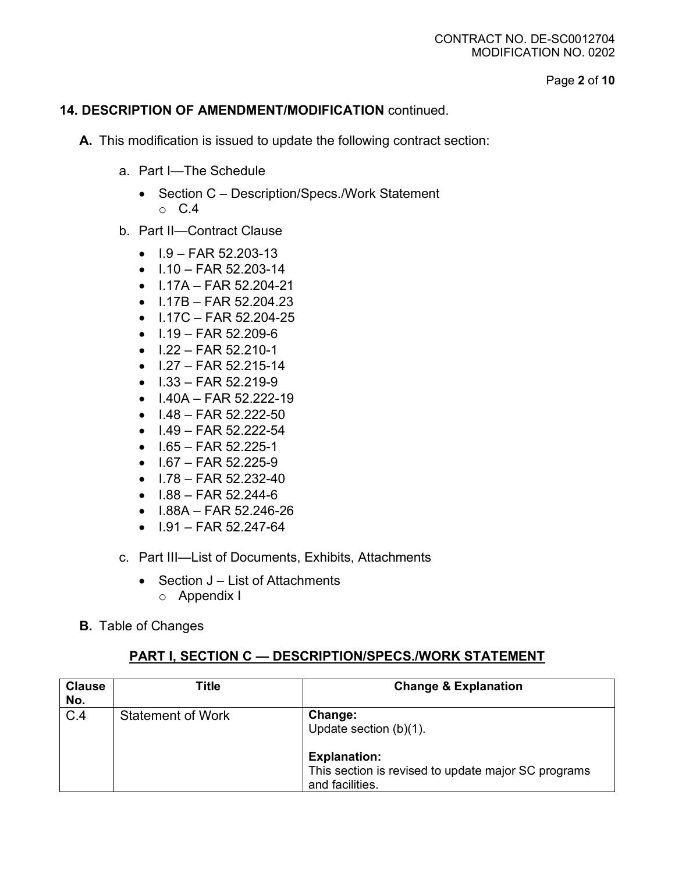Page **2** of **10**

#### **14. DESCRIPTION OF AMENDMENT/MODIFICATION** continued.

- **A.** This modification is issued to update the following contract section:
	- a. Part I—The Schedule
		- Section C Description/Specs./Work Statement o C.4
	- b. Part II—Contract Clause
		- $1.9 FAR 52.203 13$
		- $\bullet$  1.10 FAR 52.203-14
		- $\bullet$  1.17A FAR 52.204-21
		- $\bullet$  1.17B FAR 52.204.23
		- $\bullet$  1.17C FAR 52.204-25
		- $\bullet$  1.19 FAR 52.209-6
		- $\bullet$  1.22 FAR 52.210-1
		- $\bullet$  1.27 FAR 52.215-14
		- $\bullet$  1.33 FAR 52.219-9
		- $\bullet$  1.40A FAR 52.222-19
		- $\bullet$  1.48 FAR 52.222-50
		- $\bullet$  1.49 FAR 52.222-54
		- $\bullet$  1.65 FAR 52.225-1
		- $\bullet$  1.67 FAR 52.225-9
		- $\bullet$  1.78 FAR 52.232-40
		- $\bullet$  1.88 FAR 52.244-6
		- $\bullet$  1.88A FAR 52.246-26
		- $\bullet$  1.91 FAR 52.247-64
	- c. Part III—List of Documents, Exhibits, Attachments
		- Section J List of Attachments o Appendix I
- **B.** Table of Changes

#### **PART I, SECTION C — DESCRIPTION/SPECS./WORK STATEMENT**

| <b>Clause</b><br>No. | Title                    | <b>Change &amp; Explanation</b>                                                                                                       |
|----------------------|--------------------------|---------------------------------------------------------------------------------------------------------------------------------------|
| $\overline{C.4}$     | <b>Statement of Work</b> | Change:<br>Update section $(b)(1)$ .<br><b>Explanation:</b><br>This section is revised to update major SC programs<br>and facilities. |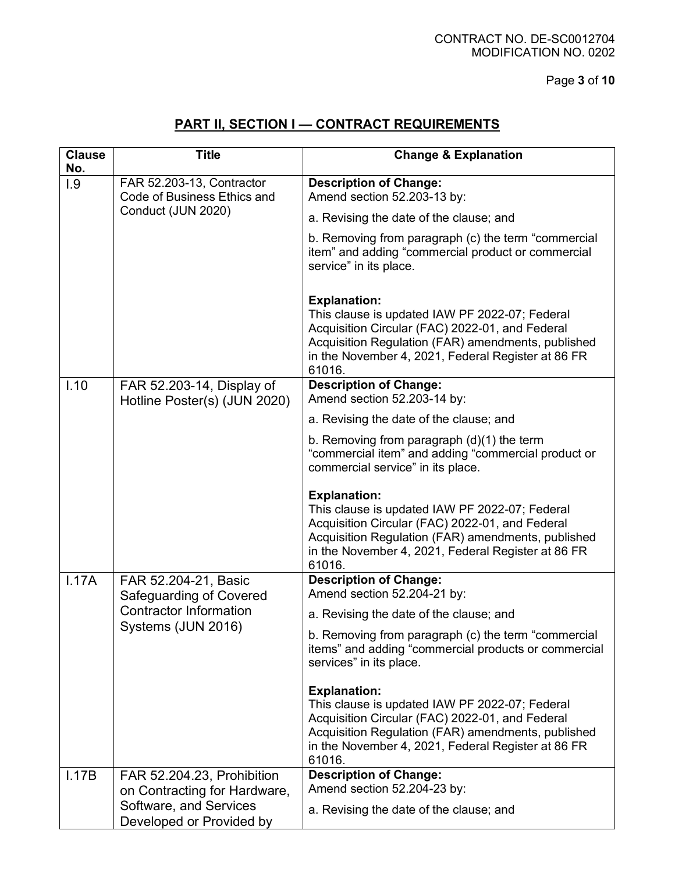Page **3** of **10**

# **PART II, SECTION I — CONTRACT REQUIREMENTS**

| <b>Clause</b><br>No. | <b>Title</b>                                                                       | <b>Change &amp; Explanation</b>                                                                                                                                                                                                                |
|----------------------|------------------------------------------------------------------------------------|------------------------------------------------------------------------------------------------------------------------------------------------------------------------------------------------------------------------------------------------|
| 1.9                  | FAR 52.203-13, Contractor<br>Code of Business Ethics and                           | <b>Description of Change:</b><br>Amend section 52.203-13 by:                                                                                                                                                                                   |
|                      | Conduct (JUN 2020)                                                                 | a. Revising the date of the clause; and                                                                                                                                                                                                        |
|                      |                                                                                    | b. Removing from paragraph (c) the term "commercial<br>item" and adding "commercial product or commercial<br>service" in its place.                                                                                                            |
|                      |                                                                                    | <b>Explanation:</b><br>This clause is updated IAW PF 2022-07; Federal<br>Acquisition Circular (FAC) 2022-01, and Federal<br>Acquisition Regulation (FAR) amendments, published<br>in the November 4, 2021, Federal Register at 86 FR<br>61016. |
| 1.10                 | FAR 52.203-14, Display of<br>Hotline Poster(s) (JUN 2020)                          | <b>Description of Change:</b><br>Amend section 52.203-14 by:                                                                                                                                                                                   |
|                      |                                                                                    | a. Revising the date of the clause; and                                                                                                                                                                                                        |
|                      |                                                                                    | b. Removing from paragraph $(d)(1)$ the term<br>"commercial item" and adding "commercial product or<br>commercial service" in its place.                                                                                                       |
|                      |                                                                                    | <b>Explanation:</b><br>This clause is updated IAW PF 2022-07; Federal<br>Acquisition Circular (FAC) 2022-01, and Federal<br>Acquisition Regulation (FAR) amendments, published<br>in the November 4, 2021, Federal Register at 86 FR<br>61016. |
| 1.17A                | FAR 52.204-21, Basic<br>Safeguarding of Covered                                    | <b>Description of Change:</b><br>Amend section 52.204-21 by:                                                                                                                                                                                   |
|                      | <b>Contractor Information</b>                                                      | a. Revising the date of the clause; and                                                                                                                                                                                                        |
|                      | Systems (JUN 2016)                                                                 | b. Removing from paragraph (c) the term "commercial<br>items" and adding "commercial products or commercial<br>services" in its place.                                                                                                         |
|                      |                                                                                    | <b>Explanation:</b><br>This clause is updated IAW PF 2022-07; Federal<br>Acquisition Circular (FAC) 2022-01, and Federal<br>Acquisition Regulation (FAR) amendments, published<br>in the November 4, 2021, Federal Register at 86 FR<br>61016. |
| 1.17B                | FAR 52.204.23, Prohibition                                                         | <b>Description of Change:</b><br>Amend section 52.204-23 by:                                                                                                                                                                                   |
|                      | on Contracting for Hardware,<br>Software, and Services<br>Developed or Provided by | a. Revising the date of the clause; and                                                                                                                                                                                                        |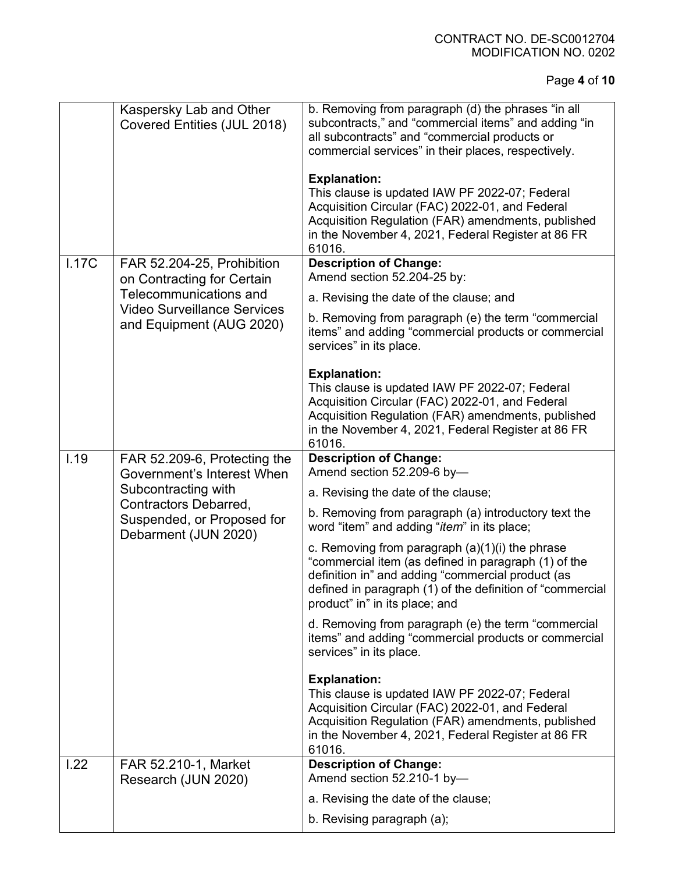Page **4** of **10**

|       | Kaspersky Lab and Other<br>Covered Entities (JUL 2018)                                                                                                           | b. Removing from paragraph (d) the phrases "in all<br>subcontracts," and "commercial items" and adding "in<br>all subcontracts" and "commercial products or<br>commercial services" in their places, respectively.<br><b>Explanation:</b><br>This clause is updated IAW PF 2022-07; Federal<br>Acquisition Circular (FAC) 2022-01, and Federal<br>Acquisition Regulation (FAR) amendments, published<br>in the November 4, 2021, Federal Register at 86 FR<br>61016.                                                                                                                                                                                                                                                                                                                                                                                                   |
|-------|------------------------------------------------------------------------------------------------------------------------------------------------------------------|------------------------------------------------------------------------------------------------------------------------------------------------------------------------------------------------------------------------------------------------------------------------------------------------------------------------------------------------------------------------------------------------------------------------------------------------------------------------------------------------------------------------------------------------------------------------------------------------------------------------------------------------------------------------------------------------------------------------------------------------------------------------------------------------------------------------------------------------------------------------|
| 1.17C | FAR 52.204-25, Prohibition<br>on Contracting for Certain<br>Telecommunications and<br><b>Video Surveillance Services</b><br>and Equipment (AUG 2020)             | <b>Description of Change:</b><br>Amend section 52.204-25 by:<br>a. Revising the date of the clause; and<br>b. Removing from paragraph (e) the term "commercial<br>items" and adding "commercial products or commercial<br>services" in its place.<br><b>Explanation:</b><br>This clause is updated IAW PF 2022-07; Federal<br>Acquisition Circular (FAC) 2022-01, and Federal<br>Acquisition Regulation (FAR) amendments, published<br>in the November 4, 2021, Federal Register at 86 FR<br>61016.                                                                                                                                                                                                                                                                                                                                                                    |
| 1.19  | FAR 52.209-6, Protecting the<br>Government's Interest When<br>Subcontracting with<br>Contractors Debarred,<br>Suspended, or Proposed for<br>Debarment (JUN 2020) | <b>Description of Change:</b><br>Amend section 52.209-6 by-<br>a. Revising the date of the clause;<br>b. Removing from paragraph (a) introductory text the<br>word "item" and adding "item" in its place;<br>c. Removing from paragraph $(a)(1)(i)$ the phrase<br>"commercial item (as defined in paragraph (1) of the<br>definition in" and adding "commercial product (as<br>defined in paragraph (1) of the definition of "commercial<br>product" in" in its place; and<br>d. Removing from paragraph (e) the term "commercial<br>items" and adding "commercial products or commercial<br>services" in its place.<br><b>Explanation:</b><br>This clause is updated IAW PF 2022-07; Federal<br>Acquisition Circular (FAC) 2022-01, and Federal<br>Acquisition Regulation (FAR) amendments, published<br>in the November 4, 2021, Federal Register at 86 FR<br>61016. |
| 1.22  | FAR 52.210-1, Market<br>Research (JUN 2020)                                                                                                                      | <b>Description of Change:</b><br>Amend section 52.210-1 by-<br>a. Revising the date of the clause;<br>b. Revising paragraph (a);                                                                                                                                                                                                                                                                                                                                                                                                                                                                                                                                                                                                                                                                                                                                       |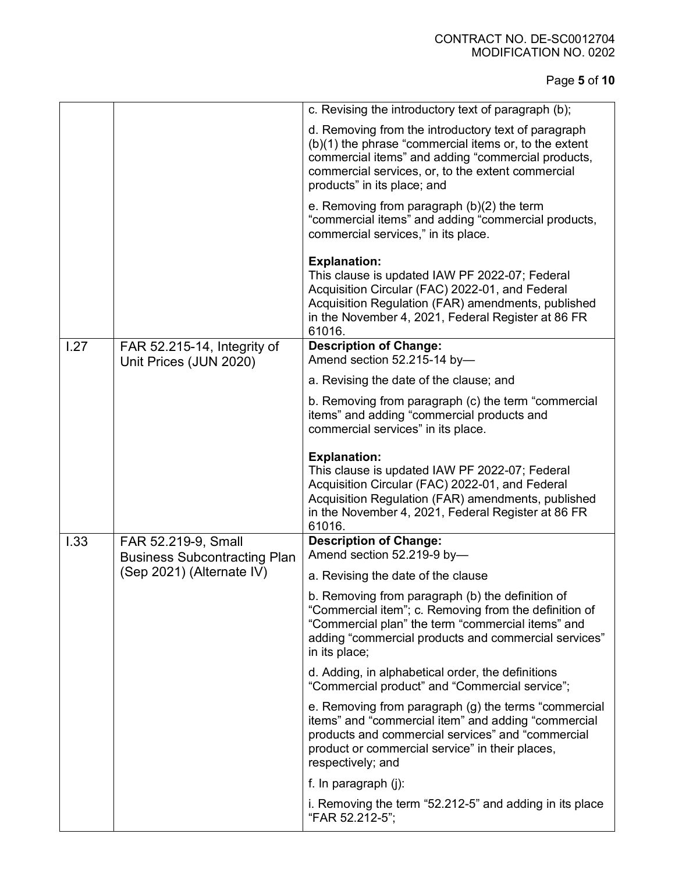|      |                                                            | c. Revising the introductory text of paragraph (b);                                                                                                                                                                                                      |
|------|------------------------------------------------------------|----------------------------------------------------------------------------------------------------------------------------------------------------------------------------------------------------------------------------------------------------------|
|      |                                                            | d. Removing from the introductory text of paragraph<br>$(b)(1)$ the phrase "commercial items or, to the extent<br>commercial items" and adding "commercial products,<br>commercial services, or, to the extent commercial<br>products" in its place; and |
|      |                                                            | e. Removing from paragraph $(b)(2)$ the term<br>"commercial items" and adding "commercial products,<br>commercial services," in its place.                                                                                                               |
|      |                                                            | <b>Explanation:</b><br>This clause is updated IAW PF 2022-07; Federal<br>Acquisition Circular (FAC) 2022-01, and Federal<br>Acquisition Regulation (FAR) amendments, published<br>in the November 4, 2021, Federal Register at 86 FR<br>61016.           |
| 1.27 | FAR 52.215-14, Integrity of<br>Unit Prices (JUN 2020)      | <b>Description of Change:</b><br>Amend section 52.215-14 by-                                                                                                                                                                                             |
|      |                                                            | a. Revising the date of the clause; and                                                                                                                                                                                                                  |
|      |                                                            | b. Removing from paragraph (c) the term "commercial<br>items" and adding "commercial products and<br>commercial services" in its place.                                                                                                                  |
|      |                                                            | <b>Explanation:</b><br>This clause is updated IAW PF 2022-07; Federal<br>Acquisition Circular (FAC) 2022-01, and Federal<br>Acquisition Regulation (FAR) amendments, published<br>in the November 4, 2021, Federal Register at 86 FR<br>61016.           |
| 1.33 | FAR 52.219-9, Small<br><b>Business Subcontracting Plan</b> | <b>Description of Change:</b><br>Amend section 52.219-9 by-                                                                                                                                                                                              |
|      | (Sep 2021) (Alternate IV)                                  | a. Revising the date of the clause                                                                                                                                                                                                                       |
|      |                                                            | b. Removing from paragraph (b) the definition of<br>"Commercial item"; c. Removing from the definition of<br>"Commercial plan" the term "commercial items" and<br>adding "commercial products and commercial services"<br>in its place;                  |
|      |                                                            | d. Adding, in alphabetical order, the definitions<br>"Commercial product" and "Commercial service";                                                                                                                                                      |
|      |                                                            | e. Removing from paragraph (g) the terms "commercial<br>items" and "commercial item" and adding "commercial<br>products and commercial services" and "commercial<br>product or commercial service" in their places,<br>respectively; and                 |
|      |                                                            | f. In paragraph (j):                                                                                                                                                                                                                                     |
|      |                                                            | i. Removing the term "52.212-5" and adding in its place<br>"FAR 52.212-5";                                                                                                                                                                               |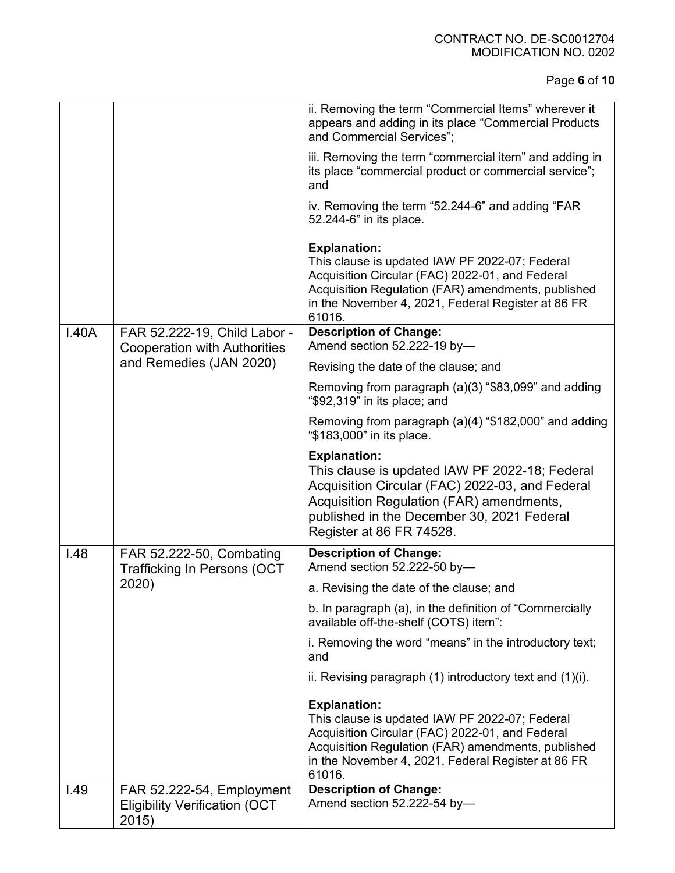|       |                                                                            | ii. Removing the term "Commercial Items" wherever it                                                                                                                                                                                           |
|-------|----------------------------------------------------------------------------|------------------------------------------------------------------------------------------------------------------------------------------------------------------------------------------------------------------------------------------------|
|       |                                                                            | appears and adding in its place "Commercial Products<br>and Commercial Services";                                                                                                                                                              |
|       |                                                                            | iii. Removing the term "commercial item" and adding in<br>its place "commercial product or commercial service";<br>and                                                                                                                         |
|       |                                                                            | iv. Removing the term "52.244-6" and adding "FAR<br>52.244-6" in its place.                                                                                                                                                                    |
|       |                                                                            | <b>Explanation:</b><br>This clause is updated IAW PF 2022-07; Federal<br>Acquisition Circular (FAC) 2022-01, and Federal<br>Acquisition Regulation (FAR) amendments, published<br>in the November 4, 2021, Federal Register at 86 FR<br>61016. |
| 1.40A | FAR 52.222-19, Child Labor -<br><b>Cooperation with Authorities</b>        | <b>Description of Change:</b><br>Amend section 52.222-19 by-                                                                                                                                                                                   |
|       | and Remedies (JAN 2020)                                                    | Revising the date of the clause; and                                                                                                                                                                                                           |
|       |                                                                            | Removing from paragraph $(a)(3)$ "\$83,099" and adding<br>"\$92,319" in its place; and                                                                                                                                                         |
|       |                                                                            | Removing from paragraph $(a)(4)$ "\$182,000" and adding<br>"\$183,000" in its place.                                                                                                                                                           |
|       |                                                                            | <b>Explanation:</b><br>This clause is updated IAW PF 2022-18; Federal<br>Acquisition Circular (FAC) 2022-03, and Federal<br>Acquisition Regulation (FAR) amendments,<br>published in the December 30, 2021 Federal<br>Register at 86 FR 74528. |
| 1.48  | FAR 52.222-50, Combating<br><b>Trafficking In Persons (OCT</b>             | <b>Description of Change:</b><br>Amend section 52.222-50 by-                                                                                                                                                                                   |
|       | 2020)                                                                      | a. Revising the date of the clause; and                                                                                                                                                                                                        |
|       |                                                                            | b. In paragraph (a), in the definition of "Commercially<br>available off-the-shelf (COTS) item":                                                                                                                                               |
|       |                                                                            | i. Removing the word "means" in the introductory text;<br>and                                                                                                                                                                                  |
|       |                                                                            | ii. Revising paragraph $(1)$ introductory text and $(1)(i)$ .                                                                                                                                                                                  |
|       |                                                                            | <b>Explanation:</b><br>This clause is updated IAW PF 2022-07; Federal<br>Acquisition Circular (FAC) 2022-01, and Federal<br>Acquisition Regulation (FAR) amendments, published<br>in the November 4, 2021, Federal Register at 86 FR<br>61016. |
| 1.49  | FAR 52.222-54, Employment<br><b>Eligibility Verification (OCT</b><br>2015) | <b>Description of Change:</b><br>Amend section 52.222-54 by-                                                                                                                                                                                   |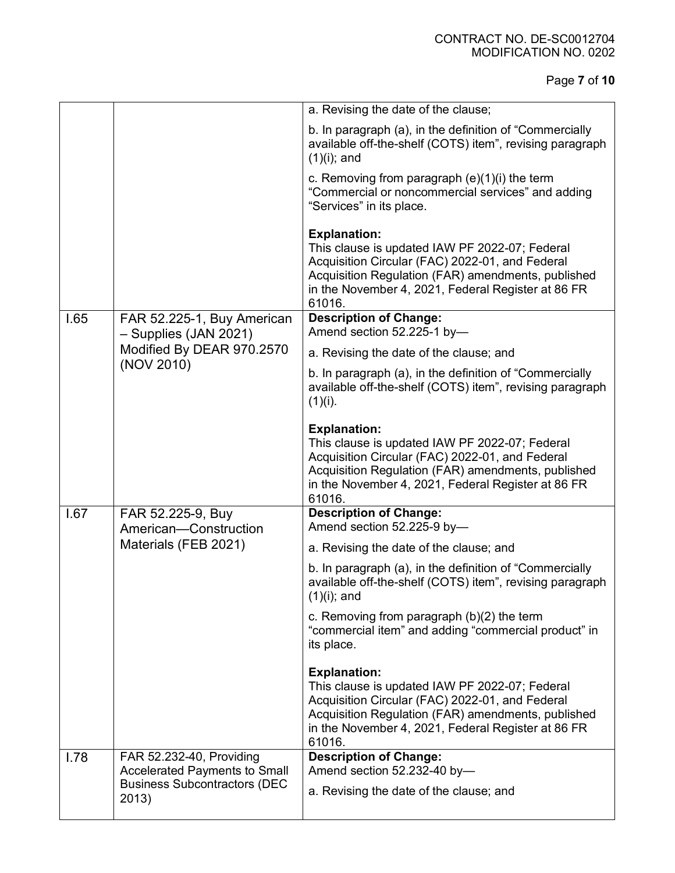Page **7** of **10**

|      |                                                           | a. Revising the date of the clause;                                                                                                                                                                                                            |
|------|-----------------------------------------------------------|------------------------------------------------------------------------------------------------------------------------------------------------------------------------------------------------------------------------------------------------|
|      |                                                           | b. In paragraph (a), in the definition of "Commercially<br>available off-the-shelf (COTS) item", revising paragraph<br>$(1)(i)$ ; and                                                                                                          |
|      |                                                           | c. Removing from paragraph $(e)(1)(i)$ the term<br>"Commercial or noncommercial services" and adding<br>"Services" in its place.                                                                                                               |
|      |                                                           | <b>Explanation:</b><br>This clause is updated IAW PF 2022-07; Federal<br>Acquisition Circular (FAC) 2022-01, and Federal<br>Acquisition Regulation (FAR) amendments, published<br>in the November 4, 2021, Federal Register at 86 FR<br>61016. |
| 1.65 | FAR 52.225-1, Buy American<br>- Supplies (JAN 2021)       | <b>Description of Change:</b><br>Amend section 52.225-1 by-                                                                                                                                                                                    |
|      | Modified By DEAR 970.2570                                 | a. Revising the date of the clause; and                                                                                                                                                                                                        |
|      | (NOV 2010)                                                | b. In paragraph (a), in the definition of "Commercially<br>available off-the-shelf (COTS) item", revising paragraph<br>$(1)(i)$ .                                                                                                              |
|      |                                                           | <b>Explanation:</b><br>This clause is updated IAW PF 2022-07; Federal<br>Acquisition Circular (FAC) 2022-01, and Federal<br>Acquisition Regulation (FAR) amendments, published<br>in the November 4, 2021, Federal Register at 86 FR<br>61016. |
| 1.67 | FAR 52.225-9, Buy<br>American-Construction                | <b>Description of Change:</b><br>Amend section 52.225-9 by-                                                                                                                                                                                    |
|      | Materials (FEB 2021)                                      | a. Revising the date of the clause; and                                                                                                                                                                                                        |
|      |                                                           | b. In paragraph (a), in the definition of "Commercially<br>available off-the-shelf (COTS) item", revising paragraph<br>$(1)(i)$ ; and                                                                                                          |
|      |                                                           | c. Removing from paragraph $(b)(2)$ the term<br>"commercial item" and adding "commercial product" in<br>its place.                                                                                                                             |
|      |                                                           | <b>Explanation:</b><br>This clause is updated IAW PF 2022-07; Federal<br>Acquisition Circular (FAC) 2022-01, and Federal<br>Acquisition Regulation (FAR) amendments, published<br>in the November 4, 2021, Federal Register at 86 FR<br>61016. |
| 1.78 | FAR 52.232-40, Providing<br>Accelerated Payments to Small | <b>Description of Change:</b><br>Amend section 52.232-40 by-                                                                                                                                                                                   |
|      | <b>Business Subcontractors (DEC</b><br>2013)              | a. Revising the date of the clause; and                                                                                                                                                                                                        |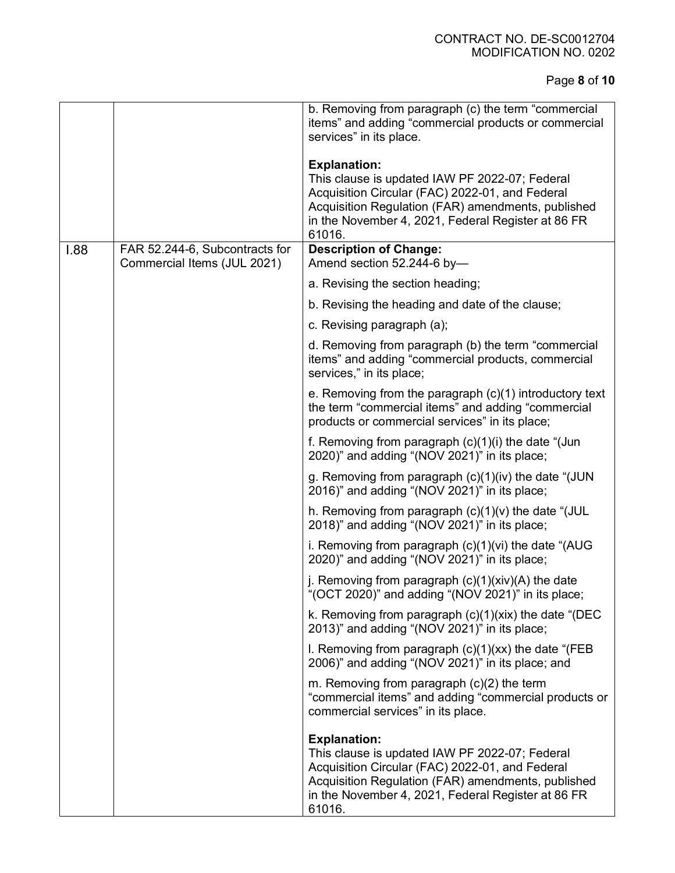|      |                                                               | b. Removing from paragraph (c) the term "commercial<br>items" and adding "commercial products or commercial<br>services" in its place.                                                                                                         |
|------|---------------------------------------------------------------|------------------------------------------------------------------------------------------------------------------------------------------------------------------------------------------------------------------------------------------------|
|      |                                                               | <b>Explanation:</b>                                                                                                                                                                                                                            |
|      |                                                               | This clause is updated IAW PF 2022-07; Federal<br>Acquisition Circular (FAC) 2022-01, and Federal<br>Acquisition Regulation (FAR) amendments, published<br>in the November 4, 2021, Federal Register at 86 FR<br>61016.                        |
| 1.88 | FAR 52.244-6, Subcontracts for<br>Commercial Items (JUL 2021) | <b>Description of Change:</b><br>Amend section 52.244-6 by-                                                                                                                                                                                    |
|      |                                                               | a. Revising the section heading;                                                                                                                                                                                                               |
|      |                                                               | b. Revising the heading and date of the clause;                                                                                                                                                                                                |
|      |                                                               | c. Revising paragraph (a);                                                                                                                                                                                                                     |
|      |                                                               | d. Removing from paragraph (b) the term "commercial<br>items" and adding "commercial products, commercial<br>services," in its place;                                                                                                          |
|      |                                                               | e. Removing from the paragraph $(c)(1)$ introductory text<br>the term "commercial items" and adding "commercial<br>products or commercial services" in its place;                                                                              |
|      |                                                               | f. Removing from paragraph $(c)(1)(i)$ the date "(Jun<br>2020)" and adding "(NOV 2021)" in its place;                                                                                                                                          |
|      |                                                               | g. Removing from paragraph $(c)(1)(iv)$ the date "(JUN<br>2016)" and adding "(NOV 2021)" in its place;                                                                                                                                         |
|      |                                                               | h. Removing from paragraph $(c)(1)(v)$ the date "(JUL<br>2018)" and adding "(NOV 2021)" in its place;                                                                                                                                          |
|      |                                                               | i. Removing from paragraph $(c)(1)(vi)$ the date "(AUG<br>2020)" and adding "(NOV 2021)" in its place;                                                                                                                                         |
|      |                                                               | j. Removing from paragraph $(c)(1)(xiv)(A)$ the date<br>"(OCT 2020)" and adding "(NOV 2021)" in its place;                                                                                                                                     |
|      |                                                               | k. Removing from paragraph $(c)(1)(\text{six})$ the date "(DEC<br>2013)" and adding "(NOV 2021)" in its place;                                                                                                                                 |
|      |                                                               | I. Removing from paragraph $(c)(1)(xx)$ the date "(FEB<br>2006)" and adding "(NOV 2021)" in its place; and                                                                                                                                     |
|      |                                                               | m. Removing from paragraph $(c)(2)$ the term<br>"commercial items" and adding "commercial products or<br>commercial services" in its place.                                                                                                    |
|      |                                                               | <b>Explanation:</b><br>This clause is updated IAW PF 2022-07; Federal<br>Acquisition Circular (FAC) 2022-01, and Federal<br>Acquisition Regulation (FAR) amendments, published<br>in the November 4, 2021, Federal Register at 86 FR<br>61016. |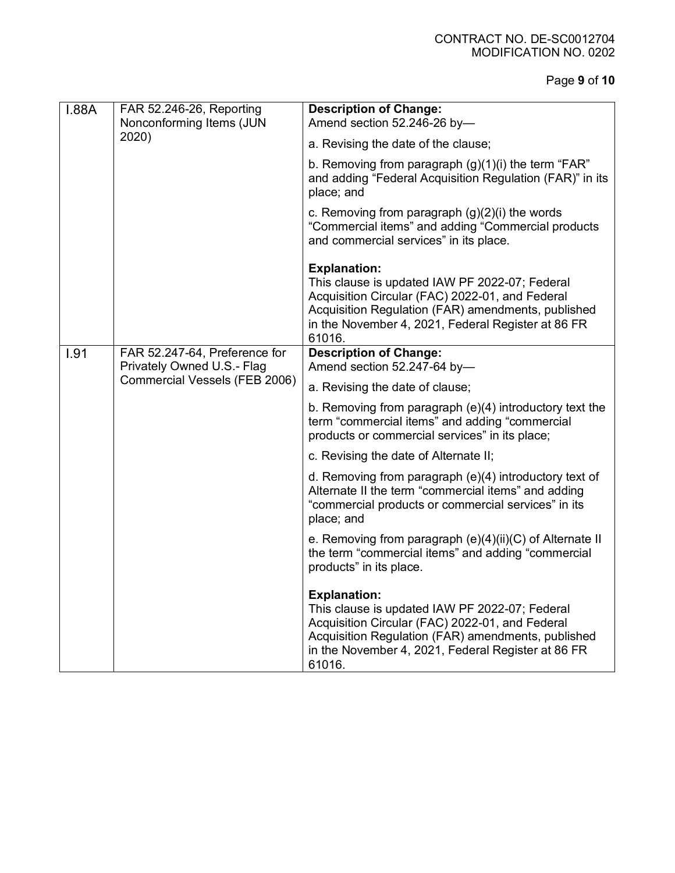Page **9** of **10**

| <b>I.88A</b>                              | FAR 52.246-26, Reporting<br>Nonconforming Items (JUN | <b>Description of Change:</b><br>Amend section 52.246-26 by-                                                                                                                                                                                   |
|-------------------------------------------|------------------------------------------------------|------------------------------------------------------------------------------------------------------------------------------------------------------------------------------------------------------------------------------------------------|
|                                           | 2020)                                                | a. Revising the date of the clause;                                                                                                                                                                                                            |
|                                           |                                                      | b. Removing from paragraph $(g)(1)(i)$ the term "FAR"<br>and adding "Federal Acquisition Regulation (FAR)" in its<br>place; and                                                                                                                |
|                                           |                                                      | c. Removing from paragraph $(g)(2)(i)$ the words<br>"Commercial items" and adding "Commercial products<br>and commercial services" in its place.                                                                                               |
|                                           |                                                      | <b>Explanation:</b><br>This clause is updated IAW PF 2022-07; Federal<br>Acquisition Circular (FAC) 2022-01, and Federal<br>Acquisition Regulation (FAR) amendments, published<br>in the November 4, 2021, Federal Register at 86 FR<br>61016. |
| <b>1.91</b><br>Privately Owned U.S.- Flag | FAR 52.247-64, Preference for                        | <b>Description of Change:</b><br>Amend section 52.247-64 by-                                                                                                                                                                                   |
|                                           | Commercial Vessels (FEB 2006)                        | a. Revising the date of clause;                                                                                                                                                                                                                |
|                                           |                                                      | b. Removing from paragraph $(e)(4)$ introductory text the<br>term "commercial items" and adding "commercial<br>products or commercial services" in its place;                                                                                  |
|                                           |                                                      | c. Revising the date of Alternate II;                                                                                                                                                                                                          |
|                                           |                                                      | d. Removing from paragraph $(e)(4)$ introductory text of<br>Alternate II the term "commercial items" and adding<br>"commercial products or commercial services" in its<br>place; and                                                           |
|                                           |                                                      | e. Removing from paragraph (e)(4)(ii)(C) of Alternate II<br>the term "commercial items" and adding "commercial<br>products" in its place.                                                                                                      |
|                                           |                                                      | <b>Explanation:</b><br>This clause is updated IAW PF 2022-07; Federal<br>Acquisition Circular (FAC) 2022-01, and Federal<br>Acquisition Regulation (FAR) amendments, published<br>in the November 4, 2021, Federal Register at 86 FR<br>61016. |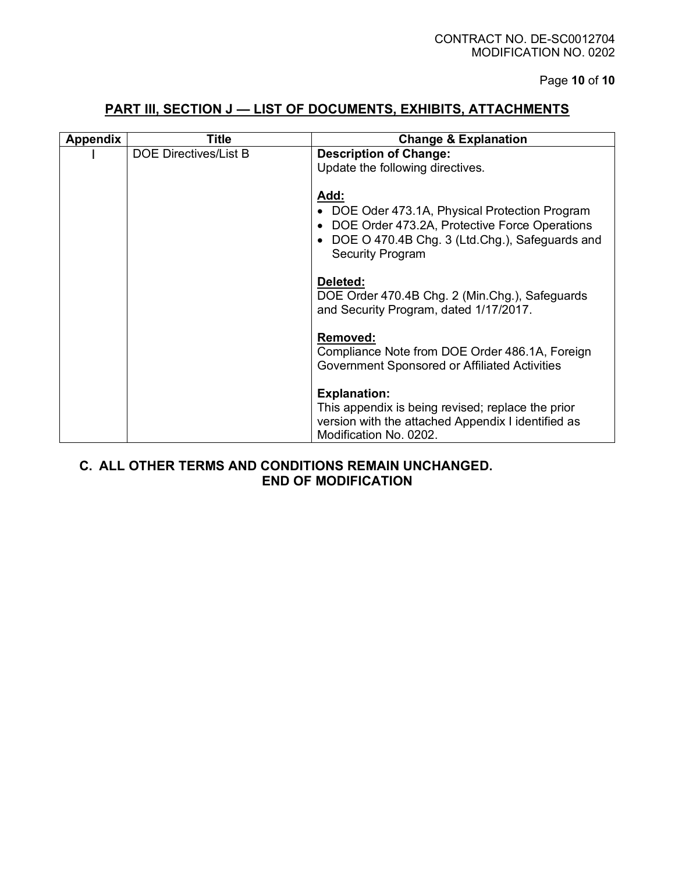### **PART III, SECTION J — LIST OF DOCUMENTS, EXHIBITS, ATTACHMENTS**

| <b>Appendix</b> | Title                        | <b>Change &amp; Explanation</b>                                                                                                                                                      |
|-----------------|------------------------------|--------------------------------------------------------------------------------------------------------------------------------------------------------------------------------------|
|                 | <b>DOE Directives/List B</b> | <b>Description of Change:</b><br>Update the following directives.                                                                                                                    |
|                 |                              | Add:<br>• DOE Oder 473.1A, Physical Protection Program<br>DOE Order 473.2A, Protective Force Operations<br>DOE O 470.4B Chg. 3 (Ltd.Chg.), Safeguards and<br><b>Security Program</b> |
|                 |                              | Deleted:<br>DOE Order 470.4B Chg. 2 (Min.Chg.), Safeguards<br>and Security Program, dated 1/17/2017.                                                                                 |
|                 |                              | <b>Removed:</b><br>Compliance Note from DOE Order 486.1A, Foreign<br>Government Sponsored or Affiliated Activities                                                                   |
|                 |                              | <b>Explanation:</b><br>This appendix is being revised; replace the prior<br>version with the attached Appendix I identified as<br>Modification No. 0202.                             |

# **C. ALL OTHER TERMS AND CONDITIONS REMAIN UNCHANGED. END OF MODIFICATION**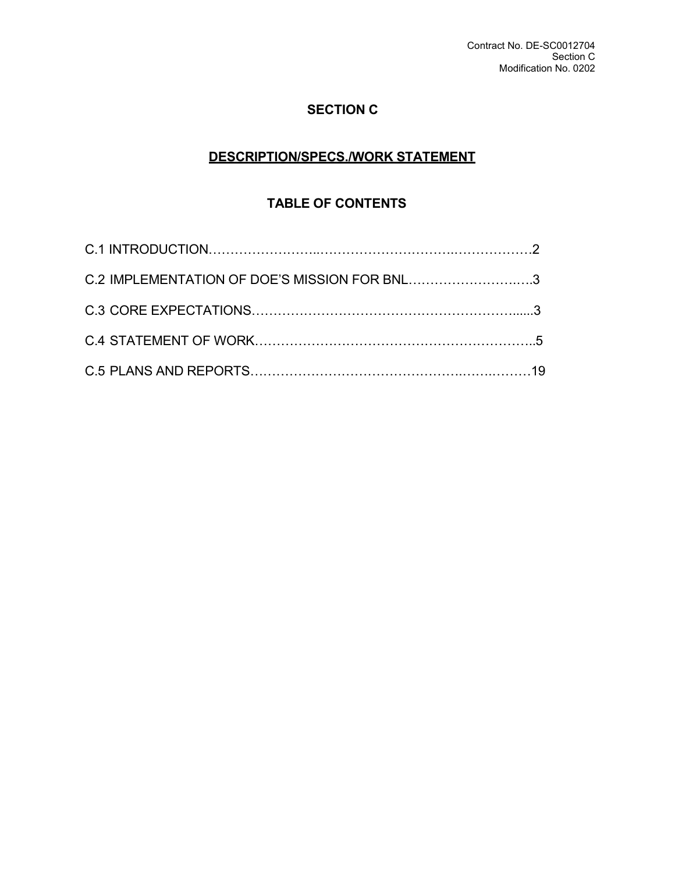# **SECTION C**

# **DESCRIPTION/SPECS./WORK STATEMENT**

# **TABLE OF CONTENTS**

| C.2 IMPLEMENTATION OF DOE'S MISSION FOR BNL3 |  |
|----------------------------------------------|--|
|                                              |  |
|                                              |  |
|                                              |  |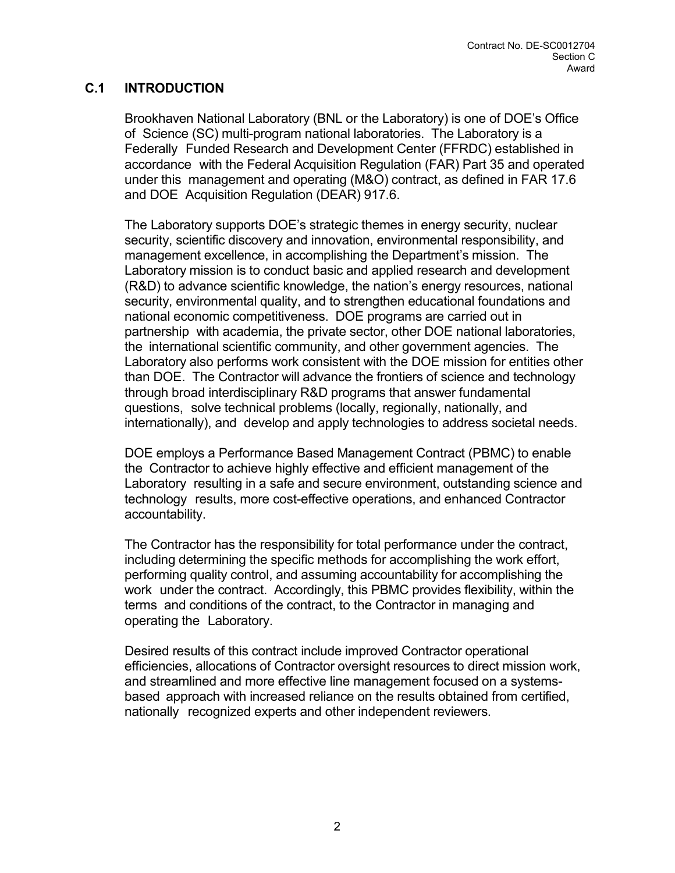# **C.1 INTRODUCTION**

Brookhaven National Laboratory (BNL or the Laboratory) is one of DOE's Office of Science (SC) multi-program national laboratories. The Laboratory is a Federally Funded Research and Development Center (FFRDC) established in accordance with the Federal Acquisition Regulation (FAR) Part 35 and operated under this management and operating (M&O) contract, as defined in FAR 17.6 and DOE Acquisition Regulation (DEAR) 917.6.

The Laboratory supports DOE's strategic themes in energy security, nuclear security, scientific discovery and innovation, environmental responsibility, and management excellence, in accomplishing the Department's mission. The Laboratory mission is to conduct basic and applied research and development (R&D) to advance scientific knowledge, the nation's energy resources, national security, environmental quality, and to strengthen educational foundations and national economic competitiveness. DOE programs are carried out in partnership with academia, the private sector, other DOE national laboratories, the international scientific community, and other government agencies. The Laboratory also performs work consistent with the DOE mission for entities other than DOE. The Contractor will advance the frontiers of science and technology through broad interdisciplinary R&D programs that answer fundamental questions, solve technical problems (locally, regionally, nationally, and internationally), and develop and apply technologies to address societal needs.

DOE employs a Performance Based Management Contract (PBMC) to enable the Contractor to achieve highly effective and efficient management of the Laboratory resulting in a safe and secure environment, outstanding science and technology results, more cost-effective operations, and enhanced Contractor accountability.

The Contractor has the responsibility for total performance under the contract, including determining the specific methods for accomplishing the work effort, performing quality control, and assuming accountability for accomplishing the work under the contract. Accordingly, this PBMC provides flexibility, within the terms and conditions of the contract, to the Contractor in managing and operating the Laboratory.

Desired results of this contract include improved Contractor operational efficiencies, allocations of Contractor oversight resources to direct mission work, and streamlined and more effective line management focused on a systemsbased approach with increased reliance on the results obtained from certified, nationally recognized experts and other independent reviewers.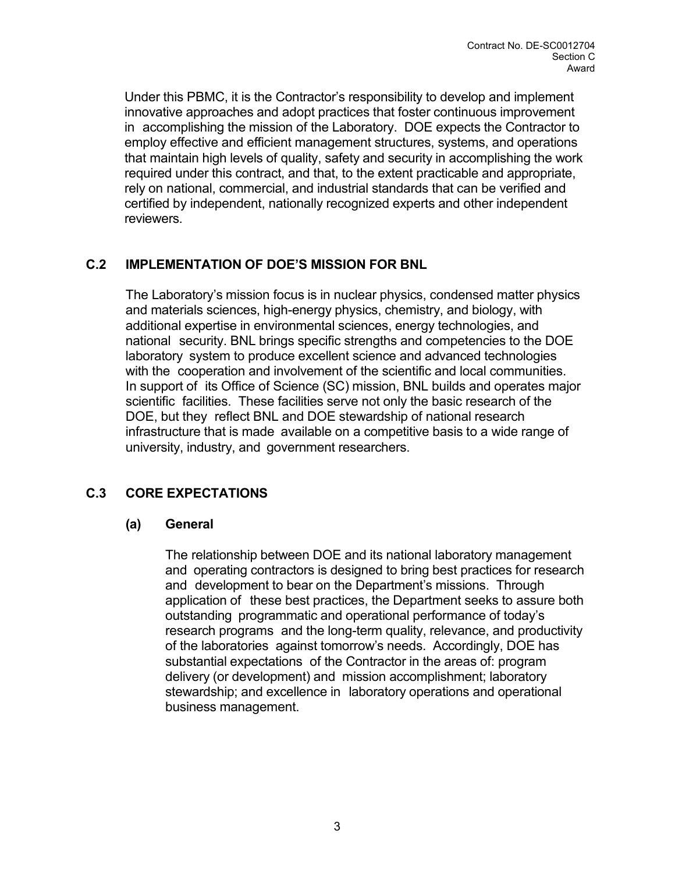Under this PBMC, it is the Contractor's responsibility to develop and implement innovative approaches and adopt practices that foster continuous improvement in accomplishing the mission of the Laboratory. DOE expects the Contractor to employ effective and efficient management structures, systems, and operations that maintain high levels of quality, safety and security in accomplishing the work required under this contract, and that, to the extent practicable and appropriate, rely on national, commercial, and industrial standards that can be verified and certified by independent, nationally recognized experts and other independent reviewers.

# **C.2 IMPLEMENTATION OF DOE'S MISSION FOR BNL**

The Laboratory's mission focus is in nuclear physics, condensed matter physics and materials sciences, high-energy physics, chemistry, and biology, with additional expertise in environmental sciences, energy technologies, and national security. BNL brings specific strengths and competencies to the DOE laboratory system to produce excellent science and advanced technologies with the cooperation and involvement of the scientific and local communities. In support of its Office of Science (SC) mission, BNL builds and operates major scientific facilities. These facilities serve not only the basic research of the DOE, but they reflect BNL and DOE stewardship of national research infrastructure that is made available on a competitive basis to a wide range of university, industry, and government researchers.

# **C.3 CORE EXPECTATIONS**

#### **(a) General**

The relationship between DOE and its national laboratory management and operating contractors is designed to bring best practices for research and development to bear on the Department's missions. Through application of these best practices, the Department seeks to assure both outstanding programmatic and operational performance of today's research programs and the long-term quality, relevance, and productivity of the laboratories against tomorrow's needs. Accordingly, DOE has substantial expectations of the Contractor in the areas of: program delivery (or development) and mission accomplishment; laboratory stewardship; and excellence in laboratory operations and operational business management.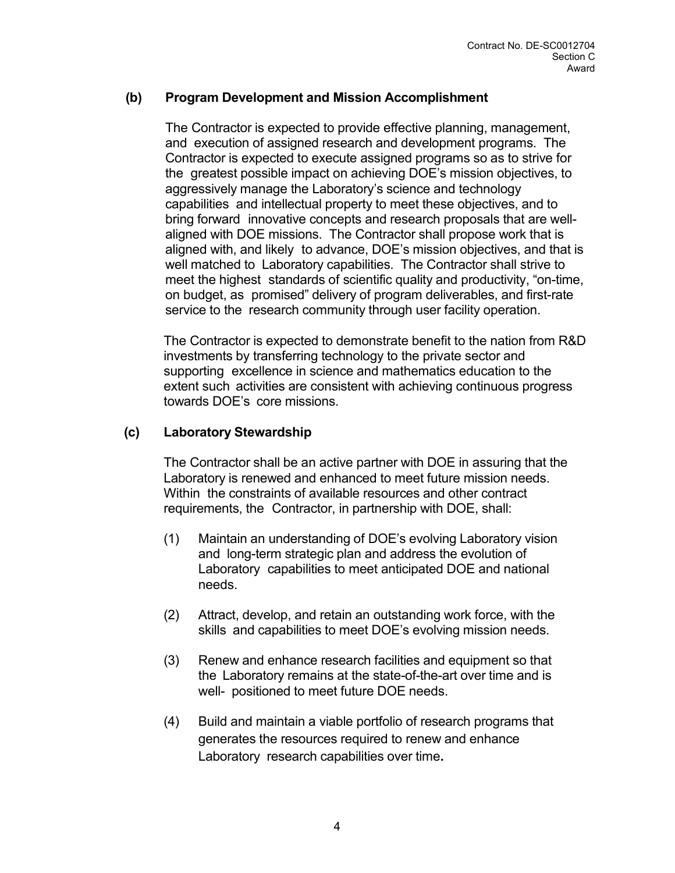#### **(b) Program Development and Mission Accomplishment**

The Contractor is expected to provide effective planning, management, and execution of assigned research and development programs. The Contractor is expected to execute assigned programs so as to strive for the greatest possible impact on achieving DOE's mission objectives, to aggressively manage the Laboratory's science and technology capabilities and intellectual property to meet these objectives, and to bring forward innovative concepts and research proposals that are wellaligned with DOE missions. The Contractor shall propose work that is aligned with, and likely to advance, DOE's mission objectives, and that is well matched to Laboratory capabilities. The Contractor shall strive to meet the highest standards of scientific quality and productivity, "on-time, on budget, as promised" delivery of program deliverables, and first-rate service to the research community through user facility operation.

The Contractor is expected to demonstrate benefit to the nation from R&D investments by transferring technology to the private sector and supporting excellence in science and mathematics education to the extent such activities are consistent with achieving continuous progress towards DOE's core missions.

# **(c) Laboratory Stewardship**

The Contractor shall be an active partner with DOE in assuring that the Laboratory is renewed and enhanced to meet future mission needs. Within the constraints of available resources and other contract requirements, the Contractor, in partnership with DOE, shall:

- (1) Maintain an understanding of DOE's evolving Laboratory vision and long-term strategic plan and address the evolution of Laboratory capabilities to meet anticipated DOE and national needs.
- (2) Attract, develop, and retain an outstanding work force, with the skills and capabilities to meet DOE's evolving mission needs.
- (3) Renew and enhance research facilities and equipment so that the Laboratory remains at the state-of-the-art over time and is well- positioned to meet future DOE needs.
- (4) Build and maintain a viable portfolio of research programs that generates the resources required to renew and enhance Laboratory research capabilities over time**.**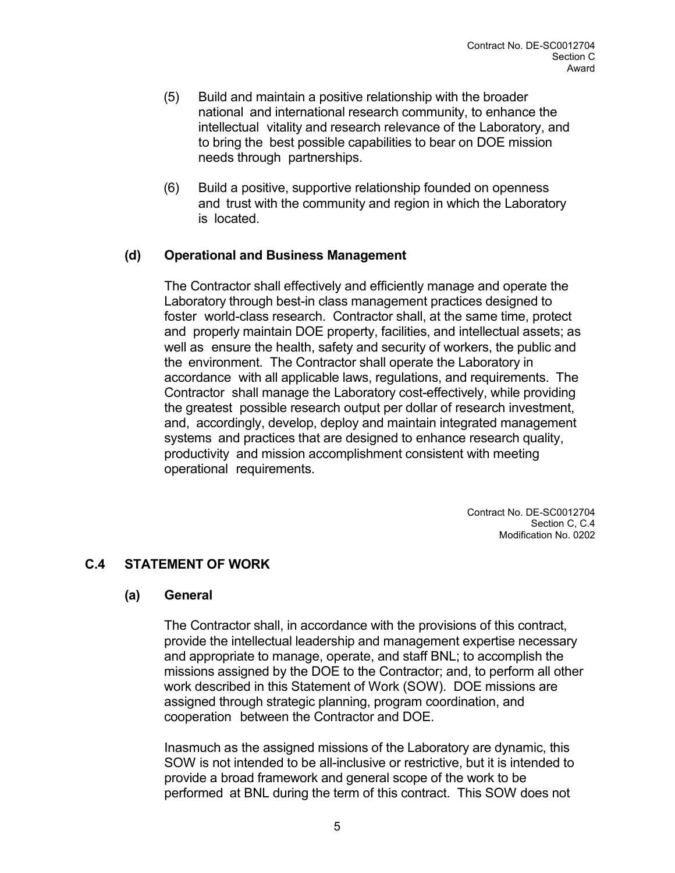- (5) Build and maintain a positive relationship with the broader national and international research community, to enhance the intellectual vitality and research relevance of the Laboratory, and to bring the best possible capabilities to bear on DOE mission needs through partnerships.
- (6) Build a positive, supportive relationship founded on openness and trust with the community and region in which the Laboratory is located.

### **(d) Operational and Business Management**

The Contractor shall effectively and efficiently manage and operate the Laboratory through best-in class management practices designed to foster world-class research. Contractor shall, at the same time, protect and properly maintain DOE property, facilities, and intellectual assets; as well as ensure the health, safety and security of workers, the public and the environment. The Contractor shall operate the Laboratory in accordance with all applicable laws, regulations, and requirements. The Contractor shall manage the Laboratory cost-effectively, while providing the greatest possible research output per dollar of research investment, and, accordingly, develop, deploy and maintain integrated management systems and practices that are designed to enhance research quality, productivity and mission accomplishment consistent with meeting operational requirements.

> Contract No. DE-SC0012704 Section C, C.4 Modification No. 0202

#### **C.4 STATEMENT OF WORK**

#### **(a) General**

The Contractor shall, in accordance with the provisions of this contract, provide the intellectual leadership and management expertise necessary and appropriate to manage, operate, and staff BNL; to accomplish the missions assigned by the DOE to the Contractor; and, to perform all other work described in this Statement of Work (SOW). DOE missions are assigned through strategic planning, program coordination, and cooperation between the Contractor and DOE.

Inasmuch as the assigned missions of the Laboratory are dynamic, this SOW is not intended to be all-inclusive or restrictive, but it is intended to provide a broad framework and general scope of the work to be performed at BNL during the term of this contract. This SOW does not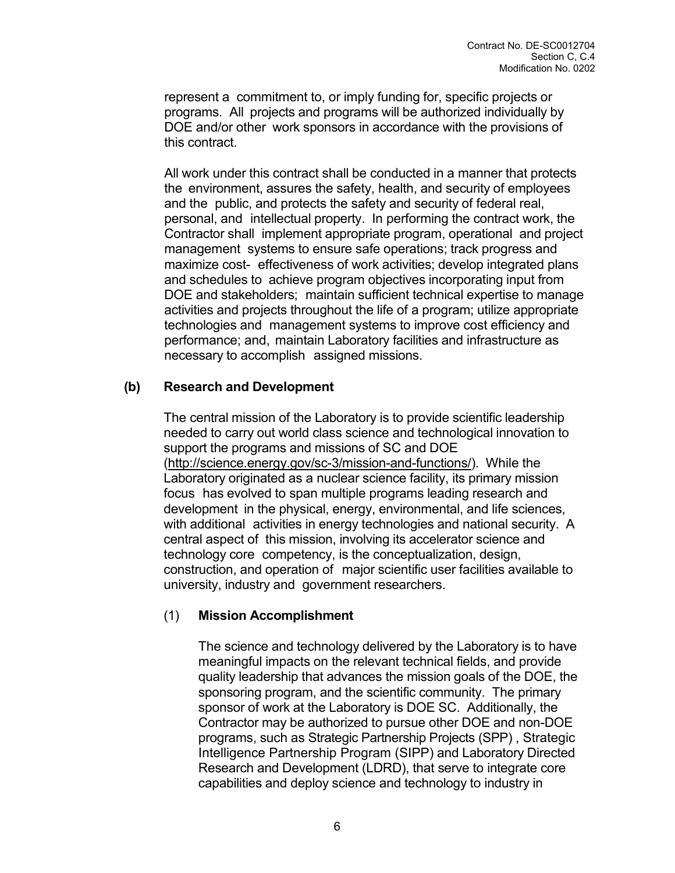represent a commitment to, or imply funding for, specific projects or programs. All projects and programs will be authorized individually by DOE and/or other work sponsors in accordance with the provisions of this contract.

All work under this contract shall be conducted in a manner that protects the environment, assures the safety, health, and security of employees and the public, and protects the safety and security of federal real, personal, and intellectual property. In performing the contract work, the Contractor shall implement appropriate program, operational and project management systems to ensure safe operations; track progress and maximize cost- effectiveness of work activities; develop integrated plans and schedules to achieve program objectives incorporating input from DOE and stakeholders; maintain sufficient technical expertise to manage activities and projects throughout the life of a program; utilize appropriate technologies and management systems to improve cost efficiency and performance; and, maintain Laboratory facilities and infrastructure as necessary to accomplish assigned missions.

### **(b) Research and Development**

The central mission of the Laboratory is to provide scientific leadership needed to carry out world class science and technological innovation to support the programs and missions of SC and DOE [\(http://science.energy.gov/sc-3/mission-and-functions/\)](http://science.energy.gov/sc-3/mission-and-functions/). While the Laboratory originated as a nuclear science facility, its primary mission focus has evolved to span multiple programs leading research and development in the physical, energy, environmental, and life sciences, with additional activities in energy technologies and national security. A central aspect of this mission, involving its accelerator science and technology core competency, is the conceptualization, design, construction, and operation of major scientific user facilities available to university, industry and government researchers.

#### (1) **Mission Accomplishment**

The science and technology delivered by the Laboratory is to have meaningful impacts on the relevant technical fields, and provide quality leadership that advances the mission goals of the DOE, the sponsoring program, and the scientific community. The primary sponsor of work at the Laboratory is DOE SC. Additionally, the Contractor may be authorized to pursue other DOE and non-DOE programs, such as Strategic Partnership Projects (SPP) , Strategic Intelligence Partnership Program (SIPP) and Laboratory Directed Research and Development (LDRD), that serve to integrate core capabilities and deploy science and technology to industry in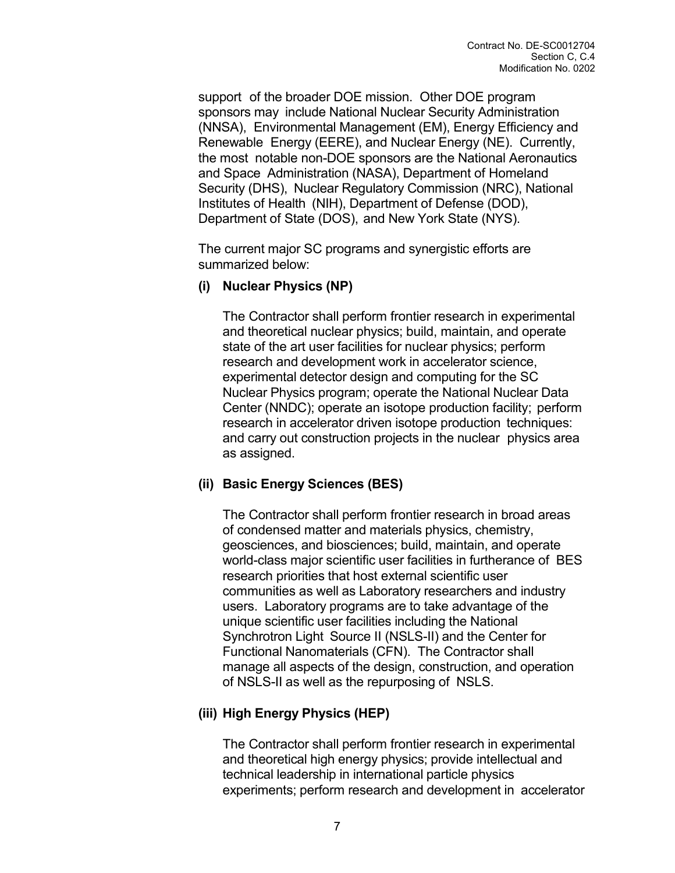support of the broader DOE mission. Other DOE program sponsors may include National Nuclear Security Administration (NNSA), Environmental Management (EM), Energy Efficiency and Renewable Energy (EERE), and Nuclear Energy (NE). Currently, the most notable non-DOE sponsors are the National Aeronautics and Space Administration (NASA), Department of Homeland Security (DHS), Nuclear Regulatory Commission (NRC), National Institutes of Health (NIH), Department of Defense (DOD), Department of State (DOS), and New York State (NYS).

The current major SC programs and synergistic efforts are summarized below:

#### **(i) Nuclear Physics (NP)**

The Contractor shall perform frontier research in experimental and theoretical nuclear physics; build, maintain, and operate state of the art user facilities for nuclear physics; perform research and development work in accelerator science, experimental detector design and computing for the SC Nuclear Physics program; operate the National Nuclear Data Center (NNDC); operate an isotope production facility; perform research in accelerator driven isotope production techniques: and carry out construction projects in the nuclear physics area as assigned.

# **(ii) Basic Energy Sciences (BES)**

The Contractor shall perform frontier research in broad areas of condensed matter and materials physics, chemistry, geosciences, and biosciences; build, maintain, and operate world-class major scientific user facilities in furtherance of BES research priorities that host external scientific user communities as well as Laboratory researchers and industry users. Laboratory programs are to take advantage of the unique scientific user facilities including the National Synchrotron Light Source II (NSLS-II) and the Center for Functional Nanomaterials (CFN). The Contractor shall manage all aspects of the design, construction, and operation of NSLS-II as well as the repurposing of NSLS.

# **(iii) High Energy Physics (HEP)**

The Contractor shall perform frontier research in experimental and theoretical high energy physics; provide intellectual and technical leadership in international particle physics experiments; perform research and development in accelerator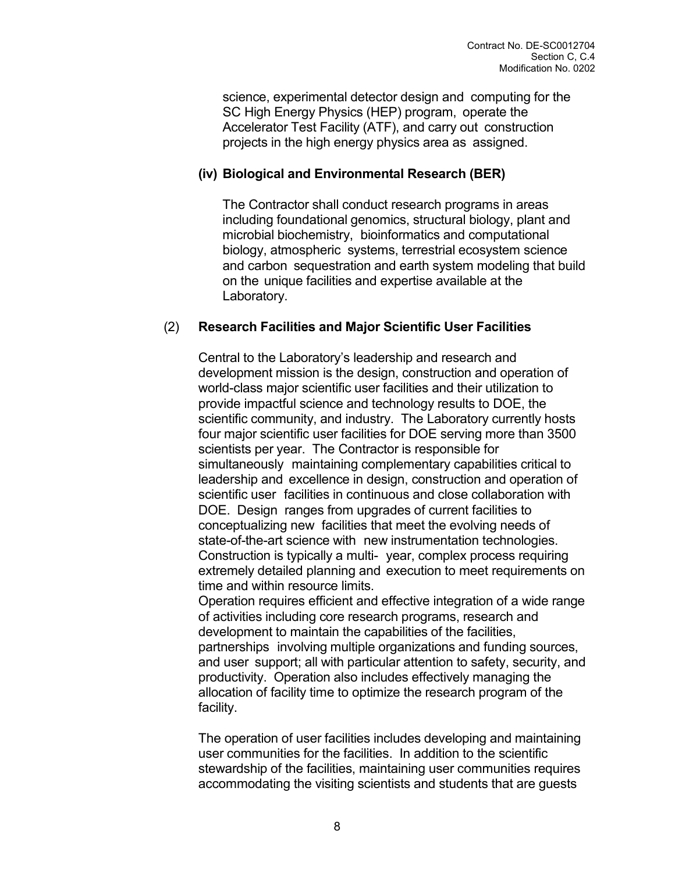science, experimental detector design and computing for the SC High Energy Physics (HEP) program, operate the Accelerator Test Facility (ATF), and carry out construction projects in the high energy physics area as assigned.

#### **(iv) Biological and Environmental Research (BER)**

The Contractor shall conduct research programs in areas including foundational genomics, structural biology, plant and microbial biochemistry, bioinformatics and computational biology, atmospheric systems, terrestrial ecosystem science and carbon sequestration and earth system modeling that build on the unique facilities and expertise available at the Laboratory.

#### (2) **Research Facilities and Major Scientific User Facilities**

Central to the Laboratory's leadership and research and development mission is the design, construction and operation of world-class major scientific user facilities and their utilization to provide impactful science and technology results to DOE, the scientific community, and industry. The Laboratory currently hosts four major scientific user facilities for DOE serving more than 3500 scientists per year. The Contractor is responsible for simultaneously maintaining complementary capabilities critical to leadership and excellence in design, construction and operation of scientific user facilities in continuous and close collaboration with DOE. Design ranges from upgrades of current facilities to conceptualizing new facilities that meet the evolving needs of state-of-the-art science with new instrumentation technologies. Construction is typically a multi- year, complex process requiring extremely detailed planning and execution to meet requirements on time and within resource limits.

Operation requires efficient and effective integration of a wide range of activities including core research programs, research and development to maintain the capabilities of the facilities, partnerships involving multiple organizations and funding sources, and user support; all with particular attention to safety, security, and productivity. Operation also includes effectively managing the allocation of facility time to optimize the research program of the facility.

The operation of user facilities includes developing and maintaining user communities for the facilities. In addition to the scientific stewardship of the facilities, maintaining user communities requires accommodating the visiting scientists and students that are guests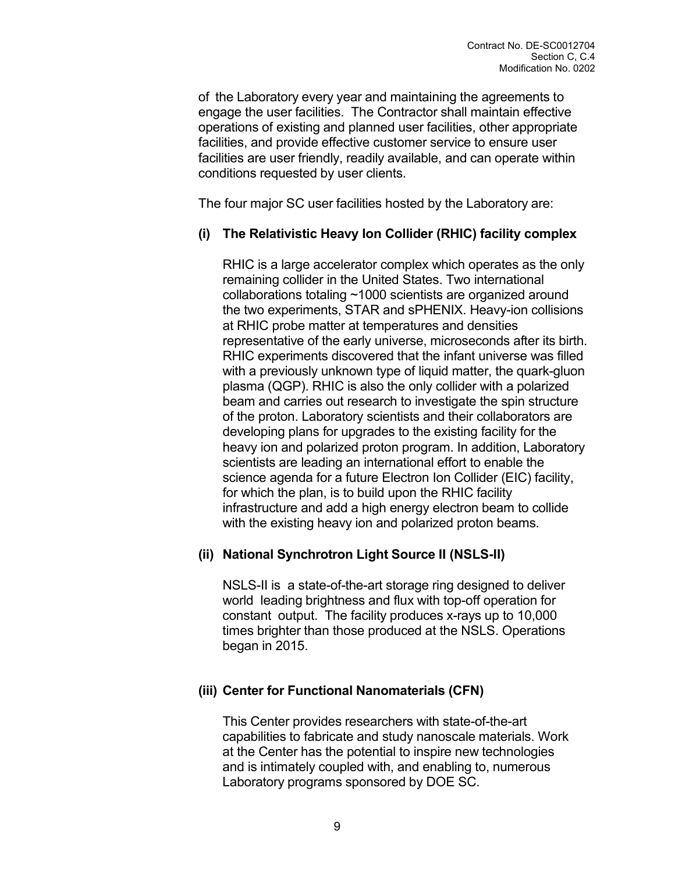of the Laboratory every year and maintaining the agreements to engage the user facilities. The Contractor shall maintain effective operations of existing and planned user facilities, other appropriate facilities, and provide effective customer service to ensure user facilities are user friendly, readily available, and can operate within conditions requested by user clients.

The four major SC user facilities hosted by the Laboratory are:

### **(i) The Relativistic Heavy Ion Collider (RHIC) facility complex**

RHIC is a large accelerator complex which operates as the only remaining collider in the United States. Two international collaborations totaling ~1000 scientists are organized around the two experiments, STAR and sPHENIX. Heavy-ion collisions at RHIC probe matter at temperatures and densities representative of the early universe, microseconds after its birth. RHIC experiments discovered that the infant universe was filled with a previously unknown type of liquid matter, the quark-gluon plasma (QGP). RHIC is also the only collider with a polarized beam and carries out research to investigate the spin structure of the proton. Laboratory scientists and their collaborators are developing plans for upgrades to the existing facility for the heavy ion and polarized proton program. In addition, Laboratory scientists are leading an international effort to enable the science agenda for a future Electron Ion Collider (EIC) facility, for which the plan, is to build upon the RHIC facility infrastructure and add a high energy electron beam to collide with the existing heavy ion and polarized proton beams.

# **(ii) National Synchrotron Light Source II (NSLS-II)**

NSLS-II is a state-of-the-art storage ring designed to deliver world leading brightness and flux with top-off operation for constant output. The facility produces x-rays up to 10,000 times brighter than those produced at the NSLS. Operations began in 2015.

# **(iii) Center for Functional Nanomaterials (CFN)**

This Center provides researchers with state-of-the-art capabilities to fabricate and study nanoscale materials. Work at the Center has the potential to inspire new technologies and is intimately coupled with, and enabling to, numerous Laboratory programs sponsored by DOE SC.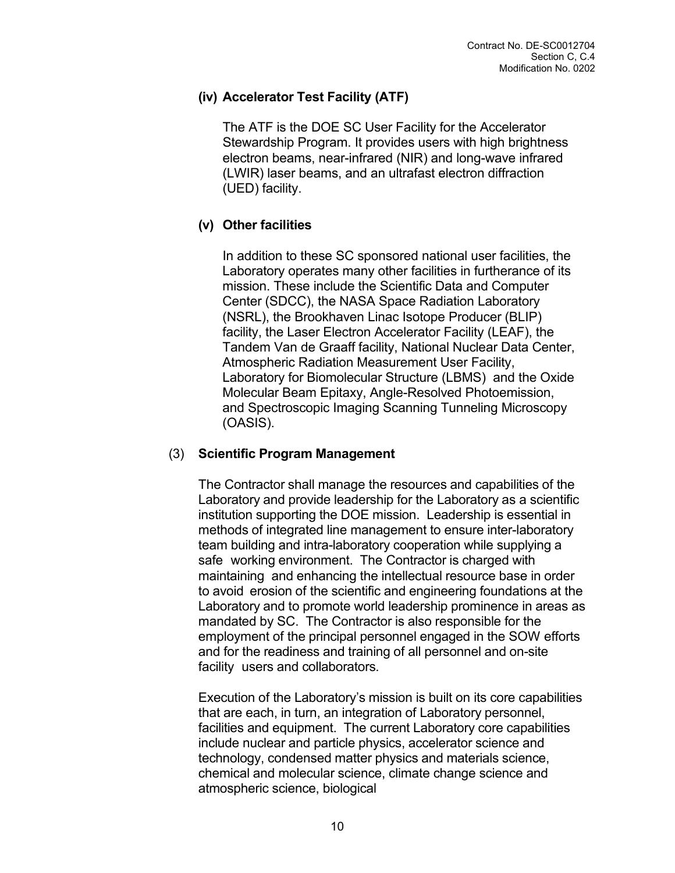# **(iv) Accelerator Test Facility (ATF)**

The ATF is the DOE SC User Facility for the Accelerator Stewardship Program. It provides users with high brightness electron beams, near-infrared (NIR) and long-wave infrared (LWIR) laser beams, and an ultrafast electron diffraction (UED) facility.

# **(v) Other facilities**

In addition to these SC sponsored national user facilities, the Laboratory operates many other facilities in furtherance of its mission. These include the Scientific Data and Computer Center (SDCC), the NASA Space Radiation Laboratory (NSRL), the Brookhaven Linac Isotope Producer (BLIP) facility, the Laser Electron Accelerator Facility (LEAF), the Tandem Van de Graaff facility, National Nuclear Data Center, Atmospheric Radiation Measurement User Facility, Laboratory for Biomolecular Structure (LBMS) and the Oxide Molecular Beam Epitaxy, Angle-Resolved Photoemission, and Spectroscopic Imaging Scanning Tunneling Microscopy (OASIS).

# (3) **Scientific Program Management**

The Contractor shall manage the resources and capabilities of the Laboratory and provide leadership for the Laboratory as a scientific institution supporting the DOE mission. Leadership is essential in methods of integrated line management to ensure inter-laboratory team building and intra-laboratory cooperation while supplying a safe working environment. The Contractor is charged with maintaining and enhancing the intellectual resource base in order to avoid erosion of the scientific and engineering foundations at the Laboratory and to promote world leadership prominence in areas as mandated by SC. The Contractor is also responsible for the employment of the principal personnel engaged in the SOW efforts and for the readiness and training of all personnel and on-site facility users and collaborators.

Execution of the Laboratory's mission is built on its core capabilities that are each, in turn, an integration of Laboratory personnel, facilities and equipment. The current Laboratory core capabilities include nuclear and particle physics, accelerator science and technology, condensed matter physics and materials science, chemical and molecular science, climate change science and atmospheric science, biological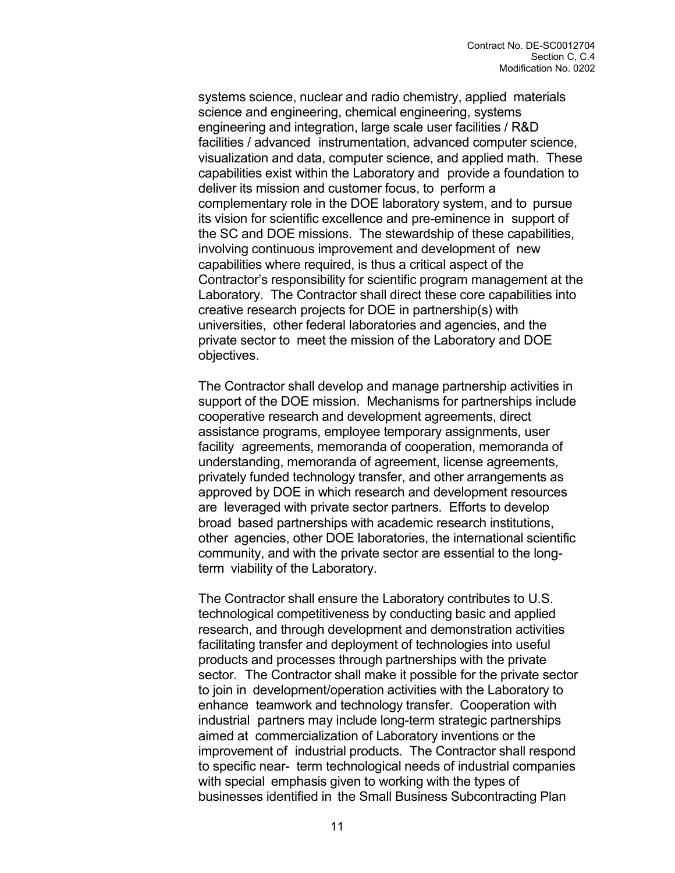systems science, nuclear and radio chemistry, applied materials science and engineering, chemical engineering, systems engineering and integration, large scale user facilities / R&D facilities / advanced instrumentation, advanced computer science, visualization and data, computer science, and applied math. These capabilities exist within the Laboratory and provide a foundation to deliver its mission and customer focus, to perform a complementary role in the DOE laboratory system, and to pursue its vision for scientific excellence and pre-eminence in support of the SC and DOE missions. The stewardship of these capabilities, involving continuous improvement and development of new capabilities where required, is thus a critical aspect of the Contractor's responsibility for scientific program management at the Laboratory. The Contractor shall direct these core capabilities into creative research projects for DOE in partnership(s) with universities, other federal laboratories and agencies, and the private sector to meet the mission of the Laboratory and DOE objectives.

The Contractor shall develop and manage partnership activities in support of the DOE mission. Mechanisms for partnerships include cooperative research and development agreements, direct assistance programs, employee temporary assignments, user facility agreements, memoranda of cooperation, memoranda of understanding, memoranda of agreement, license agreements, privately funded technology transfer, and other arrangements as approved by DOE in which research and development resources are leveraged with private sector partners. Efforts to develop broad based partnerships with academic research institutions, other agencies, other DOE laboratories, the international scientific community, and with the private sector are essential to the longterm viability of the Laboratory.

The Contractor shall ensure the Laboratory contributes to U.S. technological competitiveness by conducting basic and applied research, and through development and demonstration activities facilitating transfer and deployment of technologies into useful products and processes through partnerships with the private sector. The Contractor shall make it possible for the private sector to join in development/operation activities with the Laboratory to enhance teamwork and technology transfer. Cooperation with industrial partners may include long-term strategic partnerships aimed at commercialization of Laboratory inventions or the improvement of industrial products. The Contractor shall respond to specific near- term technological needs of industrial companies with special emphasis given to working with the types of businesses identified in the Small Business Subcontracting Plan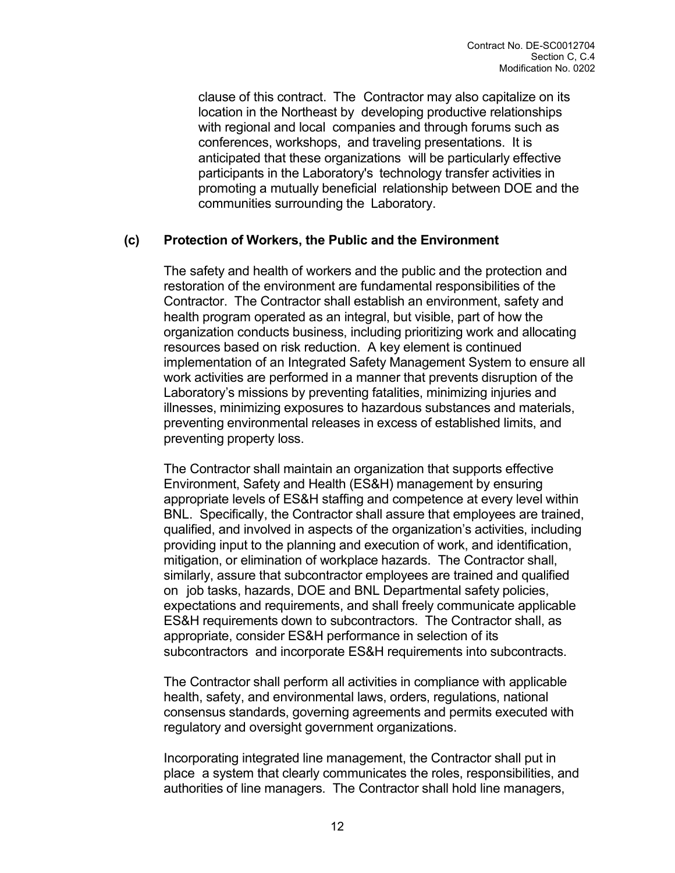clause of this contract. The Contractor may also capitalize on its location in the Northeast by developing productive relationships with regional and local companies and through forums such as conferences, workshops, and traveling presentations. It is anticipated that these organizations will be particularly effective participants in the Laboratory's technology transfer activities in promoting a mutually beneficial relationship between DOE and the communities surrounding the Laboratory.

#### **(c) Protection of Workers, the Public and the Environment**

The safety and health of workers and the public and the protection and restoration of the environment are fundamental responsibilities of the Contractor. The Contractor shall establish an environment, safety and health program operated as an integral, but visible, part of how the organization conducts business, including prioritizing work and allocating resources based on risk reduction. A key element is continued implementation of an Integrated Safety Management System to ensure all work activities are performed in a manner that prevents disruption of the Laboratory's missions by preventing fatalities, minimizing injuries and illnesses, minimizing exposures to hazardous substances and materials, preventing environmental releases in excess of established limits, and preventing property loss.

The Contractor shall maintain an organization that supports effective Environment, Safety and Health (ES&H) management by ensuring appropriate levels of ES&H staffing and competence at every level within BNL. Specifically, the Contractor shall assure that employees are trained, qualified, and involved in aspects of the organization's activities, including providing input to the planning and execution of work, and identification, mitigation, or elimination of workplace hazards. The Contractor shall, similarly, assure that subcontractor employees are trained and qualified on job tasks, hazards, DOE and BNL Departmental safety policies, expectations and requirements, and shall freely communicate applicable ES&H requirements down to subcontractors. The Contractor shall, as appropriate, consider ES&H performance in selection of its subcontractors and incorporate ES&H requirements into subcontracts.

The Contractor shall perform all activities in compliance with applicable health, safety, and environmental laws, orders, regulations, national consensus standards, governing agreements and permits executed with regulatory and oversight government organizations.

Incorporating integrated line management, the Contractor shall put in place a system that clearly communicates the roles, responsibilities, and authorities of line managers. The Contractor shall hold line managers,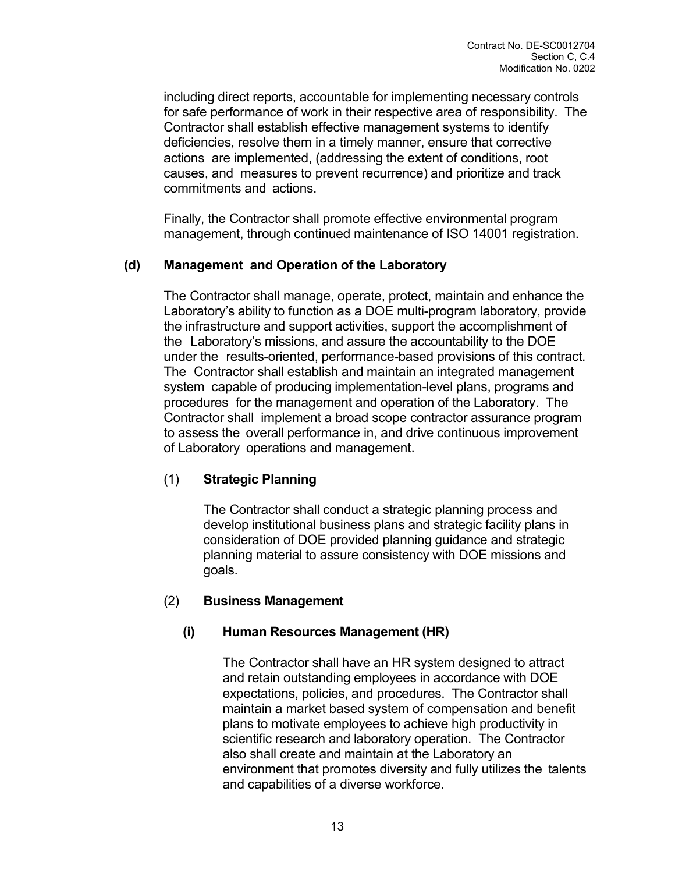including direct reports, accountable for implementing necessary controls for safe performance of work in their respective area of responsibility. The Contractor shall establish effective management systems to identify deficiencies, resolve them in a timely manner, ensure that corrective actions are implemented, (addressing the extent of conditions, root causes, and measures to prevent recurrence) and prioritize and track commitments and actions.

Finally, the Contractor shall promote effective environmental program management, through continued maintenance of ISO 14001 registration.

### **(d) Management and Operation of the Laboratory**

The Contractor shall manage, operate, protect, maintain and enhance the Laboratory's ability to function as a DOE multi-program laboratory, provide the infrastructure and support activities, support the accomplishment of the Laboratory's missions, and assure the accountability to the DOE under the results-oriented, performance-based provisions of this contract. The Contractor shall establish and maintain an integrated management system capable of producing implementation-level plans, programs and procedures for the management and operation of the Laboratory. The Contractor shall implement a broad scope contractor assurance program to assess the overall performance in, and drive continuous improvement of Laboratory operations and management.

# (1) **Strategic Planning**

The Contractor shall conduct a strategic planning process and develop institutional business plans and strategic facility plans in consideration of DOE provided planning guidance and strategic planning material to assure consistency with DOE missions and goals.

# (2) **Business Management**

# **(i) Human Resources Management (HR)**

The Contractor shall have an HR system designed to attract and retain outstanding employees in accordance with DOE expectations, policies, and procedures. The Contractor shall maintain a market based system of compensation and benefit plans to motivate employees to achieve high productivity in scientific research and laboratory operation. The Contractor also shall create and maintain at the Laboratory an environment that promotes diversity and fully utilizes the talents and capabilities of a diverse workforce.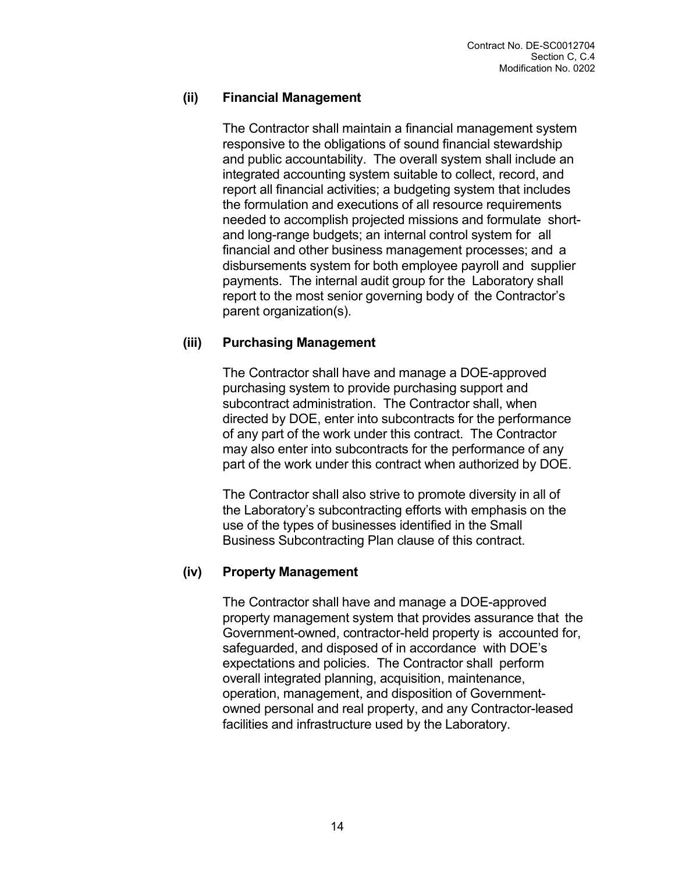# **(ii) Financial Management**

The Contractor shall maintain a financial management system responsive to the obligations of sound financial stewardship and public accountability. The overall system shall include an integrated accounting system suitable to collect, record, and report all financial activities; a budgeting system that includes the formulation and executions of all resource requirements needed to accomplish projected missions and formulate shortand long-range budgets; an internal control system for all financial and other business management processes; and a disbursements system for both employee payroll and supplier payments. The internal audit group for the Laboratory shall report to the most senior governing body of the Contractor's parent organization(s).

### **(iii) Purchasing Management**

The Contractor shall have and manage a DOE-approved purchasing system to provide purchasing support and subcontract administration. The Contractor shall, when directed by DOE, enter into subcontracts for the performance of any part of the work under this contract. The Contractor may also enter into subcontracts for the performance of any part of the work under this contract when authorized by DOE.

The Contractor shall also strive to promote diversity in all of the Laboratory's subcontracting efforts with emphasis on the use of the types of businesses identified in the Small Business Subcontracting Plan clause of this contract.

# **(iv) Property Management**

The Contractor shall have and manage a DOE-approved property management system that provides assurance that the Government-owned, contractor-held property is accounted for, safeguarded, and disposed of in accordance with DOE's expectations and policies. The Contractor shall perform overall integrated planning, acquisition, maintenance, operation, management, and disposition of Governmentowned personal and real property, and any Contractor-leased facilities and infrastructure used by the Laboratory.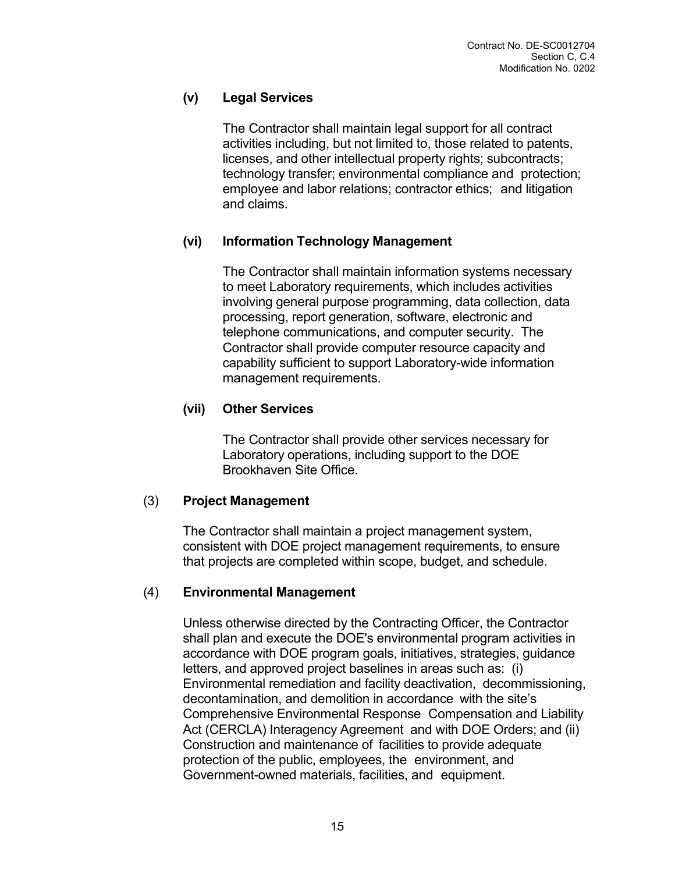# **(v) Legal Services**

The Contractor shall maintain legal support for all contract activities including, but not limited to, those related to patents, licenses, and other intellectual property rights; subcontracts; technology transfer; environmental compliance and protection; employee and labor relations; contractor ethics; and litigation and claims.

# **(vi) Information Technology Management**

The Contractor shall maintain information systems necessary to meet Laboratory requirements, which includes activities involving general purpose programming, data collection, data processing, report generation, software, electronic and telephone communications, and computer security. The Contractor shall provide computer resource capacity and capability sufficient to support Laboratory-wide information management requirements.

# **(vii) Other Services**

The Contractor shall provide other services necessary for Laboratory operations, including support to the DOE Brookhaven Site Office.

# (3) **Project Management**

The Contractor shall maintain a project management system, consistent with DOE project management requirements, to ensure that projects are completed within scope, budget, and schedule.

# (4) **Environmental Management**

Unless otherwise directed by the Contracting Officer, the Contractor shall plan and execute the DOE's environmental program activities in accordance with DOE program goals, initiatives, strategies, guidance letters, and approved project baselines in areas such as: (i) Environmental remediation and facility deactivation, decommissioning, decontamination, and demolition in accordance with the site's Comprehensive Environmental Response Compensation and Liability Act (CERCLA) Interagency Agreement and with DOE Orders; and (ii) Construction and maintenance of facilities to provide adequate protection of the public, employees, the environment, and Government-owned materials, facilities, and equipment.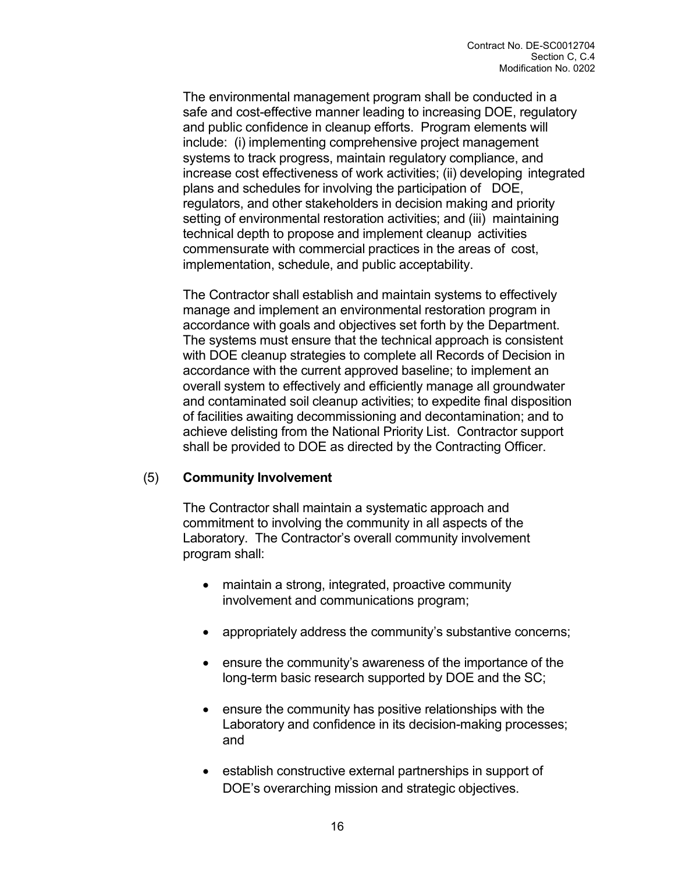The environmental management program shall be conducted in a safe and cost-effective manner leading to increasing DOE, regulatory and public confidence in cleanup efforts. Program elements will include: (i) implementing comprehensive project management systems to track progress, maintain regulatory compliance, and increase cost effectiveness of work activities; (ii) developing integrated plans and schedules for involving the participation of DOE, regulators, and other stakeholders in decision making and priority setting of environmental restoration activities; and (iii) maintaining technical depth to propose and implement cleanup activities commensurate with commercial practices in the areas of cost, implementation, schedule, and public acceptability.

The Contractor shall establish and maintain systems to effectively manage and implement an environmental restoration program in accordance with goals and objectives set forth by the Department. The systems must ensure that the technical approach is consistent with DOE cleanup strategies to complete all Records of Decision in accordance with the current approved baseline; to implement an overall system to effectively and efficiently manage all groundwater and contaminated soil cleanup activities; to expedite final disposition of facilities awaiting decommissioning and decontamination; and to achieve delisting from the National Priority List. Contractor support shall be provided to DOE as directed by the Contracting Officer.

# (5) **Community Involvement**

The Contractor shall maintain a systematic approach and commitment to involving the community in all aspects of the Laboratory. The Contractor's overall community involvement program shall:

- maintain a strong, integrated, proactive community involvement and communications program;
- appropriately address the community's substantive concerns;
- ensure the community's awareness of the importance of the long-term basic research supported by DOE and the SC;
- ensure the community has positive relationships with the Laboratory and confidence in its decision-making processes; and
- establish constructive external partnerships in support of DOE's overarching mission and strategic objectives.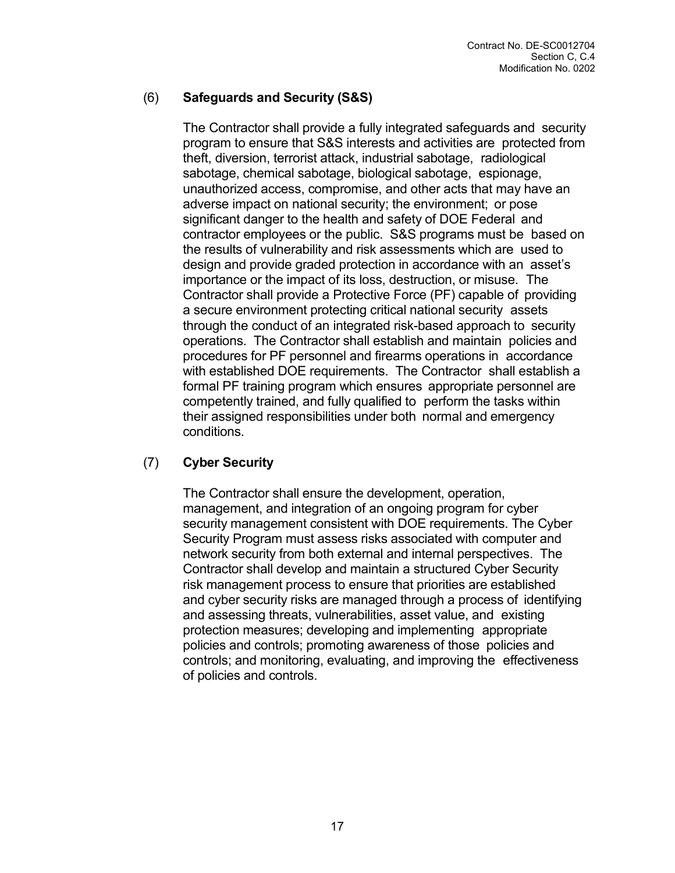# (6) **Safeguards and Security (S&S)**

The Contractor shall provide a fully integrated safeguards and security program to ensure that S&S interests and activities are protected from theft, diversion, terrorist attack, industrial sabotage, radiological sabotage, chemical sabotage, biological sabotage, espionage, unauthorized access, compromise, and other acts that may have an adverse impact on national security; the environment; or pose significant danger to the health and safety of DOE Federal and contractor employees or the public. S&S programs must be based on the results of vulnerability and risk assessments which are used to design and provide graded protection in accordance with an asset's importance or the impact of its loss, destruction, or misuse. The Contractor shall provide a Protective Force (PF) capable of providing a secure environment protecting critical national security assets through the conduct of an integrated risk-based approach to security operations. The Contractor shall establish and maintain policies and procedures for PF personnel and firearms operations in accordance with established DOE requirements. The Contractor shall establish a formal PF training program which ensures appropriate personnel are competently trained, and fully qualified to perform the tasks within their assigned responsibilities under both normal and emergency conditions.

# (7) **Cyber Security**

The Contractor shall ensure the development, operation, management, and integration of an ongoing program for cyber security management consistent with DOE requirements. The Cyber Security Program must assess risks associated with computer and network security from both external and internal perspectives. The Contractor shall develop and maintain a structured Cyber Security risk management process to ensure that priorities are established and cyber security risks are managed through a process of identifying and assessing threats, vulnerabilities, asset value, and existing protection measures; developing and implementing appropriate policies and controls; promoting awareness of those policies and controls; and monitoring, evaluating, and improving the effectiveness of policies and controls.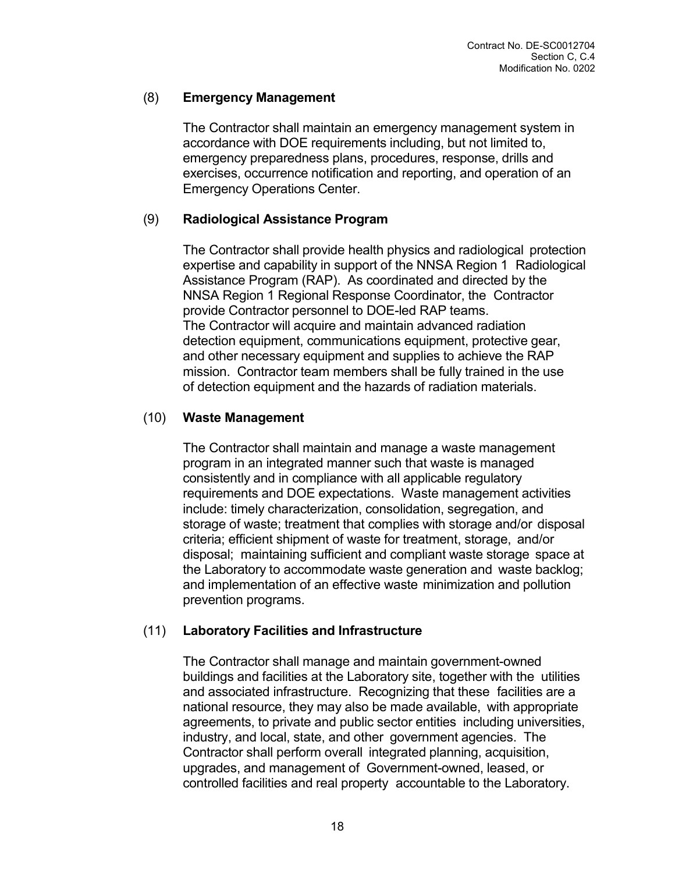### (8) **Emergency Management**

The Contractor shall maintain an emergency management system in accordance with DOE requirements including, but not limited to, emergency preparedness plans, procedures, response, drills and exercises, occurrence notification and reporting, and operation of an Emergency Operations Center.

### (9) **Radiological Assistance Program**

The Contractor shall provide health physics and radiological protection expertise and capability in support of the NNSA Region 1 Radiological Assistance Program (RAP). As coordinated and directed by the NNSA Region 1 Regional Response Coordinator, the Contractor provide Contractor personnel to DOE-led RAP teams. The Contractor will acquire and maintain advanced radiation detection equipment, communications equipment, protective gear, and other necessary equipment and supplies to achieve the RAP mission. Contractor team members shall be fully trained in the use of detection equipment and the hazards of radiation materials.

# (10) **Waste Management**

The Contractor shall maintain and manage a waste management program in an integrated manner such that waste is managed consistently and in compliance with all applicable regulatory requirements and DOE expectations. Waste management activities include: timely characterization, consolidation, segregation, and storage of waste; treatment that complies with storage and/or disposal criteria; efficient shipment of waste for treatment, storage, and/or disposal; maintaining sufficient and compliant waste storage space at the Laboratory to accommodate waste generation and waste backlog; and implementation of an effective waste minimization and pollution prevention programs.

# (11) **Laboratory Facilities and Infrastructure**

The Contractor shall manage and maintain government-owned buildings and facilities at the Laboratory site, together with the utilities and associated infrastructure. Recognizing that these facilities are a national resource, they may also be made available, with appropriate agreements, to private and public sector entities including universities, industry, and local, state, and other government agencies. The Contractor shall perform overall integrated planning, acquisition, upgrades, and management of Government-owned, leased, or controlled facilities and real property accountable to the Laboratory.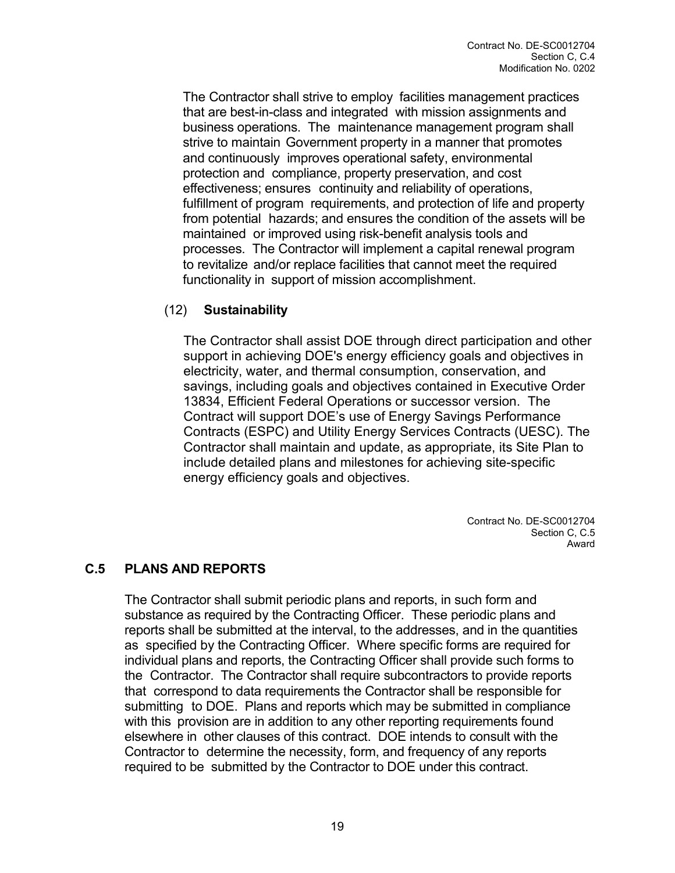The Contractor shall strive to employ facilities management practices that are best-in-class and integrated with mission assignments and business operations. The maintenance management program shall strive to maintain Government property in a manner that promotes and continuously improves operational safety, environmental protection and compliance, property preservation, and cost effectiveness; ensures continuity and reliability of operations, fulfillment of program requirements, and protection of life and property from potential hazards; and ensures the condition of the assets will be maintained or improved using risk-benefit analysis tools and processes. The Contractor will implement a capital renewal program to revitalize and/or replace facilities that cannot meet the required functionality in support of mission accomplishment.

### (12) **Sustainability**

The Contractor shall assist DOE through direct participation and other support in achieving DOE's energy efficiency goals and objectives in electricity, water, and thermal consumption, conservation, and savings, including goals and objectives contained in Executive Order 13834, Efficient Federal Operations or successor version. The Contract will support DOE's use of Energy Savings Performance Contracts (ESPC) and Utility Energy Services Contracts (UESC). The Contractor shall maintain and update, as appropriate, its Site Plan to include detailed plans and milestones for achieving site-specific energy efficiency goals and objectives.

> Contract No. DE-SC0012704 Section C, C.5 Award

#### **C.5 PLANS AND REPORTS**

The Contractor shall submit periodic plans and reports, in such form and substance as required by the Contracting Officer. These periodic plans and reports shall be submitted at the interval, to the addresses, and in the quantities as specified by the Contracting Officer. Where specific forms are required for individual plans and reports, the Contracting Officer shall provide such forms to the Contractor. The Contractor shall require subcontractors to provide reports that correspond to data requirements the Contractor shall be responsible for submitting to DOE. Plans and reports which may be submitted in compliance with this provision are in addition to any other reporting requirements found elsewhere in other clauses of this contract. DOE intends to consult with the Contractor to determine the necessity, form, and frequency of any reports required to be submitted by the Contractor to DOE under this contract.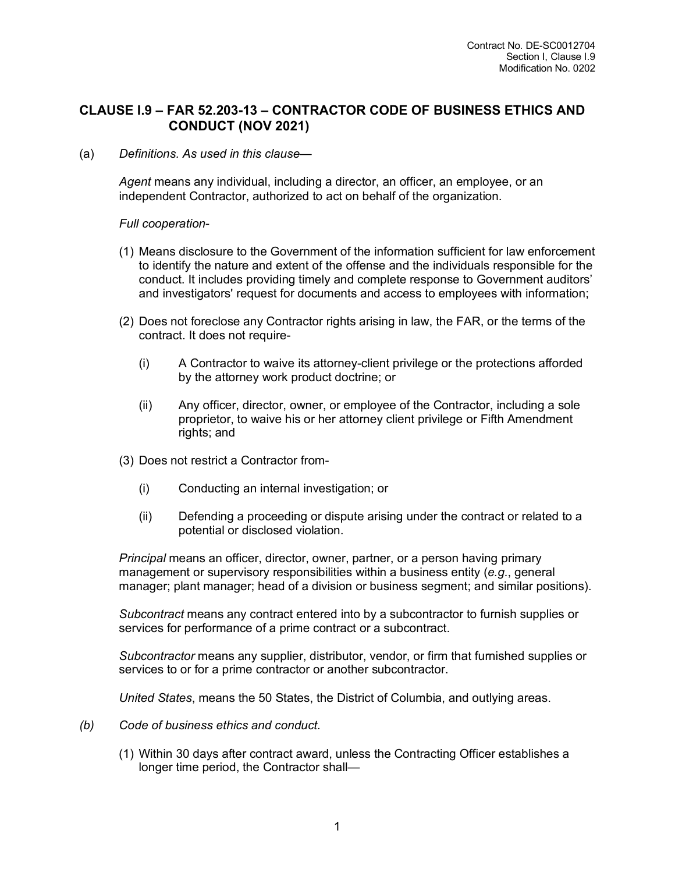### **CLAUSE I.9 – FAR 52.203-13 – CONTRACTOR CODE OF BUSINESS ETHICS AND CONDUCT (NOV 2021)**

(a) *Definitions. As used in this clause*—

*Agent* means any individual, including a director, an officer, an employee, or an independent Contractor, authorized to act on behalf of the organization.

*Full cooperation*-

- (1) Means disclosure to the Government of the information sufficient for law enforcement to identify the nature and extent of the offense and the individuals responsible for the conduct. It includes providing timely and complete response to Government auditors' and investigators' request for documents and access to employees with information;
- (2) Does not foreclose any Contractor rights arising in law, the FAR, or the terms of the contract. It does not require-
	- (i) A Contractor to waive its attorney-client privilege or the protections afforded by the attorney work product doctrine; or
	- (ii) Any officer, director, owner, or employee of the Contractor, including a sole proprietor, to waive his or her attorney client privilege or Fifth Amendment rights; and
- (3) Does not restrict a Contractor from-
	- (i) Conducting an internal investigation; or
	- (ii) Defending a proceeding or dispute arising under the contract or related to a potential or disclosed violation.

*Principal* means an officer, director, owner, partner, or a person having primary management or supervisory responsibilities within a business entity (*e.g.*, general manager; plant manager; head of a division or business segment; and similar positions).

*Subcontract* means any contract entered into by a subcontractor to furnish supplies or services for performance of a prime contract or a subcontract.

*Subcontractor* means any supplier, distributor, vendor, or firm that furnished supplies or services to or for a prime contractor or another subcontractor.

*United States*, means the 50 States, the District of Columbia, and outlying areas.

- *(b) Code of business ethics and conduct.*
	- (1) Within 30 days after contract award, unless the Contracting Officer establishes a longer time period, the Contractor shall—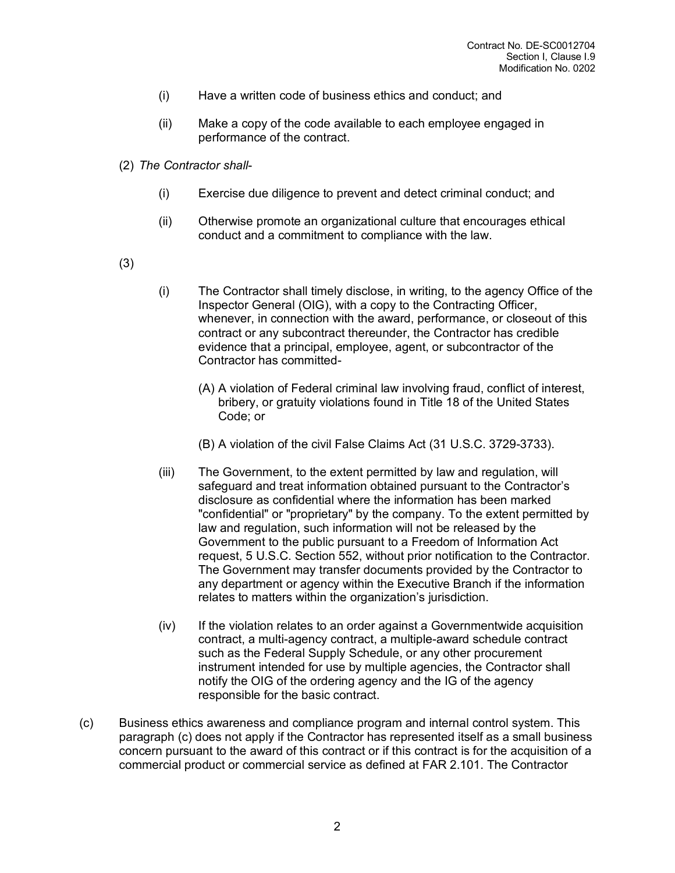- (i) Have a written code of business ethics and conduct; and
- (ii) Make a copy of the code available to each employee engaged in performance of the contract.
- (2) *The Contractor shall*
	- (i) Exercise due diligence to prevent and detect criminal conduct; and
	- (ii) Otherwise promote an organizational culture that encourages ethical conduct and a commitment to compliance with the law.
- (3)
- (i) The Contractor shall timely disclose, in writing, to the agency Office of the Inspector General (OIG), with a copy to the Contracting Officer, whenever, in connection with the award, performance, or closeout of this contract or any subcontract thereunder, the Contractor has credible evidence that a principal, employee, agent, or subcontractor of the Contractor has committed-
	- (A) A violation of Federal criminal law involving fraud, conflict of interest, bribery, or gratuity violations found in Title 18 of the United States Code; or
	- (B) A violation of the civil False Claims Act [\(31 U.S.C. 3729-3733\)](http://uscode.house.gov/browse.xhtml;jsessionid=114A3287C7B3359E597506A31FC855B3).
- (iii) The Government, to the extent permitted by law and regulation, will safeguard and treat information obtained pursuant to the Contractor's disclosure as confidential where the information has been marked "confidential" or "proprietary" by the company. To the extent permitted by law and regulation, such information will not be released by the Government to the public pursuant to a Freedom of Information Act request, [5 U.S.C. Section 552,](http://uscode.house.gov/browse.xhtml;jsessionid=114A3287C7B3359E597506A31FC855B3) without prior notification to the Contractor. The Government may transfer documents provided by the Contractor to any department or agency within the Executive Branch if the information relates to matters within the organization's jurisdiction.
- $(iv)$  If the violation relates to an order against a Governmentwide acquisition contract, a multi-agency contract, a multiple-award schedule contract such as the Federal Supply Schedule, or any other procurement instrument intended for use by multiple agencies, the Contractor shall notify the OIG of the ordering agency and the IG of the agency responsible for the basic contract.
- (c) Business ethics awareness and compliance program and internal control system. This paragraph (c) does not apply if the Contractor has represented itself as a small business concern pursuant to the award of this contract or if this contract is for the acquisition of a commercial product or commercial service as defined at FAR 2.101. The Contractor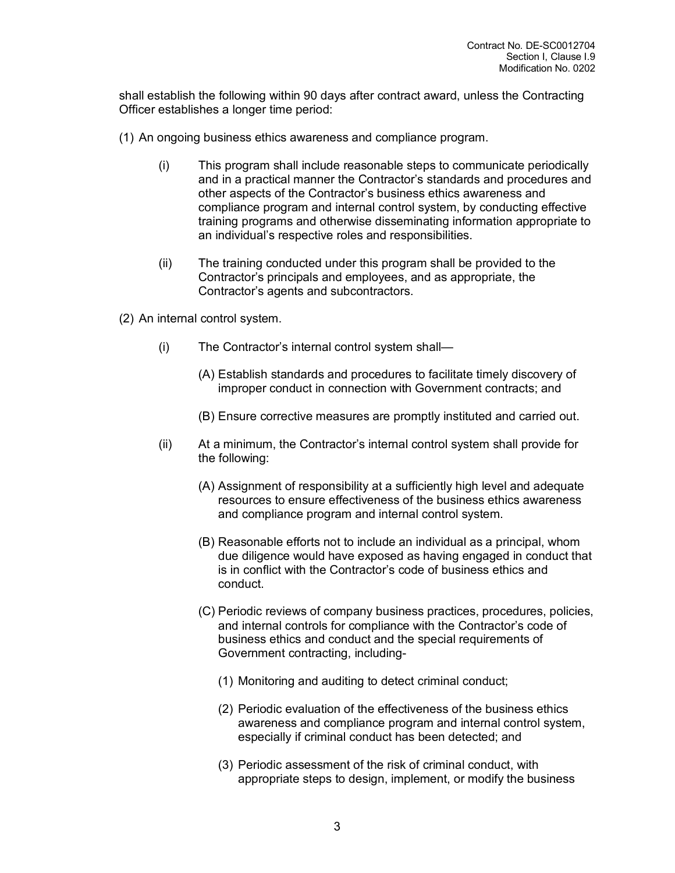shall establish the following within 90 days after contract award, unless the Contracting Officer establishes a longer time period:

- (1) An ongoing business ethics awareness and compliance program.
	- (i) This program shall include reasonable steps to communicate periodically and in a practical manner the Contractor's standards and procedures and other aspects of the Contractor's business ethics awareness and compliance program and internal control system, by conducting effective training programs and otherwise disseminating information appropriate to an individual's respective roles and responsibilities.
	- (ii) The training conducted under this program shall be provided to the Contractor's principals and employees, and as appropriate, the Contractor's agents and subcontractors.
- (2) An internal control system.
	- (i) The Contractor's internal control system shall—
		- (A) Establish standards and procedures to facilitate timely discovery of improper conduct in connection with Government contracts; and
		- (B) Ensure corrective measures are promptly instituted and carried out.
	- (ii) At a minimum, the Contractor's internal control system shall provide for the following:
		- (A) Assignment of responsibility at a sufficiently high level and adequate resources to ensure effectiveness of the business ethics awareness and compliance program and internal control system.
		- (B) Reasonable efforts not to include an individual as a principal, whom due diligence would have exposed as having engaged in conduct that is in conflict with the Contractor's code of business ethics and conduct.
		- (C) Periodic reviews of company business practices, procedures, policies, and internal controls for compliance with the Contractor's code of business ethics and conduct and the special requirements of Government contracting, including-
			- (1) Monitoring and auditing to detect criminal conduct;
			- (2) Periodic evaluation of the effectiveness of the business ethics awareness and compliance program and internal control system, especially if criminal conduct has been detected; and
			- (3) Periodic assessment of the risk of criminal conduct, with appropriate steps to design, implement, or modify the business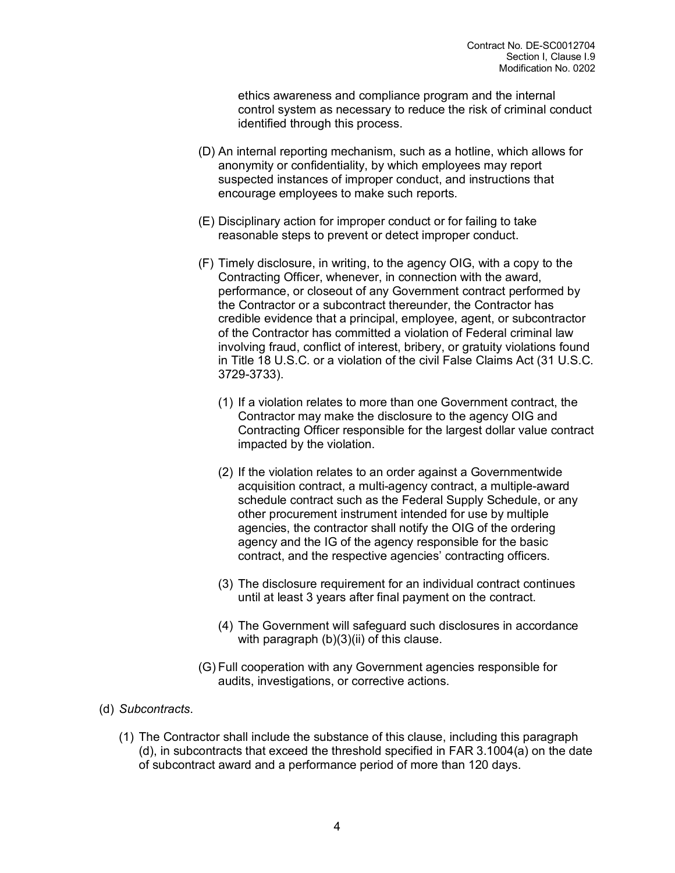ethics awareness and compliance program and the internal control system as necessary to reduce the risk of criminal conduct identified through this process.

- (D) An internal reporting mechanism, such as a hotline, which allows for anonymity or confidentiality, by which employees may report suspected instances of improper conduct, and instructions that encourage employees to make such reports.
- (E) Disciplinary action for improper conduct or for failing to take reasonable steps to prevent or detect improper conduct.
- (F) Timely disclosure, in writing, to the agency OIG, with a copy to the Contracting Officer, whenever, in connection with the award, performance, or closeout of any Government contract performed by the Contractor or a subcontract thereunder, the Contractor has credible evidence that a principal, employee, agent, or subcontractor of the Contractor has committed a violation of Federal criminal law involving fraud, conflict of interest, bribery, or gratuity violations found in Title [18 U.S.C.](http://uscode.house.gov/browse.xhtml;jsessionid=114A3287C7B3359E597506A31FC855B3) or a violation of the civil False Claims Act [\(31 U.S.C.](http://uscode.house.gov/browse.xhtml;jsessionid=114A3287C7B3359E597506A31FC855B3)  [3729-3733\)](http://uscode.house.gov/browse.xhtml;jsessionid=114A3287C7B3359E597506A31FC855B3).
	- (1) If a violation relates to more than one Government contract, the Contractor may make the disclosure to the agency OIG and Contracting Officer responsible for the largest dollar value contract impacted by the violation.
	- (2) If the violation relates to an order against a Governmentwide acquisition contract, a multi-agency contract, a multiple-award schedule contract such as the Federal Supply Schedule, or any other procurement instrument intended for use by multiple agencies, the contractor shall notify the OIG of the ordering agency and the IG of the agency responsible for the basic contract, and the respective agencies' contracting officers.
	- (3) The disclosure requirement for an individual contract continues until at least 3 years after final payment on the contract.
	- (4) The Government will safeguard such disclosures in accordance with paragraph (b)(3)(ii) of this clause.
- (G) Full cooperation with any Government agencies responsible for audits, investigations, or corrective actions.

#### (d) *Subcontracts*.

(1) The Contractor shall include the substance of this clause, including this paragraph (d), in subcontracts that exceed the threshold specified in FAR 3.1004(a) on the date of subcontract award and a performance period of more than 120 days.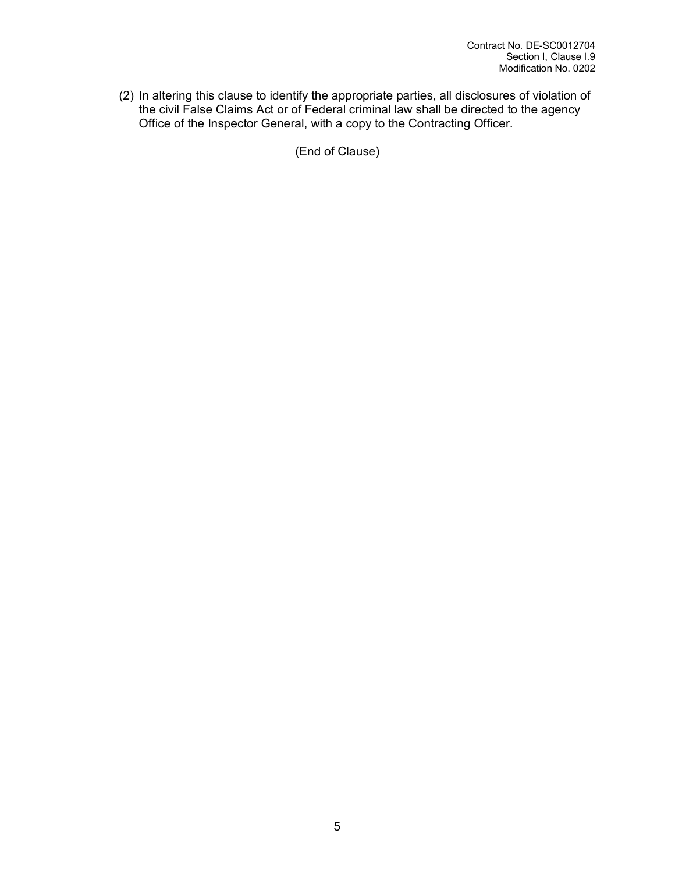(2) In altering this clause to identify the appropriate parties, all disclosures of violation of the civil False Claims Act or of Federal criminal law shall be directed to the agency Office of the Inspector General, with a copy to the Contracting Officer.

(End of Clause)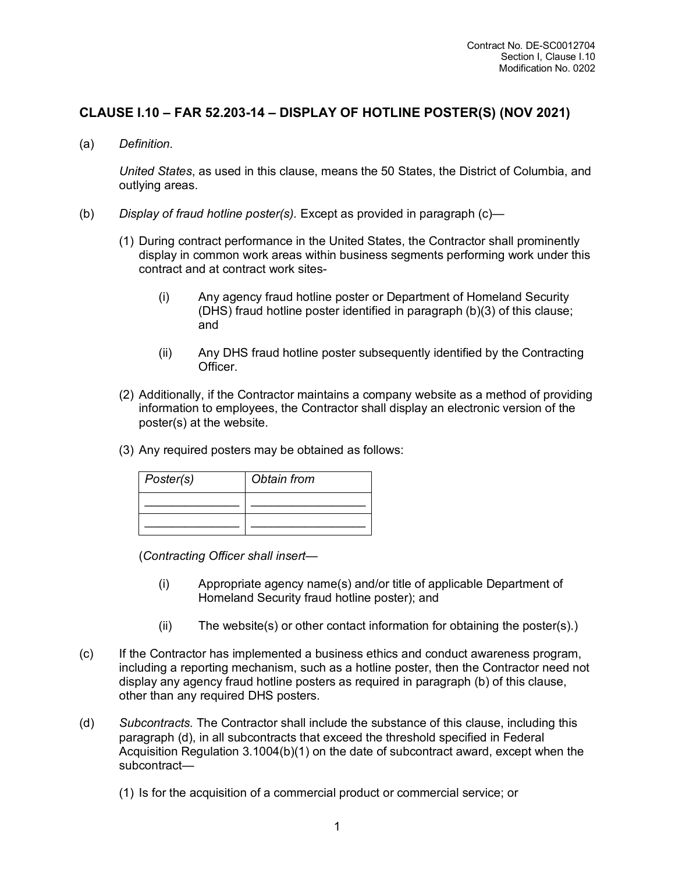### **CLAUSE I.10 – FAR 52.203-14 – DISPLAY OF HOTLINE POSTER(S) (NOV 2021)**

(a) *Definition.*

*United States*, as used in this clause, means the 50 States, the District of Columbia, and outlying areas.

- (b) *Display of fraud hotline poster(s).* Except as provided in paragraph (c)—
	- (1) During contract performance in the United States, the Contractor shall prominently display in common work areas within business segments performing work under this contract and at contract work sites-
		- (i) Any agency fraud hotline poster or Department of Homeland Security (DHS) fraud hotline poster identified in paragraph (b)(3) of this clause; and
		- (ii) Any DHS fraud hotline poster subsequently identified by the Contracting Officer.
	- (2) Additionally, if the Contractor maintains a company website as a method of providing information to employees, the Contractor shall display an electronic version of the poster(s) at the website.
	- (3) Any required posters may be obtained as follows:

| Poster(s) | Obtain from |
|-----------|-------------|
|           |             |
|           |             |

(*Contracting Officer shall insert—*

- (i) Appropriate agency name(s) and/or title of applicable Department of Homeland Security fraud hotline poster); and
- (ii) The website(s) or other contact information for obtaining the poster(s).)
- (c) If the Contractor has implemented a business ethics and conduct awareness program, including a reporting mechanism, such as a hotline poster, then the Contractor need not display any agency fraud hotline posters as required in paragraph (b) of this clause, other than any required DHS posters.
- (d) *Subcontracts.* The Contractor shall include the substance of this clause, including this paragraph (d), in all subcontracts that exceed the threshold specified in Federal Acquisition Regulation 3.1004(b)(1) on the date of subcontract award, except when the subcontract—
	- (1) Is for the acquisition of a commercial product or commercial service; or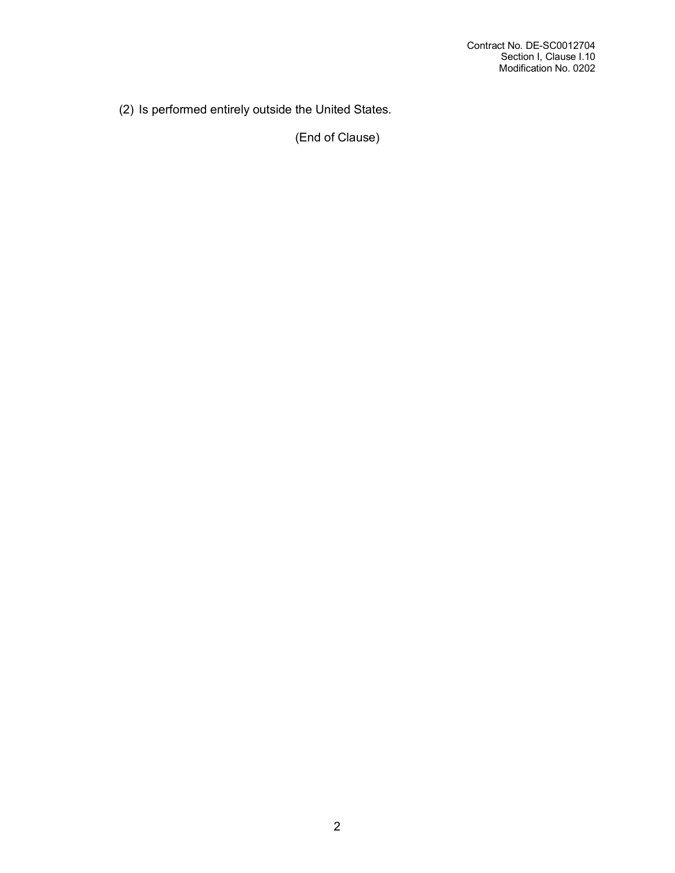(2) Is performed entirely outside the United States.

(End of Clause)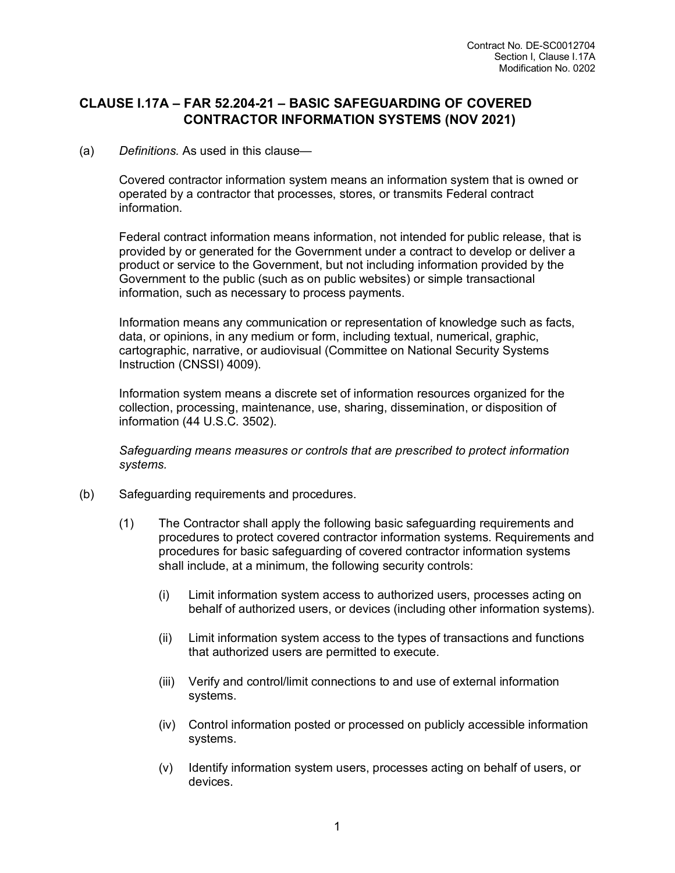### **CLAUSE I.17A – FAR 52.204-21 – BASIC SAFEGUARDING OF COVERED CONTRACTOR INFORMATION SYSTEMS (NOV 2021)**

(a) *Definitions.* As used in this clause—

Covered contractor information system means an information system that is owned or operated by a contractor that processes, stores, or transmits Federal contract information.

Federal contract information means information, not intended for public release, that is provided by or generated for the Government under a contract to develop or deliver a product or service to the Government, but not including information provided by the Government to the public (such as on public websites) or simple transactional information, such as necessary to process payments.

Information means any communication or representation of knowledge such as facts, data, or opinions, in any medium or form, including textual, numerical, graphic, cartographic, narrative, or audiovisual (Committee on National Security Systems Instruction (CNSSI) 4009).

Information system means a discrete set of information resources organized for the collection, processing, maintenance, use, sharing, dissemination, or disposition of information [\(44 U.S.C. 3502\)](http://uscode.house.gov/browse.xhtml;jsessionid=114A3287C7B3359E597506A31FC855B3).

*Safeguarding means measures or controls that are prescribed to protect information systems.*

- (b) Safeguarding requirements and procedures.
	- (1) The Contractor shall apply the following basic safeguarding requirements and procedures to protect covered contractor information systems. Requirements and procedures for basic safeguarding of covered contractor information systems shall include, at a minimum, the following security controls:
		- (i) Limit information system access to authorized users, processes acting on behalf of authorized users, or devices (including other information systems).
		- (ii) Limit information system access to the types of transactions and functions that authorized users are permitted to execute.
		- (iii) Verify and control/limit connections to and use of external information systems.
		- (iv) Control information posted or processed on publicly accessible information systems.
		- (v) Identify information system users, processes acting on behalf of users, or devices.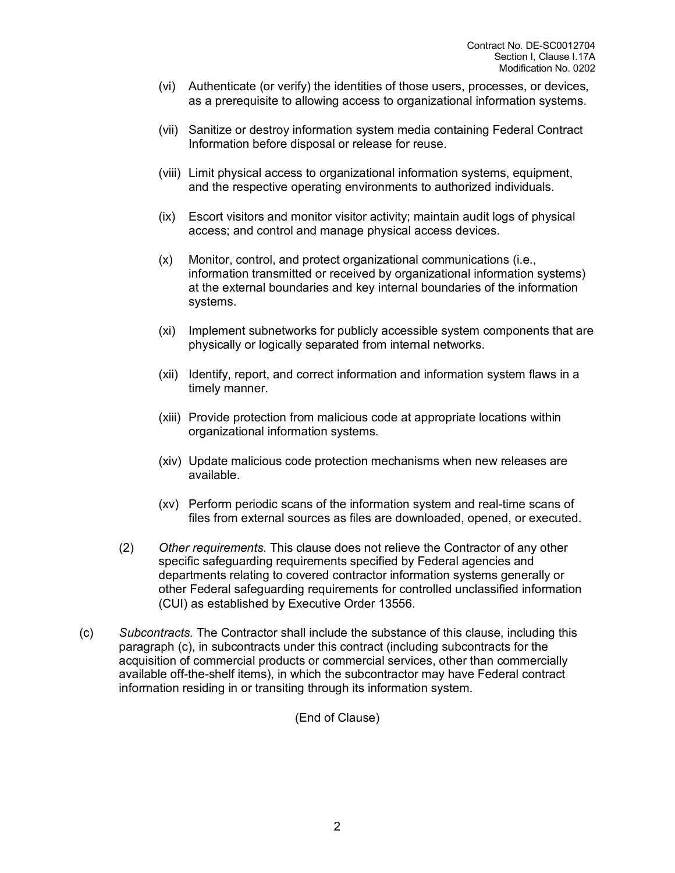- (vi) Authenticate (or verify) the identities of those users, processes, or devices, as a prerequisite to allowing access to organizational information systems.
- (vii) Sanitize or destroy information system media containing Federal Contract Information before disposal or release for reuse.
- (viii) Limit physical access to organizational information systems, equipment, and the respective operating environments to authorized individuals.
- (ix) Escort visitors and monitor visitor activity; maintain audit logs of physical access; and control and manage physical access devices.
- (x) Monitor, control, and protect organizational communications (i.e., information transmitted or received by organizational information systems) at the external boundaries and key internal boundaries of the information systems.
- (xi) Implement subnetworks for publicly accessible system components that are physically or logically separated from internal networks.
- (xii) Identify, report, and correct information and information system flaws in a timely manner.
- (xiii) Provide protection from malicious code at appropriate locations within organizational information systems.
- (xiv) Update malicious code protection mechanisms when new releases are available.
- (xv) Perform periodic scans of the information system and real-time scans of files from external sources as files are downloaded, opened, or executed.
- (2) *Other requirements.* This clause does not relieve the Contractor of any other specific safeguarding requirements specified by Federal agencies and departments relating to covered contractor information systems generally or other Federal safeguarding requirements for controlled unclassified information (CUI) as established by Executive Order 13556.
- (c) *Subcontracts.* The Contractor shall include the substance of this clause, including this paragraph (c), in subcontracts under this contract (including subcontracts for the acquisition of commercial products or commercial services, other than commercially available off-the-shelf items), in which the subcontractor may have Federal contract information residing in or transiting through its information system.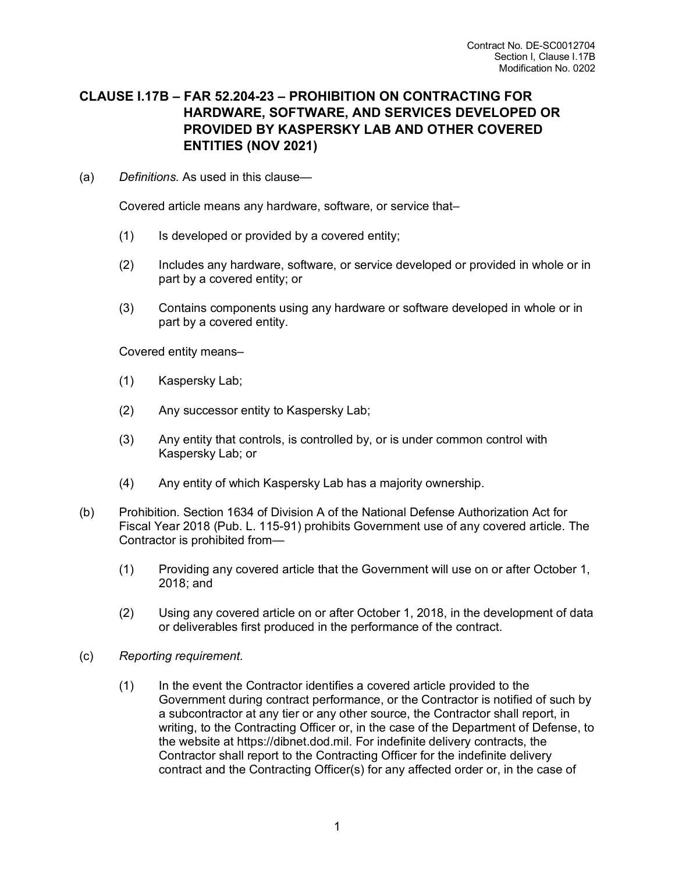# **CLAUSE I.17B – FAR 52.204-23 – PROHIBITION ON CONTRACTING FOR HARDWARE, SOFTWARE, AND SERVICES DEVELOPED OR PROVIDED BY KASPERSKY LAB AND OTHER COVERED ENTITIES (NOV 2021)**

(a) *Definitions.* As used in this clause—

Covered article means any hardware, software, or service that–

- (1) Is developed or provided by a covered entity;
- (2) Includes any hardware, software, or service developed or provided in whole or in part by a covered entity; or
- (3) Contains components using any hardware or software developed in whole or in part by a covered entity.

Covered entity means–

- (1) Kaspersky Lab;
- (2) Any successor entity to Kaspersky Lab;
- (3) Any entity that controls, is controlled by, or is under common control with Kaspersky Lab; or
- (4) Any entity of which Kaspersky Lab has a majority ownership.
- (b) Prohibition. Section 1634 of Division A of the National Defense Authorization Act for Fiscal Year 2018 (Pub. L. 115-91) prohibits Government use of any covered article. The Contractor is prohibited from—
	- (1) Providing any covered article that the Government will use on or after October 1, 2018; and
	- (2) Using any covered article on or after October 1, 2018, in the development of data or deliverables first produced in the performance of the contract.
- (c) *Reporting requirement.*
	- (1) In the event the Contractor identifies a covered article provided to the Government during contract performance, or the Contractor is notified of such by a subcontractor at any tier or any other source, the Contractor shall report, in writing, to the Contracting Officer or, in the case of the Department of Defense, to the website at [https://dibnet.dod.mil.](https://dibnet.dod.mil/) For indefinite delivery contracts, the Contractor shall report to the Contracting Officer for the indefinite delivery contract and the Contracting Officer(s) for any affected order or, in the case of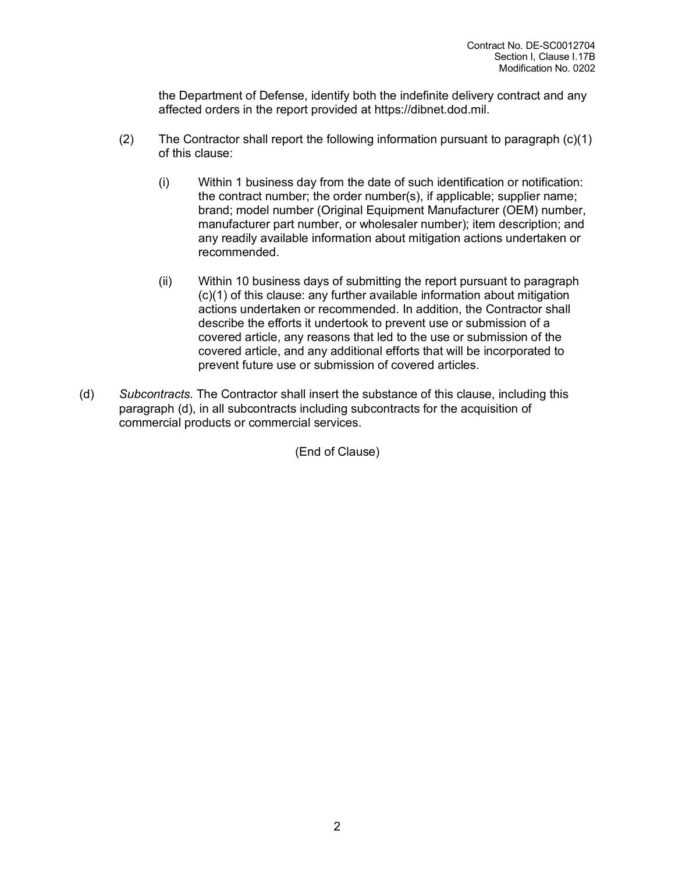the Department of Defense, identify both the indefinite delivery contract and any affected orders in the report provided at [https://dibnet.dod.mil.](https://dibnet.dod.mil/)

- (2) The Contractor shall report the following information pursuant to paragraph (c)(1) of this clause:
	- (i) Within 1 business day from the date of such identification or notification: the contract number; the order number(s), if applicable; supplier name; brand; model number (Original Equipment Manufacturer (OEM) number, manufacturer part number, or wholesaler number); item description; and any readily available information about mitigation actions undertaken or recommended.
	- (ii) Within 10 business days of submitting the report pursuant to paragraph (c)(1) of this clause: any further available information about mitigation actions undertaken or recommended. In addition, the Contractor shall describe the efforts it undertook to prevent use or submission of a covered article, any reasons that led to the use or submission of the covered article, and any additional efforts that will be incorporated to prevent future use or submission of covered articles.
- (d) *Subcontracts.* The Contractor shall insert the substance of this clause, including this paragraph (d), in all subcontracts including subcontracts for the acquisition of commercial products or commercial services.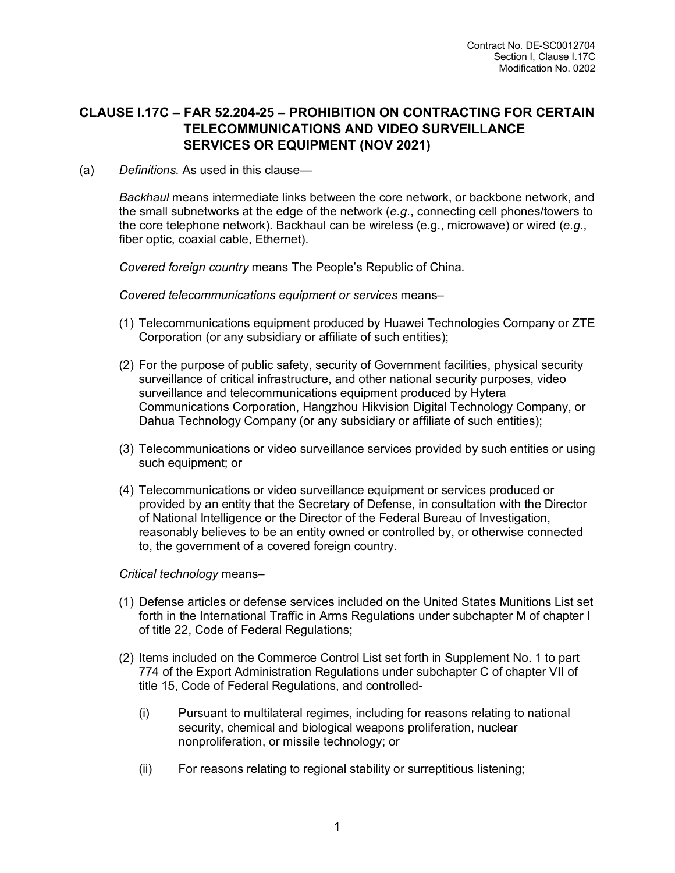### **CLAUSE I.17C – FAR 52.204-25 – PROHIBITION ON CONTRACTING FOR CERTAIN TELECOMMUNICATIONS AND VIDEO SURVEILLANCE SERVICES OR EQUIPMENT (NOV 2021)**

(a) *Definitions.* As used in this clause—

*Backhaul* means intermediate links between the core network, or backbone network, and the small subnetworks at the edge of the network (*e.g.*, connecting cell phones/towers to the core telephone network). Backhaul can be wireless (e.g., microwave) or wired (*e.g.*, fiber optic, coaxial cable, Ethernet).

*Covered foreign country* means The People's Republic of China.

*Covered telecommunications equipment or services* means–

- (1) Telecommunications equipment produced by Huawei Technologies Company or ZTE Corporation (or any subsidiary or affiliate of such entities);
- (2) For the purpose of public safety, security of Government facilities, physical security surveillance of critical infrastructure, and other national security purposes, video surveillance and telecommunications equipment produced by Hytera Communications Corporation, Hangzhou Hikvision Digital Technology Company, or Dahua Technology Company (or any subsidiary or affiliate of such entities);
- (3) Telecommunications or video surveillance services provided by such entities or using such equipment; or
- (4) Telecommunications or video surveillance equipment or services produced or provided by an entity that the Secretary of Defense, in consultation with the Director of National Intelligence or the Director of the Federal Bureau of Investigation, reasonably believes to be an entity owned or controlled by, or otherwise connected to, the government of a covered foreign country.

*Critical technology* means–

- (1) Defense articles or defense services included on the United States Munitions List set forth in the International Traffic in Arms Regulations under subchapter M of chapter I of title 22, Code of Federal Regulations;
- (2) Items included on the Commerce Control List set forth in Supplement No. 1 to part 774 of the Export Administration Regulations under subchapter C of chapter VII of title 15, Code of Federal Regulations, and controlled-
	- (i) Pursuant to multilateral regimes, including for reasons relating to national security, chemical and biological weapons proliferation, nuclear nonproliferation, or missile technology; or
	- (ii) For reasons relating to regional stability or surreptitious listening;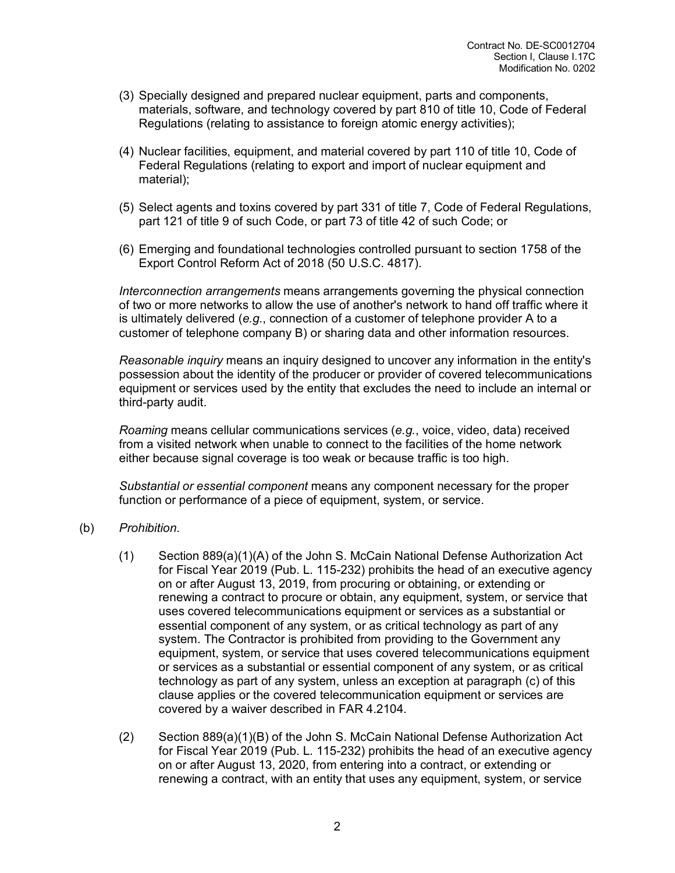- (3) Specially designed and prepared nuclear equipment, parts and components, materials, software, and technology covered by part 810 of title 10, Code of Federal Regulations (relating to assistance to foreign atomic energy activities);
- (4) Nuclear facilities, equipment, and material covered by part 110 of title 10, Code of Federal Regulations (relating to export and import of nuclear equipment and material);
- (5) Select agents and toxins covered by part 331 of title 7, Code of Federal Regulations, part 121 of title 9 of such Code, or part 73 of title 42 of such Code; or
- (6) Emerging and foundational technologies controlled pursuant to section 1758 of the Export Control Reform Act of 2018 (50 U.S.C. 4817).

*Interconnection arrangements* means arrangements governing the physical connection of two or more networks to allow the use of another's network to hand off traffic where it is ultimately delivered (*e.g.*, connection of a customer of telephone provider A to a customer of telephone company B) or sharing data and other information resources.

*Reasonable inquiry* means an inquiry designed to uncover any information in the entity's possession about the identity of the producer or provider of covered telecommunications equipment or services used by the entity that excludes the need to include an internal or third-party audit.

*Roaming* means cellular communications services (*e.g.*, voice, video, data) received from a visited network when unable to connect to the facilities of the home network either because signal coverage is too weak or because traffic is too high.

*Substantial or essential component* means any component necessary for the proper function or performance of a piece of equipment, system, or service.

- (b) *Prohibition*.
	- (1) Section 889(a)(1)(A) of the John S. McCain National Defense Authorization Act for Fiscal Year 2019 (Pub. L. 115-232) prohibits the head of an executive agency on or after August 13, 2019, from procuring or obtaining, or extending or renewing a contract to procure or obtain, any equipment, system, or service that uses covered telecommunications equipment or services as a substantial or essential component of any system, or as critical technology as part of any system. The Contractor is prohibited from providing to the Government any equipment, system, or service that uses covered telecommunications equipment or services as a substantial or essential component of any system, or as critical technology as part of any system, unless an exception at paragraph (c) of this clause applies or the covered telecommunication equipment or services are covered by a waiver described in FAR 4.2104.
	- (2) Section 889(a)(1)(B) of the John S. McCain National Defense Authorization Act for Fiscal Year 2019 (Pub. L. 115-232) prohibits the head of an executive agency on or after August 13, 2020, from entering into a contract, or extending or renewing a contract, with an entity that uses any equipment, system, or service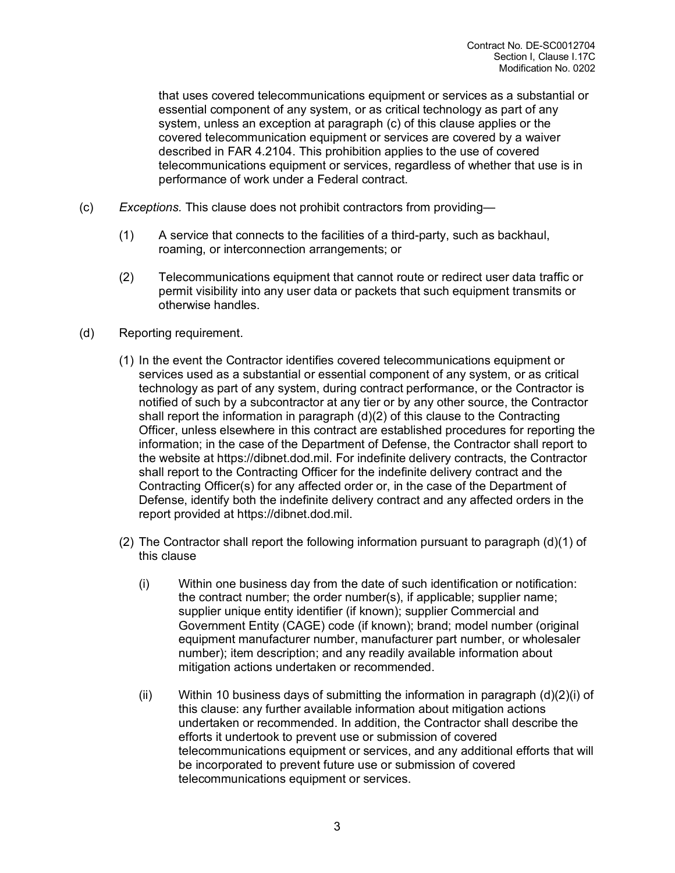that uses covered telecommunications equipment or services as a substantial or essential component of any system, or as critical technology as part of any system, unless an exception at paragraph (c) of this clause applies or the covered telecommunication equipment or services are covered by a waiver described in FAR 4.2104. This prohibition applies to the use of covered telecommunications equipment or services, regardless of whether that use is in performance of work under a Federal contract.

- (c) *Exceptions.* This clause does not prohibit contractors from providing—
	- (1) A service that connects to the facilities of a third-party, such as backhaul, roaming, or interconnection arrangements; or
	- (2) Telecommunications equipment that cannot route or redirect user data traffic or permit visibility into any user data or packets that such equipment transmits or otherwise handles.
- (d) Reporting requirement.
	- (1) In the event the Contractor identifies covered telecommunications equipment or services used as a substantial or essential component of any system, or as critical technology as part of any system, during contract performance, or the Contractor is notified of such by a subcontractor at any tier or by any other source, the Contractor shall report the information in paragraph (d)(2) of this clause to the Contracting Officer, unless elsewhere in this contract are established procedures for reporting the information; in the case of the Department of Defense, the Contractor shall report to the website at [https://dibnet.dod.mil.](https://dibnet.dod.mil/) For indefinite delivery contracts, the Contractor shall report to the Contracting Officer for the indefinite delivery contract and the Contracting Officer(s) for any affected order or, in the case of the Department of Defense, identify both the indefinite delivery contract and any affected orders in the report provided at [https://dibnet.dod.mil.](https://dibnet.dod.mil/)
	- (2) The Contractor shall report the following information pursuant to paragraph (d)(1) of this clause
		- (i) Within one business day from the date of such identification or notification: the contract number; the order number(s), if applicable; supplier name; supplier unique entity identifier (if known); supplier Commercial and Government Entity (CAGE) code (if known); brand; model number (original equipment manufacturer number, manufacturer part number, or wholesaler number); item description; and any readily available information about mitigation actions undertaken or recommended.
		- (ii) Within 10 business days of submitting the information in paragraph (d)(2)(i) of this clause: any further available information about mitigation actions undertaken or recommended. In addition, the Contractor shall describe the efforts it undertook to prevent use or submission of covered telecommunications equipment or services, and any additional efforts that will be incorporated to prevent future use or submission of covered telecommunications equipment or services.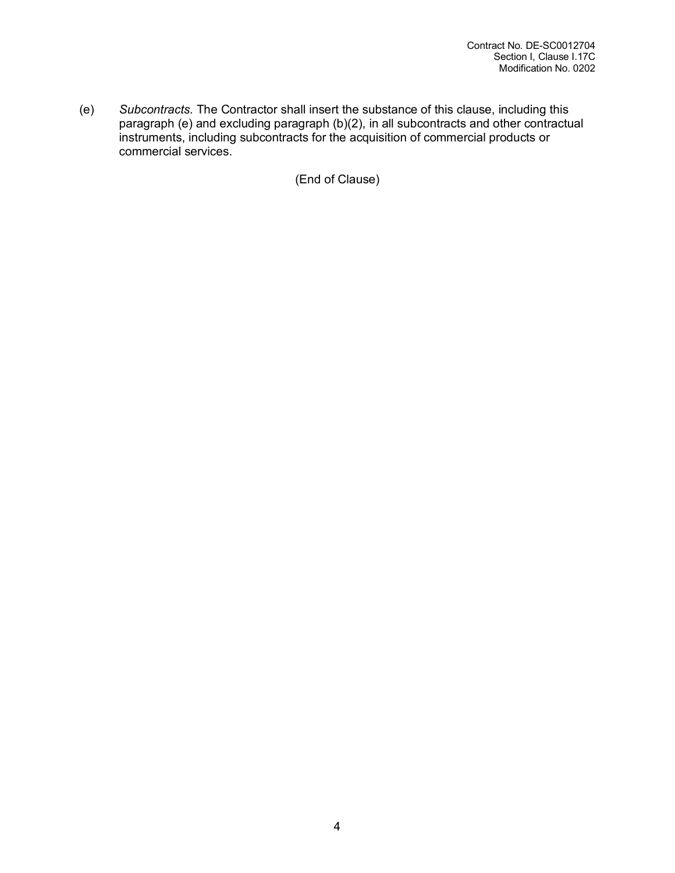(e) *Subcontracts.* The Contractor shall insert the substance of this clause, including this paragraph (e) and excluding paragraph (b)(2), in all subcontracts and other contractual instruments, including subcontracts for the acquisition of commercial products or commercial services.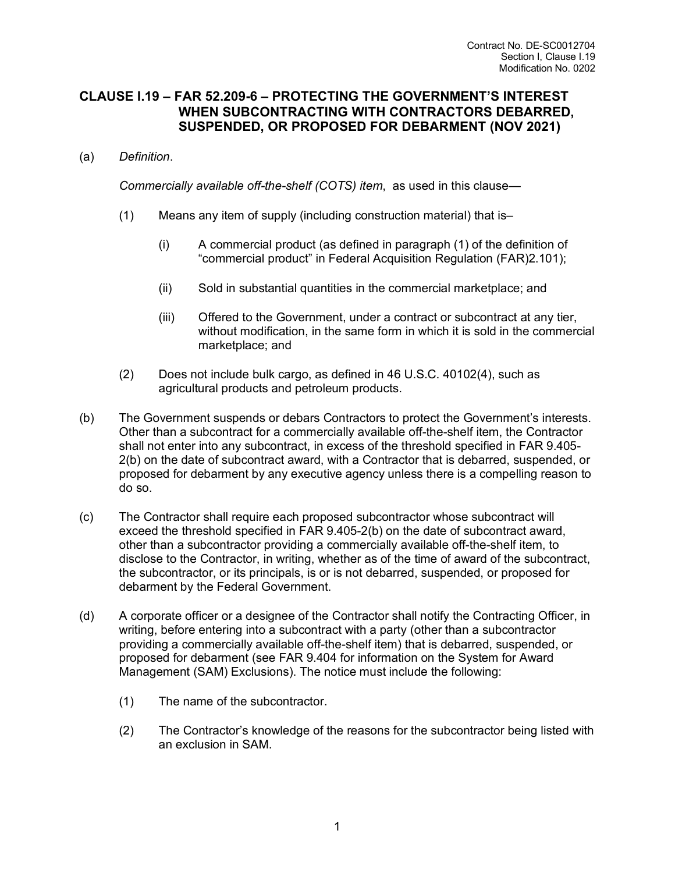#### **CLAUSE I.19 – FAR 52.209-6 – PROTECTING THE GOVERNMENT'S INTEREST WHEN SUBCONTRACTING WITH CONTRACTORS DEBARRED, SUSPENDED, OR PROPOSED FOR DEBARMENT (NOV 2021)**

(a) *Definition*.

*Commercially available off-the-shelf (COTS) item*, as used in this clause—

- (1) Means any item of supply (including construction material) that is–
	- (i) A commercial product (as defined in paragraph (1) of the definition of "commercial product" in Federal Acquisition Regulation (FAR)2.101);
	- (ii) Sold in substantial quantities in the commercial marketplace; and
	- (iii) Offered to the Government, under a contract or subcontract at any tier, without modification, in the same form in which it is sold in the commercial marketplace; and
- (2) Does not include bulk cargo, as defined in [46 U.S.C. 40102\(4\),](http://uscode.house.gov/browse.xhtml;jsessionid=114A3287C7B3359E597506A31FC855B3) such as agricultural products and petroleum products.
- (b) The Government suspends or debars Contractors to protect the Government's interests. Other than a subcontract for a commercially available off-the-shelf item, the Contractor shall not enter into any subcontract, in excess of the threshold specified in FAR 9.405- 2(b) on the date of subcontract award, with a Contractor that is debarred, suspended, or proposed for debarment by any executive agency unless there is a compelling reason to do so.
- (c) The Contractor shall require each proposed subcontractor whose subcontract will exceed the threshold specified in FAR 9.405-2(b) on the date of subcontract award, other than a subcontractor providing a commercially available off-the-shelf item, to disclose to the Contractor, in writing, whether as of the time of award of the subcontract, the subcontractor, or its principals, is or is not debarred, suspended, or proposed for debarment by the Federal Government.
- (d) A corporate officer or a designee of the Contractor shall notify the Contracting Officer, in writing, before entering into a subcontract with a party (other than a subcontractor providing a commercially available off-the-shelf item) that is debarred, suspended, or proposed for debarment (see FAR 9.404 for information on the System for Award Management (SAM) Exclusions). The notice must include the following:
	- (1) The name of the subcontractor.
	- (2) The Contractor's knowledge of the reasons for the subcontractor being listed with an exclusion in SAM.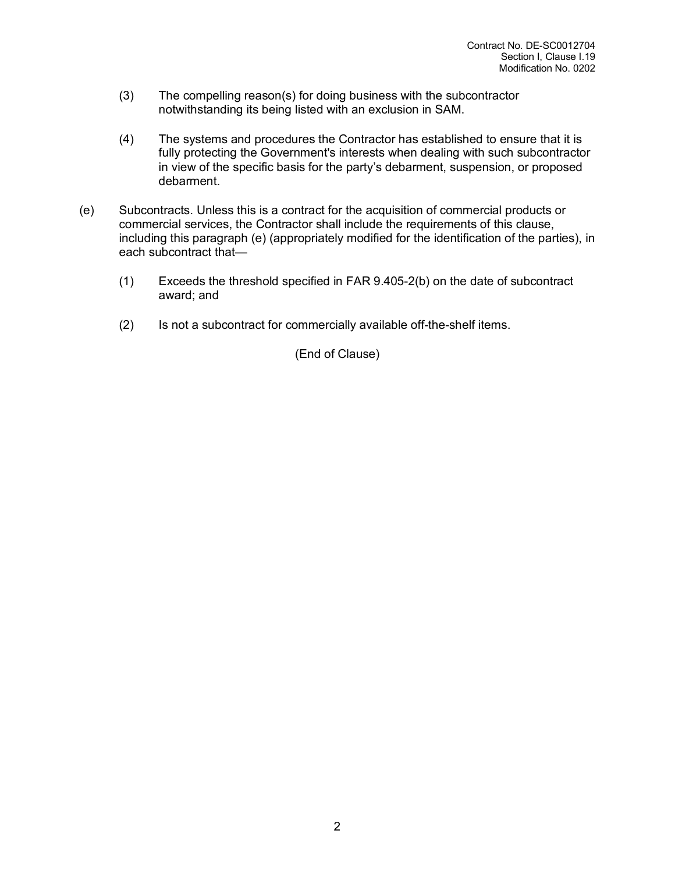- (3) The compelling reason(s) for doing business with the subcontractor notwithstanding its being listed with an exclusion in SAM.
- (4) The systems and procedures the Contractor has established to ensure that it is fully protecting the Government's interests when dealing with such subcontractor in view of the specific basis for the party's debarment, suspension, or proposed debarment.
- (e) Subcontracts. Unless this is a contract for the acquisition of commercial products or commercial services, the Contractor shall include the requirements of this clause, including this paragraph (e) (appropriately modified for the identification of the parties), in each subcontract that—
	- (1) Exceeds the threshold specified in FAR 9.405-2(b) on the date of subcontract award; and
	- (2) Is not a subcontract for commercially available off-the-shelf items.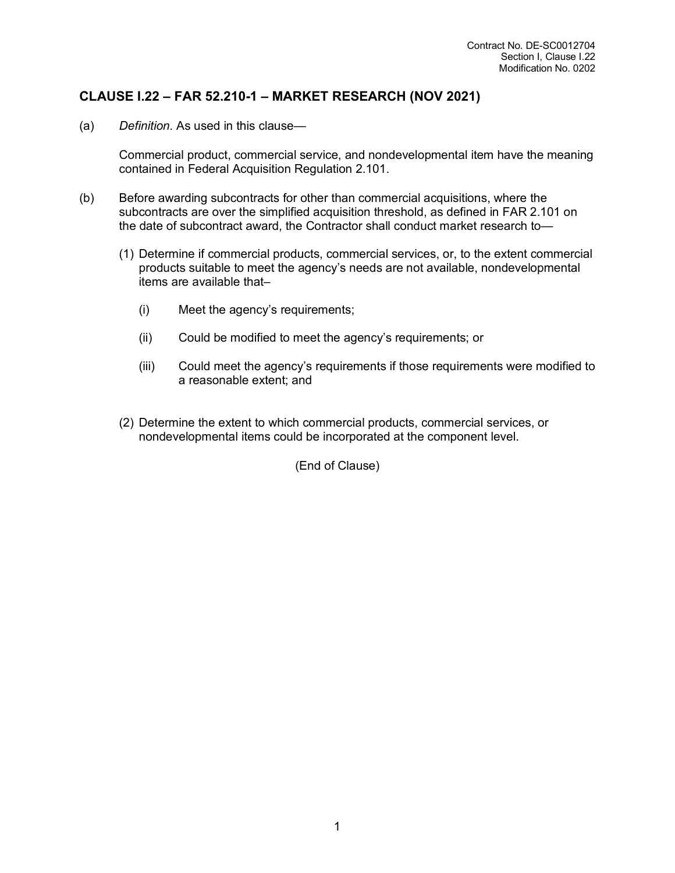# **CLAUSE I.22 – FAR 52.210-1 – MARKET RESEARCH (NOV 2021)**

(a) *Definition.* As used in this clause—

Commercial product, commercial service, and nondevelopmental item have the meaning contained in Federal Acquisition Regulation 2.101.

- (b) Before awarding subcontracts for other than commercial acquisitions, where the subcontracts are over the simplified acquisition threshold, as defined in FAR 2.101 on the date of subcontract award, the Contractor shall conduct market research to—
	- (1) Determine if commercial products, commercial services, or, to the extent commercial products suitable to meet the agency's needs are not available, nondevelopmental items are available that–
		- (i) Meet the agency's requirements;
		- (ii) Could be modified to meet the agency's requirements; or
		- (iii) Could meet the agency's requirements if those requirements were modified to a reasonable extent; and
	- (2) Determine the extent to which commercial products, commercial services, or nondevelopmental items could be incorporated at the component level.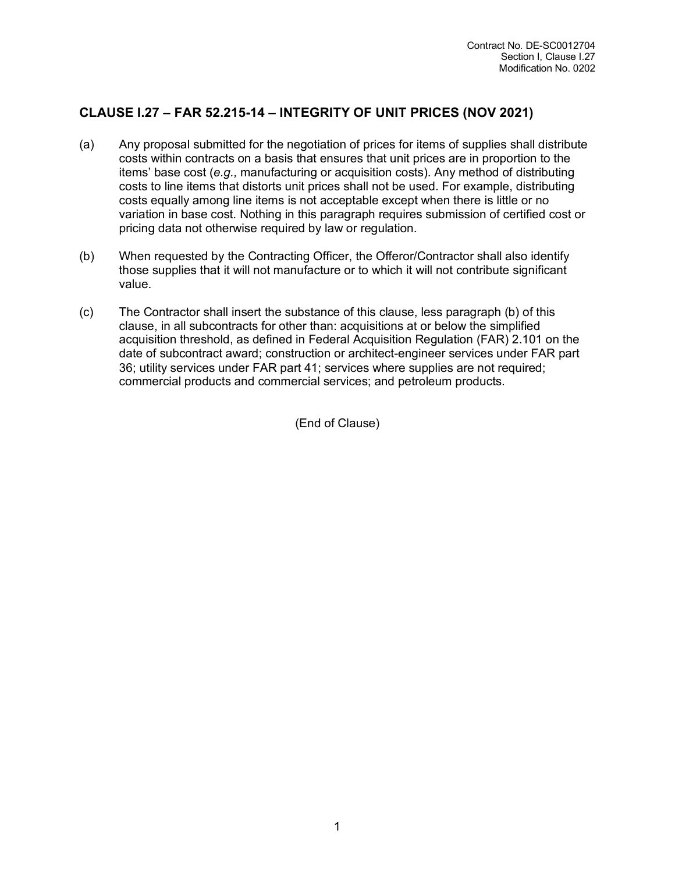# **CLAUSE I.27 – FAR 52.215-14 – INTEGRITY OF UNIT PRICES (NOV 2021)**

- (a) Any proposal submitted for the negotiation of prices for items of supplies shall distribute costs within contracts on a basis that ensures that unit prices are in proportion to the items' base cost (*e.g.,* manufacturing or acquisition costs). Any method of distributing costs to line items that distorts unit prices shall not be used. For example, distributing costs equally among line items is not acceptable except when there is little or no variation in base cost. Nothing in this paragraph requires submission of certified cost or pricing data not otherwise required by law or regulation.
- (b) When requested by the Contracting Officer, the Offeror/Contractor shall also identify those supplies that it will not manufacture or to which it will not contribute significant value.
- (c) The Contractor shall insert the substance of this clause, less paragraph (b) of this clause, in all subcontracts for other than: acquisitions at or below the simplified acquisition threshold, as defined in Federal Acquisition Regulation (FAR) 2.101 on the date of subcontract award; construction or architect-engineer services under FAR part 36; utility services under FAR part 41; services where supplies are not required; commercial products and commercial services; and petroleum products.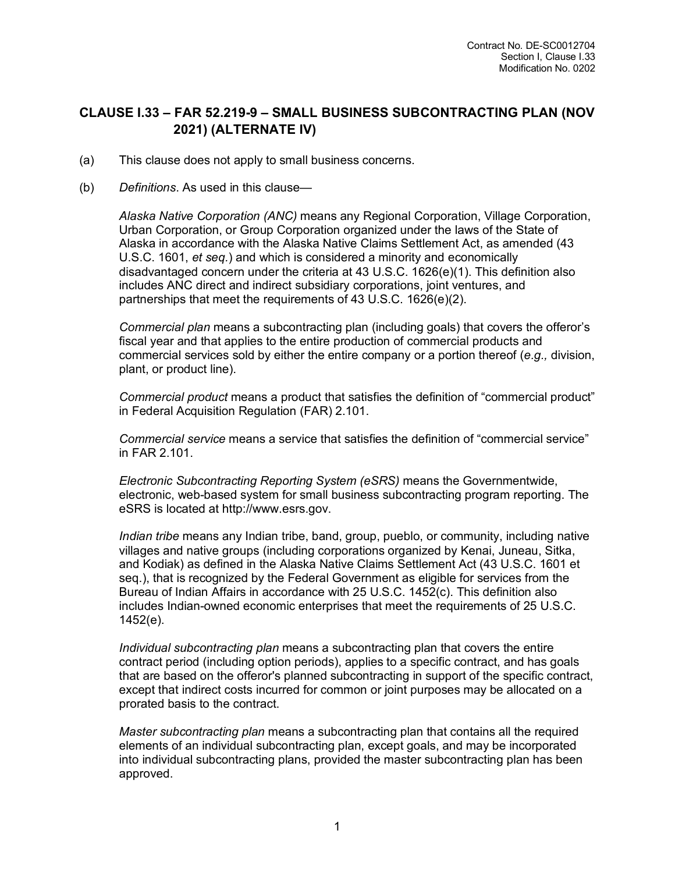# **CLAUSE I.33 – FAR 52.219-9 – SMALL BUSINESS SUBCONTRACTING PLAN (NOV 2021) (ALTERNATE IV)**

- (a) This clause does not apply to small business concerns.
- (b) *Definitions*. As used in this clause—

*Alaska Native Corporation (ANC)* means any Regional Corporation, Village Corporation, Urban Corporation, or Group Corporation organized under the laws of the State of Alaska in accordance with the Alaska Native Claims Settlement Act, as amended [\(43](http://uscode.house.gov/browse.xhtml;jsessionid=114A3287C7B3359E597506A31FC855B3)  [U.S.C. 1601,](http://uscode.house.gov/browse.xhtml;jsessionid=114A3287C7B3359E597506A31FC855B3) *et seq.*) and which is considered a minority and economically disadvantaged concern under the criteria at [43 U.S.C. 1626\(e\)\(1\).](http://uscode.house.gov/browse.xhtml;jsessionid=114A3287C7B3359E597506A31FC855B3) This definition also includes ANC direct and indirect subsidiary corporations, joint ventures, and partnerships that meet the requirements of [43 U.S.C. 1626\(e\)\(2\).](http://uscode.house.gov/browse.xhtml;jsessionid=114A3287C7B3359E597506A31FC855B3)

*Commercial plan* means a subcontracting plan (including goals) that covers the offeror's fiscal year and that applies to the entire production of commercial products and commercial services sold by either the entire company or a portion thereof (*e.g.,* division, plant, or product line).

*Commercial product* means a product that satisfies the definition of "commercial product" in Federal Acquisition Regulation (FAR) 2.101.

*Commercial service* means a service that satisfies the definition of "commercial service" in FAR 2.101.

*Electronic Subcontracting Reporting System (eSRS)* means the Governmentwide, electronic, web-based system for small business subcontracting program reporting. The eSRS is located at [http://www.esrs.gov.](http://www.esrs.gov/)

*Indian tribe* means any Indian tribe, band, group, pueblo, or community, including native villages and native groups (including corporations organized by Kenai, Juneau, Sitka, and Kodiak) as defined in the Alaska Native Claims Settlement Act [\(43 U.S.C. 1601](http://uscode.house.gov/browse.xhtml;jsessionid=114A3287C7B3359E597506A31FC855B3) et seq.), that is recognized by the Federal Government as eligible for services from the Bureau of Indian Affairs in accordance with [25 U.S.C. 1452\(c\).](http://uscode.house.gov/browse.xhtml;jsessionid=114A3287C7B3359E597506A31FC855B3) This definition also includes Indian-owned economic enterprises that meet the requirements of [25 U.S.C.](http://uscode.house.gov/browse.xhtml;jsessionid=114A3287C7B3359E597506A31FC855B3)  [1452\(e\).](http://uscode.house.gov/browse.xhtml;jsessionid=114A3287C7B3359E597506A31FC855B3)

*Individual subcontracting plan* means a subcontracting plan that covers the entire contract period (including option periods), applies to a specific contract, and has goals that are based on the offeror's planned subcontracting in support of the specific contract, except that indirect costs incurred for common or joint purposes may be allocated on a prorated basis to the contract.

*Master subcontracting plan* means a subcontracting plan that contains all the required elements of an individual subcontracting plan, except goals, and may be incorporated into individual subcontracting plans, provided the master subcontracting plan has been approved.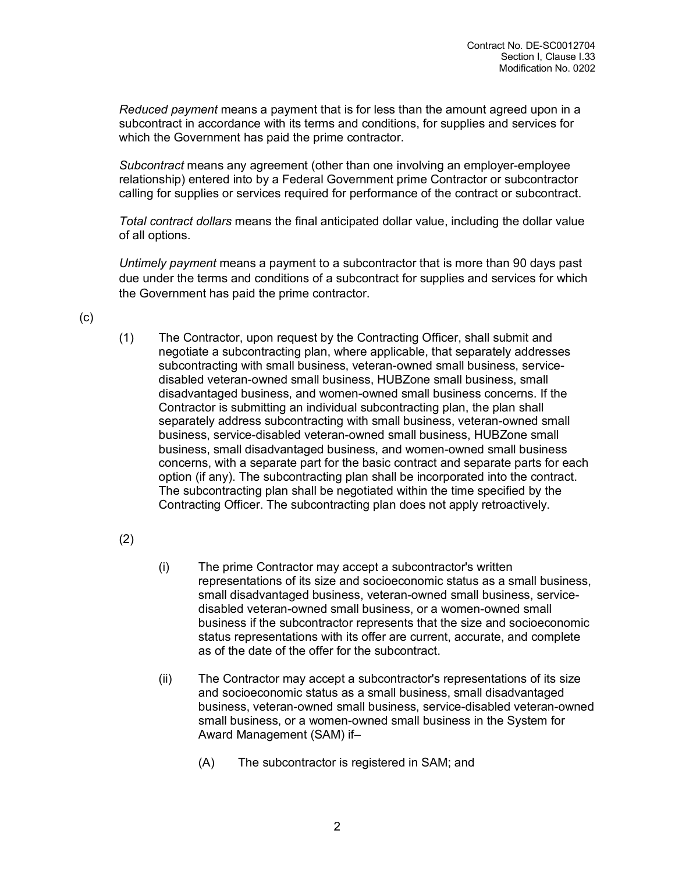*Reduced payment* means a payment that is for less than the amount agreed upon in a subcontract in accordance with its terms and conditions, for supplies and services for which the Government has paid the prime contractor.

*Subcontract* means any agreement (other than one involving an employer-employee relationship) entered into by a Federal Government prime Contractor or subcontractor calling for supplies or services required for performance of the contract or subcontract.

*Total contract dollars* means the final anticipated dollar value, including the dollar value of all options.

*Untimely payment* means a payment to a subcontractor that is more than 90 days past due under the terms and conditions of a subcontract for supplies and services for which the Government has paid the prime contractor.

- (c)
- (1) The Contractor, upon request by the Contracting Officer, shall submit and negotiate a subcontracting plan, where applicable, that separately addresses subcontracting with small business, veteran-owned small business, servicedisabled veteran-owned small business, HUBZone small business, small disadvantaged business, and women-owned small business concerns. If the Contractor is submitting an individual subcontracting plan, the plan shall separately address subcontracting with small business, veteran-owned small business, service-disabled veteran-owned small business, HUBZone small business, small disadvantaged business, and women-owned small business concerns, with a separate part for the basic contract and separate parts for each option (if any). The subcontracting plan shall be incorporated into the contract. The subcontracting plan shall be negotiated within the time specified by the Contracting Officer. The subcontracting plan does not apply retroactively.

(2)

- (i) The prime Contractor may accept a subcontractor's written representations of its size and socioeconomic status as a small business, small disadvantaged business, veteran-owned small business, servicedisabled veteran-owned small business, or a women-owned small business if the subcontractor represents that the size and socioeconomic status representations with its offer are current, accurate, and complete as of the date of the offer for the subcontract.
- (ii) The Contractor may accept a subcontractor's representations of its size and socioeconomic status as a small business, small disadvantaged business, veteran-owned small business, service-disabled veteran-owned small business, or a women-owned small business in the System for Award Management (SAM) if–
	- (A) The subcontractor is registered in SAM; and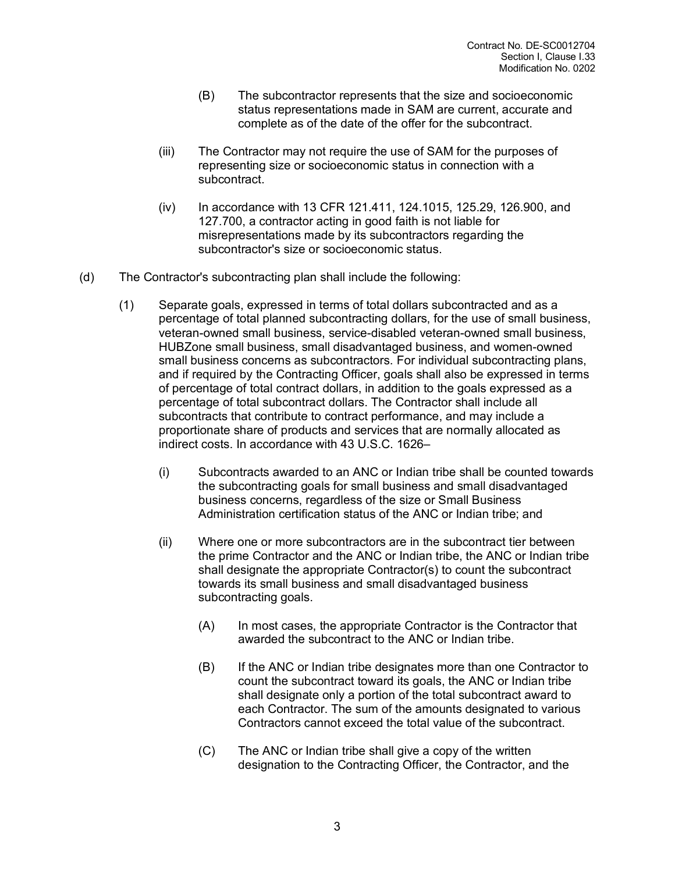- (B) The subcontractor represents that the size and socioeconomic status representations made in SAM are current, accurate and complete as of the date of the offer for the subcontract.
- (iii) The Contractor may not require the use of SAM for the purposes of representing size or socioeconomic status in connection with a subcontract.
- (iv) In accordance with 13 CFR 121.411, 124.1015, 125.29, 126.900, and 127.700, a contractor acting in good faith is not liable for misrepresentations made by its subcontractors regarding the subcontractor's size or socioeconomic status.
- (d) The Contractor's subcontracting plan shall include the following:
	- (1) Separate goals, expressed in terms of total dollars subcontracted and as a percentage of total planned subcontracting dollars, for the use of small business, veteran-owned small business, service-disabled veteran-owned small business, HUBZone small business, small disadvantaged business, and women-owned small business concerns as subcontractors. For individual subcontracting plans, and if required by the Contracting Officer, goals shall also be expressed in terms of percentage of total contract dollars, in addition to the goals expressed as a percentage of total subcontract dollars. The Contractor shall include all subcontracts that contribute to contract performance, and may include a proportionate share of products and services that are normally allocated as indirect costs. In accordance with 43 U.S.C. 1626–
		- (i) Subcontracts awarded to an ANC or Indian tribe shall be counted towards the subcontracting goals for small business and small disadvantaged business concerns, regardless of the size or Small Business Administration certification status of the ANC or Indian tribe; and
		- (ii) Where one or more subcontractors are in the subcontract tier between the prime Contractor and the ANC or Indian tribe, the ANC or Indian tribe shall designate the appropriate Contractor(s) to count the subcontract towards its small business and small disadvantaged business subcontracting goals.
			- (A) In most cases, the appropriate Contractor is the Contractor that awarded the subcontract to the ANC or Indian tribe.
			- (B) If the ANC or Indian tribe designates more than one Contractor to count the subcontract toward its goals, the ANC or Indian tribe shall designate only a portion of the total subcontract award to each Contractor. The sum of the amounts designated to various Contractors cannot exceed the total value of the subcontract.
			- (C) The ANC or Indian tribe shall give a copy of the written designation to the Contracting Officer, the Contractor, and the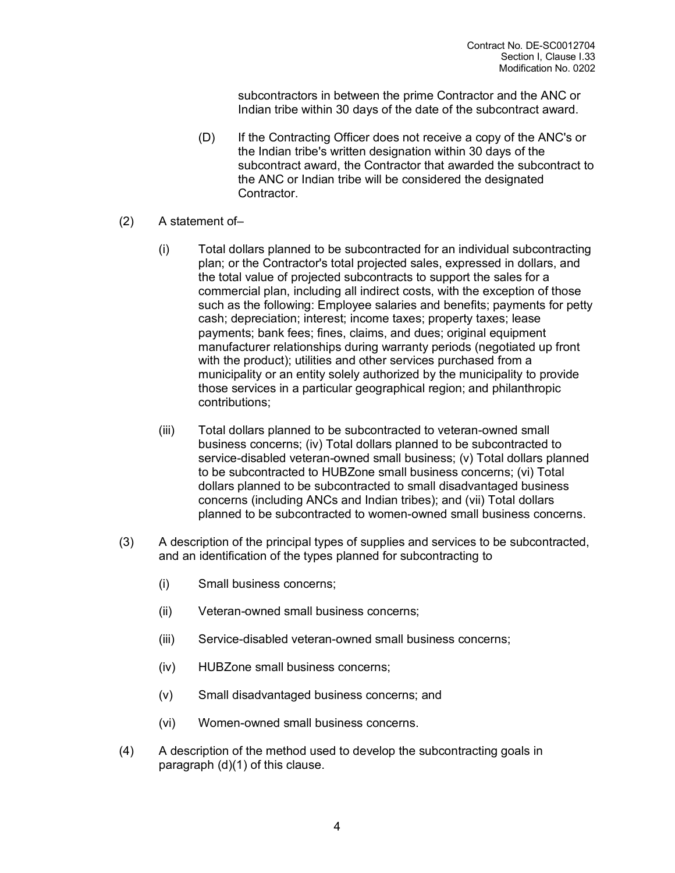subcontractors in between the prime Contractor and the ANC or Indian tribe within 30 days of the date of the subcontract award.

- (D) If the Contracting Officer does not receive a copy of the ANC's or the Indian tribe's written designation within 30 days of the subcontract award, the Contractor that awarded the subcontract to the ANC or Indian tribe will be considered the designated Contractor.
- (2) A statement of–
	- (i) Total dollars planned to be subcontracted for an individual subcontracting plan; or the Contractor's total projected sales, expressed in dollars, and the total value of projected subcontracts to support the sales for a commercial plan, including all indirect costs, with the exception of those such as the following: Employee salaries and benefits; payments for petty cash; depreciation; interest; income taxes; property taxes; lease payments; bank fees; fines, claims, and dues; original equipment manufacturer relationships during warranty periods (negotiated up front with the product); utilities and other services purchased from a municipality or an entity solely authorized by the municipality to provide those services in a particular geographical region; and philanthropic contributions;
	- (iii) Total dollars planned to be subcontracted to veteran-owned small business concerns; (iv) Total dollars planned to be subcontracted to service-disabled veteran-owned small business; (v) Total dollars planned to be subcontracted to HUBZone small business concerns; (vi) Total dollars planned to be subcontracted to small disadvantaged business concerns (including ANCs and Indian tribes); and (vii) Total dollars planned to be subcontracted to women-owned small business concerns.
- (3) A description of the principal types of supplies and services to be subcontracted, and an identification of the types planned for subcontracting to
	- (i) Small business concerns;
	- (ii) Veteran-owned small business concerns;
	- (iii) Service-disabled veteran-owned small business concerns;
	- (iv) HUBZone small business concerns;
	- (v) Small disadvantaged business concerns; and
	- (vi) Women-owned small business concerns.
- (4) A description of the method used to develop the subcontracting goals in paragraph (d)(1) of this clause.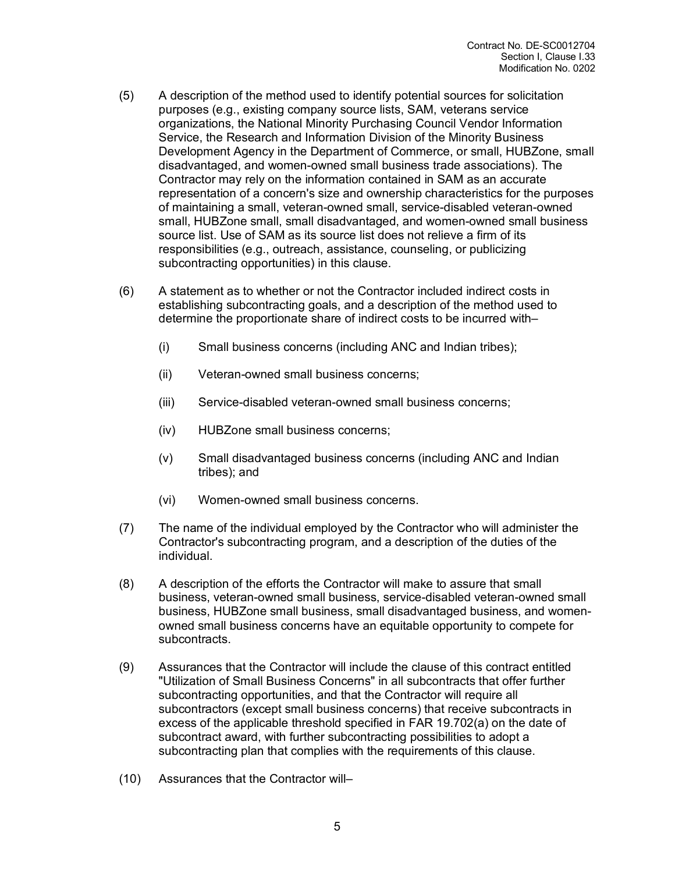- (5) A description of the method used to identify potential sources for solicitation purposes (e.g., existing company source lists, SAM, veterans service organizations, the National Minority Purchasing Council Vendor Information Service, the Research and Information Division of the Minority Business Development Agency in the Department of Commerce, or small, HUBZone, small disadvantaged, and women-owned small business trade associations). The Contractor may rely on the information contained in SAM as an accurate representation of a concern's size and ownership characteristics for the purposes of maintaining a small, veteran-owned small, service-disabled veteran-owned small, HUBZone small, small disadvantaged, and women-owned small business source list. Use of SAM as its source list does not relieve a firm of its responsibilities (e.g., outreach, assistance, counseling, or publicizing subcontracting opportunities) in this clause.
- (6) A statement as to whether or not the Contractor included indirect costs in establishing subcontracting goals, and a description of the method used to determine the proportionate share of indirect costs to be incurred with–
	- (i) Small business concerns (including ANC and Indian tribes);
	- (ii) Veteran-owned small business concerns;
	- (iii) Service-disabled veteran-owned small business concerns;
	- (iv) HUBZone small business concerns;
	- (v) Small disadvantaged business concerns (including ANC and Indian tribes); and
	- (vi) Women-owned small business concerns.
- (7) The name of the individual employed by the Contractor who will administer the Contractor's subcontracting program, and a description of the duties of the individual.
- (8) A description of the efforts the Contractor will make to assure that small business, veteran-owned small business, service-disabled veteran-owned small business, HUBZone small business, small disadvantaged business, and womenowned small business concerns have an equitable opportunity to compete for subcontracts.
- (9) Assurances that the Contractor will include the clause of this contract entitled "Utilization of Small Business Concerns" in all subcontracts that offer further subcontracting opportunities, and that the Contractor will require all subcontractors (except small business concerns) that receive subcontracts in excess of the applicable threshold specified in FAR 19.702(a) on the date of subcontract award, with further subcontracting possibilities to adopt a subcontracting plan that complies with the requirements of this clause.
- (10) Assurances that the Contractor will–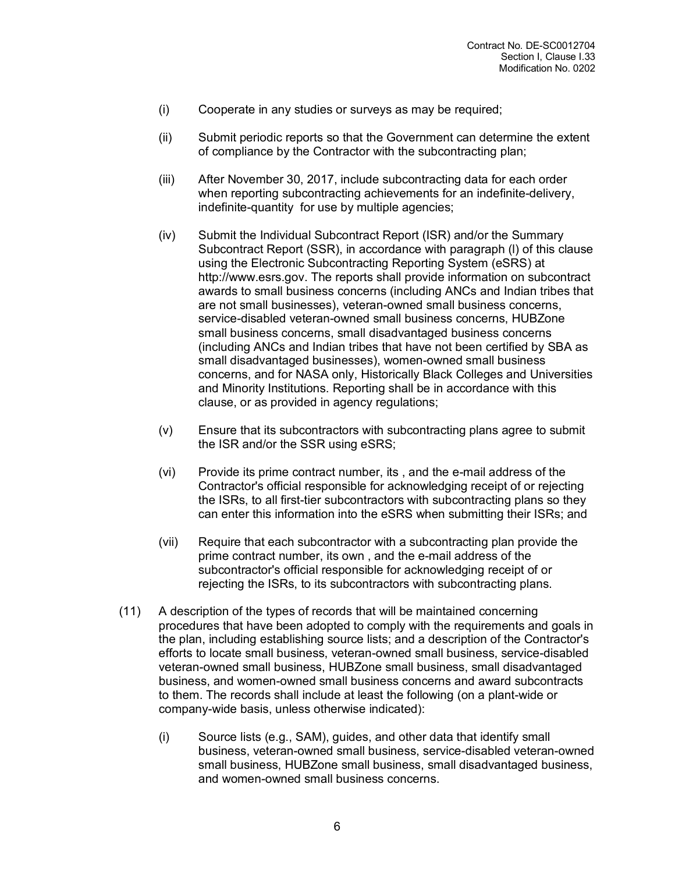- (i) Cooperate in any studies or surveys as may be required;
- (ii) Submit periodic reports so that the Government can determine the extent of compliance by the Contractor with the subcontracting plan;
- (iii) After November 30, 2017, include subcontracting data for each order when reporting subcontracting achievements for an indefinite-delivery, indefinite-quantity for use by multiple agencies;
- (iv) Submit the Individual Subcontract Report (ISR) and/or the Summary Subcontract Report (SSR), in accordance with paragraph (l) of this clause using the Electronic Subcontracting Reporting System (eSRS) at http://www.esrs.gov. The reports shall provide information on subcontract awards to small business concerns (including ANCs and Indian tribes that are not small businesses), veteran-owned small business concerns, service-disabled veteran-owned small business concerns, HUBZone small business concerns, small disadvantaged business concerns (including ANCs and Indian tribes that have not been certified by SBA as small disadvantaged businesses), women-owned small business concerns, and for NASA only, Historically Black Colleges and Universities and Minority Institutions. Reporting shall be in accordance with this clause, or as provided in agency regulations;
- (v) Ensure that its subcontractors with subcontracting plans agree to submit the ISR and/or the SSR using eSRS;
- (vi) Provide its prime contract number, its , and the e-mail address of the Contractor's official responsible for acknowledging receipt of or rejecting the ISRs, to all first-tier subcontractors with subcontracting plans so they can enter this information into the eSRS when submitting their ISRs; and
- (vii) Require that each subcontractor with a subcontracting plan provide the prime contract number, its own , and the e-mail address of the subcontractor's official responsible for acknowledging receipt of or rejecting the ISRs, to its subcontractors with subcontracting plans.
- (11) A description of the types of records that will be maintained concerning procedures that have been adopted to comply with the requirements and goals in the plan, including establishing source lists; and a description of the Contractor's efforts to locate small business, veteran-owned small business, service-disabled veteran-owned small business, HUBZone small business, small disadvantaged business, and women-owned small business concerns and award subcontracts to them. The records shall include at least the following (on a plant-wide or company-wide basis, unless otherwise indicated):
	- (i) Source lists (e.g., SAM), guides, and other data that identify small business, veteran-owned small business, service-disabled veteran-owned small business, HUBZone small business, small disadvantaged business, and women-owned small business concerns.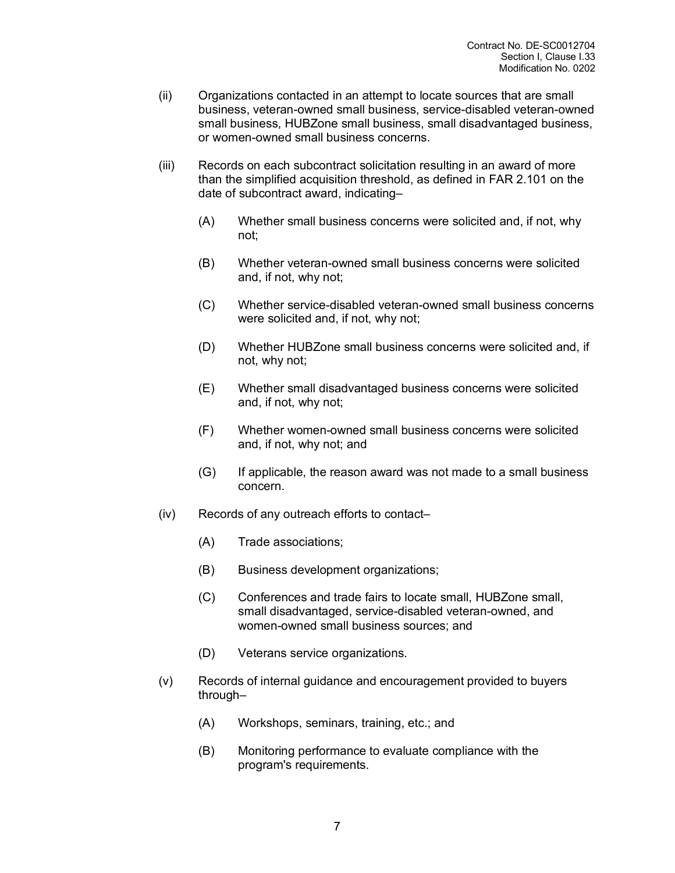- (ii) Organizations contacted in an attempt to locate sources that are small business, veteran-owned small business, service-disabled veteran-owned small business, HUBZone small business, small disadvantaged business, or women-owned small business concerns.
- (iii) Records on each subcontract solicitation resulting in an award of more than the simplified acquisition threshold, as defined in FAR 2.101 on the date of subcontract award, indicating–
	- (A) Whether small business concerns were solicited and, if not, why not;
	- (B) Whether veteran-owned small business concerns were solicited and, if not, why not;
	- (C) Whether service-disabled veteran-owned small business concerns were solicited and, if not, why not;
	- (D) Whether HUBZone small business concerns were solicited and, if not, why not;
	- (E) Whether small disadvantaged business concerns were solicited and, if not, why not;
	- (F) Whether women-owned small business concerns were solicited and, if not, why not; and
	- (G) If applicable, the reason award was not made to a small business concern.
- (iv) Records of any outreach efforts to contact–
	- (A) Trade associations;
	- (B) Business development organizations;
	- (C) Conferences and trade fairs to locate small, HUBZone small, small disadvantaged, service-disabled veteran-owned, and women-owned small business sources; and
	- (D) Veterans service organizations.
- (v) Records of internal guidance and encouragement provided to buyers through–
	- (A) Workshops, seminars, training, etc.; and
	- (B) Monitoring performance to evaluate compliance with the program's requirements.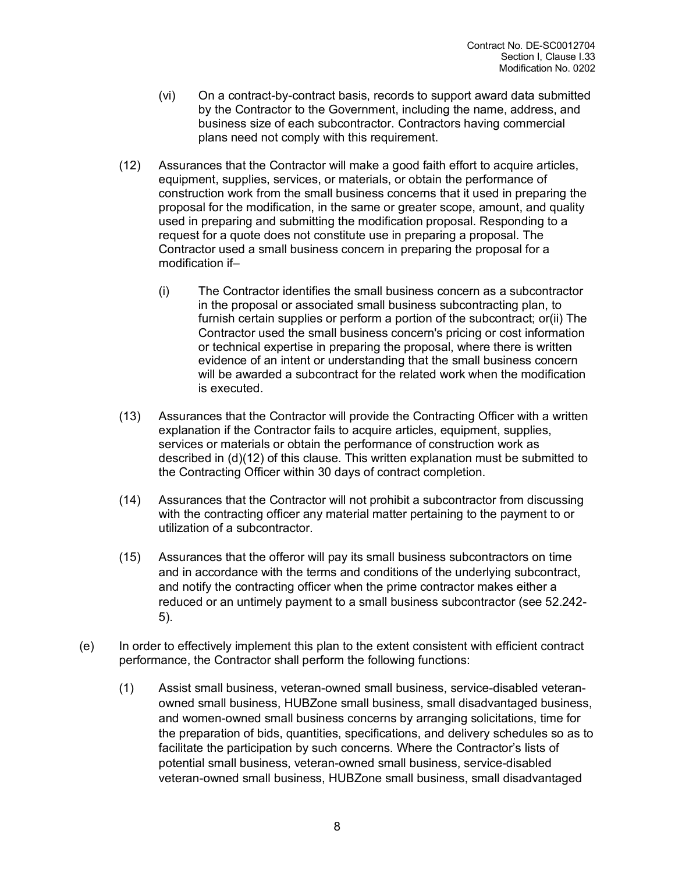- (vi) On a contract-by-contract basis, records to support award data submitted by the Contractor to the Government, including the name, address, and business size of each subcontractor. Contractors having commercial plans need not comply with this requirement.
- (12) Assurances that the Contractor will make a good faith effort to acquire articles, equipment, supplies, services, or materials, or obtain the performance of construction work from the small business concerns that it used in preparing the proposal for the modification, in the same or greater scope, amount, and quality used in preparing and submitting the modification proposal. Responding to a request for a quote does not constitute use in preparing a proposal. The Contractor used a small business concern in preparing the proposal for a modification if–
	- (i) The Contractor identifies the small business concern as a subcontractor in the proposal or associated small business subcontracting plan, to furnish certain supplies or perform a portion of the subcontract; or(ii) The Contractor used the small business concern's pricing or cost information or technical expertise in preparing the proposal, where there is written evidence of an intent or understanding that the small business concern will be awarded a subcontract for the related work when the modification is executed.
- (13) Assurances that the Contractor will provide the Contracting Officer with a written explanation if the Contractor fails to acquire articles, equipment, supplies, services or materials or obtain the performance of construction work as described in (d)(12) of this clause. This written explanation must be submitted to the Contracting Officer within 30 days of contract completion.
- (14) Assurances that the Contractor will not prohibit a subcontractor from discussing with the contracting officer any material matter pertaining to the payment to or utilization of a subcontractor.
- (15) Assurances that the offeror will pay its small business subcontractors on time and in accordance with the terms and conditions of the underlying subcontract, and notify the contracting officer when the prime contractor makes either a reduced or an untimely payment to a small business subcontractor (see 52.242- 5).
- (e) In order to effectively implement this plan to the extent consistent with efficient contract performance, the Contractor shall perform the following functions:
	- (1) Assist small business, veteran-owned small business, service-disabled veteranowned small business, HUBZone small business, small disadvantaged business, and women-owned small business concerns by arranging solicitations, time for the preparation of bids, quantities, specifications, and delivery schedules so as to facilitate the participation by such concerns. Where the Contractor's lists of potential small business, veteran-owned small business, service-disabled veteran-owned small business, HUBZone small business, small disadvantaged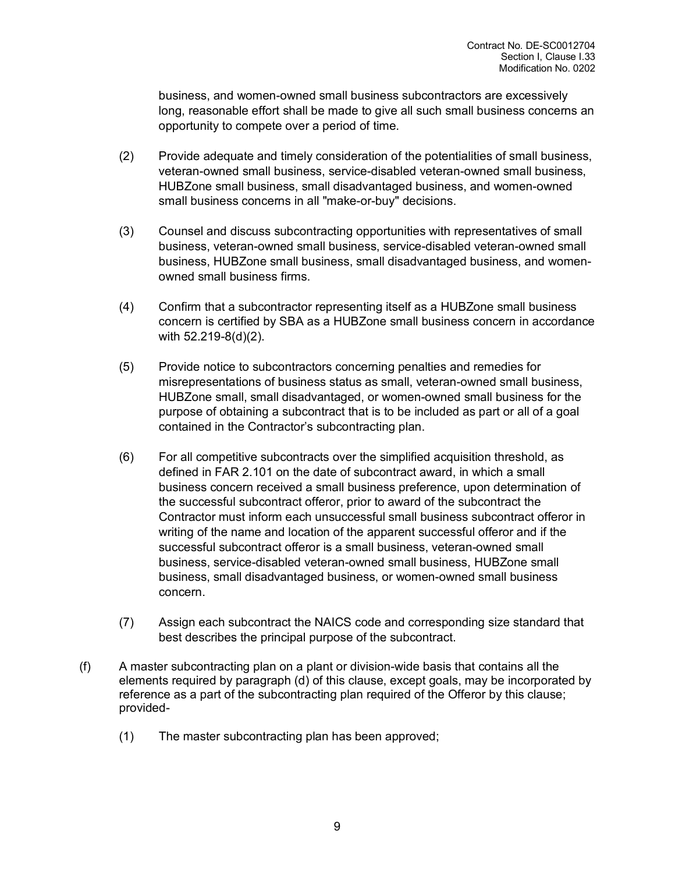business, and women-owned small business subcontractors are excessively long, reasonable effort shall be made to give all such small business concerns an opportunity to compete over a period of time.

- (2) Provide adequate and timely consideration of the potentialities of small business, veteran-owned small business, service-disabled veteran-owned small business, HUBZone small business, small disadvantaged business, and women-owned small business concerns in all "make-or-buy" decisions.
- (3) Counsel and discuss subcontracting opportunities with representatives of small business, veteran-owned small business, service-disabled veteran-owned small business, HUBZone small business, small disadvantaged business, and womenowned small business firms.
- (4) Confirm that a subcontractor representing itself as a HUBZone small business concern is certified by SBA as a HUBZone small business concern in accordance with 52.219-8(d)(2).
- (5) Provide notice to subcontractors concerning penalties and remedies for misrepresentations of business status as small, veteran-owned small business, HUBZone small, small disadvantaged, or women-owned small business for the purpose of obtaining a subcontract that is to be included as part or all of a goal contained in the Contractor's subcontracting plan.
- (6) For all competitive subcontracts over the simplified acquisition threshold, as defined in FAR 2.101 on the date of subcontract award, in which a small business concern received a small business preference, upon determination of the successful subcontract offeror, prior to award of the subcontract the Contractor must inform each unsuccessful small business subcontract offeror in writing of the name and location of the apparent successful offeror and if the successful subcontract offeror is a small business, veteran-owned small business, service-disabled veteran-owned small business, HUBZone small business, small disadvantaged business, or women-owned small business concern.
- (7) Assign each subcontract the NAICS code and corresponding size standard that best describes the principal purpose of the subcontract.
- (f) A master subcontracting plan on a plant or division-wide basis that contains all the elements required by paragraph (d) of this clause, except goals, may be incorporated by reference as a part of the subcontracting plan required of the Offeror by this clause; provided-
	- (1) The master subcontracting plan has been approved;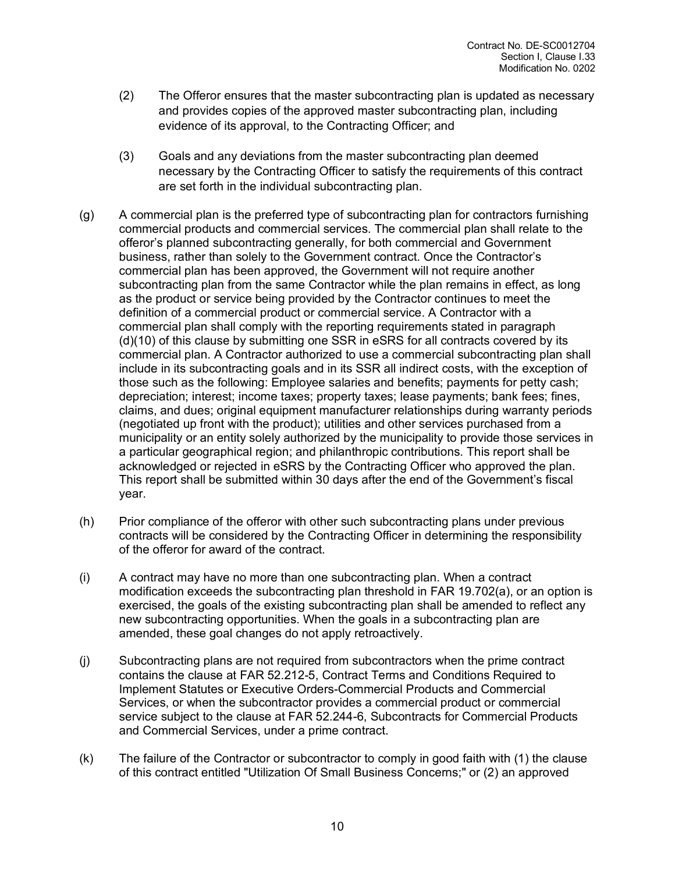- (2) The Offeror ensures that the master subcontracting plan is updated as necessary and provides copies of the approved master subcontracting plan, including evidence of its approval, to the Contracting Officer; and
- (3) Goals and any deviations from the master subcontracting plan deemed necessary by the Contracting Officer to satisfy the requirements of this contract are set forth in the individual subcontracting plan.
- (g) A commercial plan is the preferred type of subcontracting plan for contractors furnishing commercial products and commercial services. The commercial plan shall relate to the offeror's planned subcontracting generally, for both commercial and Government business, rather than solely to the Government contract. Once the Contractor's commercial plan has been approved, the Government will not require another subcontracting plan from the same Contractor while the plan remains in effect, as long as the product or service being provided by the Contractor continues to meet the definition of a commercial product or commercial service. A Contractor with a commercial plan shall comply with the reporting requirements stated in paragraph (d)(10) of this clause by submitting one SSR in eSRS for all contracts covered by its commercial plan. A Contractor authorized to use a commercial subcontracting plan shall include in its subcontracting goals and in its SSR all indirect costs, with the exception of those such as the following: Employee salaries and benefits; payments for petty cash; depreciation; interest; income taxes; property taxes; lease payments; bank fees; fines, claims, and dues; original equipment manufacturer relationships during warranty periods (negotiated up front with the product); utilities and other services purchased from a municipality or an entity solely authorized by the municipality to provide those services in a particular geographical region; and philanthropic contributions. This report shall be acknowledged or rejected in eSRS by the Contracting Officer who approved the plan. This report shall be submitted within 30 days after the end of the Government's fiscal year.
- (h) Prior compliance of the offeror with other such subcontracting plans under previous contracts will be considered by the Contracting Officer in determining the responsibility of the offeror for award of the contract.
- (i) A contract may have no more than one subcontracting plan. When a contract modification exceeds the subcontracting plan threshold in FAR 19.702(a), or an option is exercised, the goals of the existing subcontracting plan shall be amended to reflect any new subcontracting opportunities. When the goals in a subcontracting plan are amended, these goal changes do not apply retroactively.
- (j) Subcontracting plans are not required from subcontractors when the prime contract contains the clause at FAR 52.212-5, Contract Terms and Conditions Required to Implement Statutes or Executive Orders-Commercial Products and Commercial Services, or when the subcontractor provides a commercial product or commercial service subject to the clause at FAR 52.244-6, Subcontracts for Commercial Products and Commercial Services, under a prime contract.
- (k) The failure of the Contractor or subcontractor to comply in good faith with (1) the clause of this contract entitled "Utilization Of Small Business Concerns;" or (2) an approved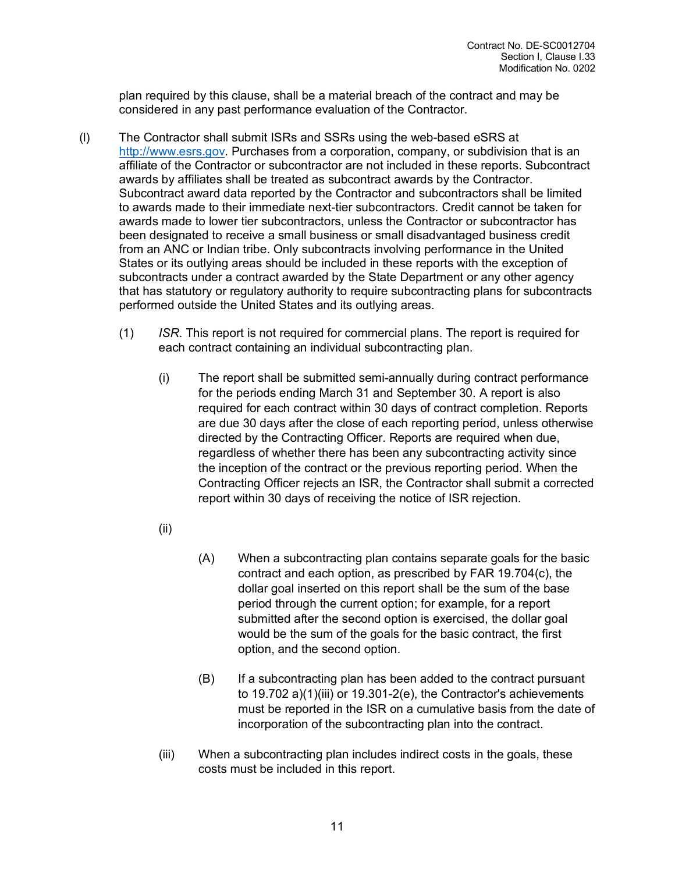plan required by this clause, shall be a material breach of the contract and may be considered in any past performance evaluation of the Contractor.

- (l) The Contractor shall submit ISRs and SSRs using the web-based eSRS at [http://www.esrs.gov.](http://www.esrs.gov/) Purchases from a corporation, company, or subdivision that is an affiliate of the Contractor or subcontractor are not included in these reports. Subcontract awards by affiliates shall be treated as subcontract awards by the Contractor. Subcontract award data reported by the Contractor and subcontractors shall be limited to awards made to their immediate next-tier subcontractors. Credit cannot be taken for awards made to lower tier subcontractors, unless the Contractor or subcontractor has been designated to receive a small business or small disadvantaged business credit from an ANC or Indian tribe. Only subcontracts involving performance in the United States or its outlying areas should be included in these reports with the exception of subcontracts under a contract awarded by the State Department or any other agency that has statutory or regulatory authority to require subcontracting plans for subcontracts performed outside the United States and its outlying areas.
	- (1) *ISR*. This report is not required for commercial plans. The report is required for each contract containing an individual subcontracting plan.
		- (i) The report shall be submitted semi-annually during contract performance for the periods ending March 31 and September 30. A report is also required for each contract within 30 days of contract completion. Reports are due 30 days after the close of each reporting period, unless otherwise directed by the Contracting Officer. Reports are required when due, regardless of whether there has been any subcontracting activity since the inception of the contract or the previous reporting period. When the Contracting Officer rejects an ISR, the Contractor shall submit a corrected report within 30 days of receiving the notice of ISR rejection.
		- (ii)
- (A) When a subcontracting plan contains separate goals for the basic contract and each option, as prescribed by FAR 19.704(c), the dollar goal inserted on this report shall be the sum of the base period through the current option; for example, for a report submitted after the second option is exercised, the dollar goal would be the sum of the goals for the basic contract, the first option, and the second option.
- (B) If a subcontracting plan has been added to the contract pursuant to 19.702 a)(1)(iii) or 19.301-2(e), the Contractor's achievements must be reported in the ISR on a cumulative basis from the date of incorporation of the subcontracting plan into the contract.
- (iii) When a subcontracting plan includes indirect costs in the goals, these costs must be included in this report.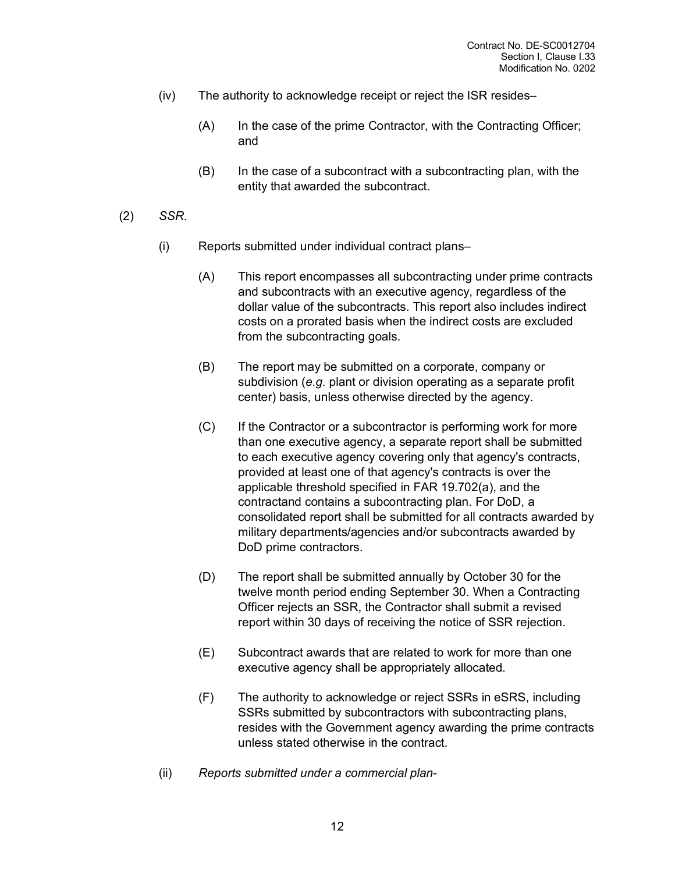- (iv) The authority to acknowledge receipt or reject the ISR resides–
	- (A) In the case of the prime Contractor, with the Contracting Officer; and
	- $(B)$  In the case of a subcontract with a subcontracting plan, with the entity that awarded the subcontract.
- (2) *SSR*.
	- (i) Reports submitted under individual contract plans–
		- (A) This report encompasses all subcontracting under prime contracts and subcontracts with an executive agency, regardless of the dollar value of the subcontracts. This report also includes indirect costs on a prorated basis when the indirect costs are excluded from the subcontracting goals.
		- (B) The report may be submitted on a corporate, company or subdivision (*e.g.* plant or division operating as a separate profit center) basis, unless otherwise directed by the agency.
		- (C) If the Contractor or a subcontractor is performing work for more than one executive agency, a separate report shall be submitted to each executive agency covering only that agency's contracts, provided at least one of that agency's contracts is over the applicable threshold specified in FAR 19.702(a), and the contractand contains a subcontracting plan. For DoD, a consolidated report shall be submitted for all contracts awarded by military departments/agencies and/or subcontracts awarded by DoD prime contractors.
		- (D) The report shall be submitted annually by October 30 for the twelve month period ending September 30. When a Contracting Officer rejects an SSR, the Contractor shall submit a revised report within 30 days of receiving the notice of SSR rejection.
		- (E) Subcontract awards that are related to work for more than one executive agency shall be appropriately allocated.
		- (F) The authority to acknowledge or reject SSRs in eSRS, including SSRs submitted by subcontractors with subcontracting plans, resides with the Government agency awarding the prime contracts unless stated otherwise in the contract.
	- (ii) *Reports submitted under a commercial plan*-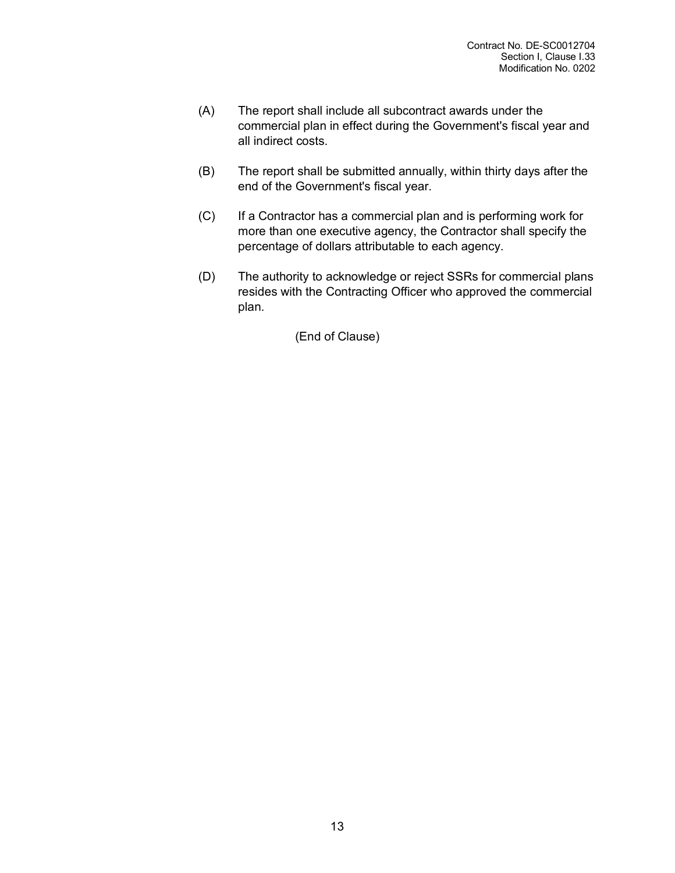- (A) The report shall include all subcontract awards under the commercial plan in effect during the Government's fiscal year and all indirect costs.
- (B) The report shall be submitted annually, within thirty days after the end of the Government's fiscal year.
- (C) If a Contractor has a commercial plan and is performing work for more than one executive agency, the Contractor shall specify the percentage of dollars attributable to each agency.
- (D) The authority to acknowledge or reject SSRs for commercial plans resides with the Contracting Officer who approved the commercial plan.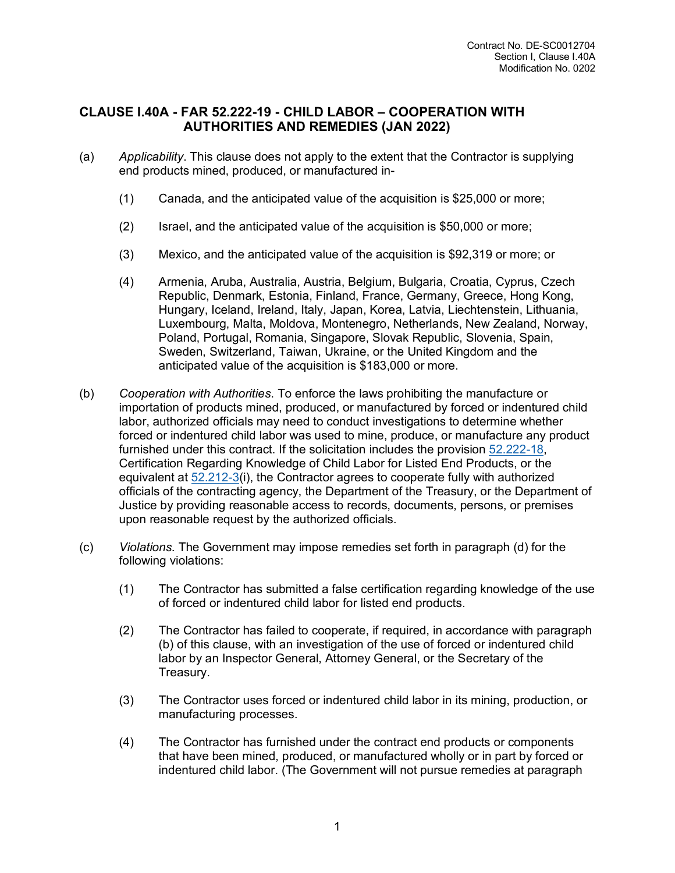#### **CLAUSE I.40A - FAR 52.222-19 - CHILD LABOR – COOPERATION WITH AUTHORITIES AND REMEDIES (JAN 2022)**

- (a) *Applicability*. This clause does not apply to the extent that the Contractor is supplying end products mined, produced, or manufactured in-
	- (1) Canada, and the anticipated value of the acquisition is \$25,000 or more;
	- (2) Israel, and the anticipated value of the acquisition is \$50,000 or more;
	- (3) Mexico, and the anticipated value of the acquisition is \$92,319 or more; or
	- (4) Armenia, Aruba, Australia, Austria, Belgium, Bulgaria, Croatia, Cyprus, Czech Republic, Denmark, Estonia, Finland, France, Germany, Greece, Hong Kong, Hungary, Iceland, Ireland, Italy, Japan, Korea, Latvia, Liechtenstein, Lithuania, Luxembourg, Malta, Moldova, Montenegro, Netherlands, New Zealand, Norway, Poland, Portugal, Romania, Singapore, Slovak Republic, Slovenia, Spain, Sweden, Switzerland, Taiwan, Ukraine, or the United Kingdom and the anticipated value of the acquisition is \$183,000 or more.
- (b) *Cooperation with Authorities*. To enforce the laws prohibiting the manufacture or importation of products mined, produced, or manufactured by forced or indentured child labor, authorized officials may need to conduct investigations to determine whether forced or indentured child labor was used to mine, produce, or manufacture any product furnished under this contract. If the solicitation includes the provision [52.222-18,](https://www.acquisition.gov/far/part-52#FAR_52_222_18) Certification Regarding Knowledge of Child Labor for Listed End Products, or the equivalent at [52.212-3\(](https://www.acquisition.gov/far/part-52#FAR_52_212_3)i), the Contractor agrees to cooperate fully with authorized officials of the contracting agency, the Department of the Treasury, or the Department of Justice by providing reasonable access to records, documents, persons, or premises upon reasonable request by the authorized officials.
- (c) *Violations*. The Government may impose remedies set forth in paragraph (d) for the following violations:
	- (1) The Contractor has submitted a false certification regarding knowledge of the use of forced or indentured child labor for listed end products.
	- (2) The Contractor has failed to cooperate, if required, in accordance with paragraph (b) of this clause, with an investigation of the use of forced or indentured child labor by an Inspector General, Attorney General, or the Secretary of the Treasury.
	- (3) The Contractor uses forced or indentured child labor in its mining, production, or manufacturing processes.
	- (4) The Contractor has furnished under the contract end products or components that have been mined, produced, or manufactured wholly or in part by forced or indentured child labor. (The Government will not pursue remedies at paragraph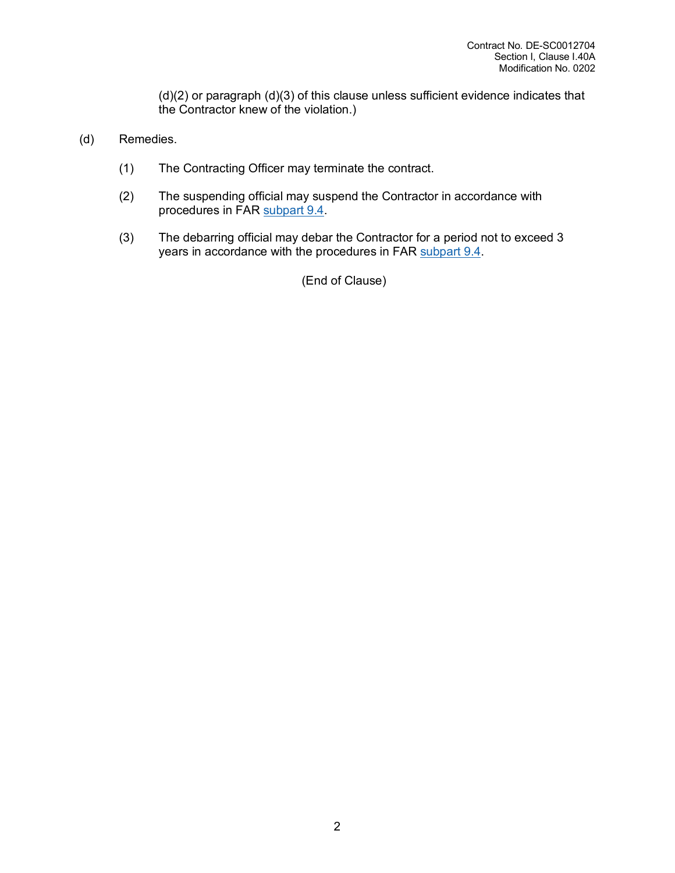(d)(2) or paragraph (d)(3) of this clause unless sufficient evidence indicates that the Contractor knew of the violation.)

- (d) Remedies.
	- (1) The Contracting Officer may terminate the contract.
	- (2) The suspending official may suspend the Contractor in accordance with procedures in FAR [subpart](https://www.acquisition.gov/far/part-9#FAR_Subpart_9_4) 9.4.
	- (3) The debarring official may debar the Contractor for a period not to exceed 3 years in accordance with the procedures in FAR [subpart](https://www.acquisition.gov/far/part-9#FAR_Subpart_9_4) 9.4.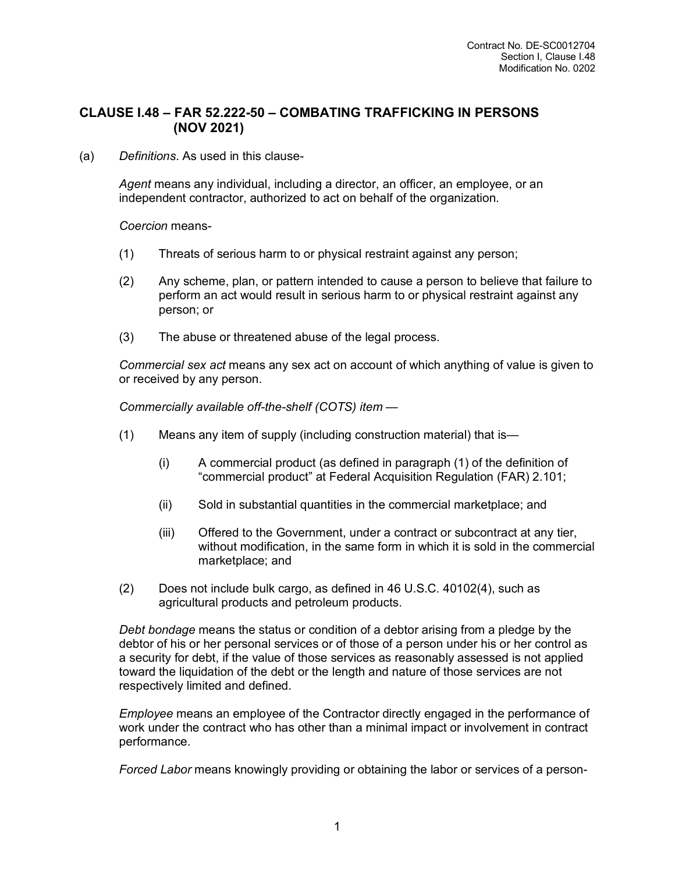#### **CLAUSE I.48 – FAR 52.222-50 – COMBATING TRAFFICKING IN PERSONS (NOV 2021)**

(a) *Definitions*. As used in this clause-

*Agent* means any individual, including a director, an officer, an employee, or an independent contractor, authorized to act on behalf of the organization.

*Coercion* means-

- (1) Threats of serious harm to or physical restraint against any person;
- (2) Any scheme, plan, or pattern intended to cause a person to believe that failure to perform an act would result in serious harm to or physical restraint against any person; or
- (3) The abuse or threatened abuse of the legal process.

*Commercial sex act* means any sex act on account of which anything of value is given to or received by any person.

*Commercially available off-the-shelf (COTS) item* —

- (1) Means any item of supply (including construction material) that is—
	- (i) A commercial product (as defined in paragraph (1) of the definition of "commercial product" at Federal Acquisition Regulation (FAR) 2.101;
	- (ii) Sold in substantial quantities in the commercial marketplace; and
	- (iii) Offered to the Government, under a contract or subcontract at any tier, without modification, in the same form in which it is sold in the commercial marketplace; and
- (2) Does not include bulk cargo, as defined in [46 U.S.C. 40102\(4\),](http://uscode.house.gov/browse.xhtml;jsessionid=114A3287C7B3359E597506A31FC855B3) such as agricultural products and petroleum products.

*Debt bondage* means the status or condition of a debtor arising from a pledge by the debtor of his or her personal services or of those of a person under his or her control as a security for debt, if the value of those services as reasonably assessed is not applied toward the liquidation of the debt or the length and nature of those services are not respectively limited and defined.

*Employee* means an employee of the Contractor directly engaged in the performance of work under the contract who has other than a minimal impact or involvement in contract performance.

*Forced Labor* means knowingly providing or obtaining the labor or services of a person-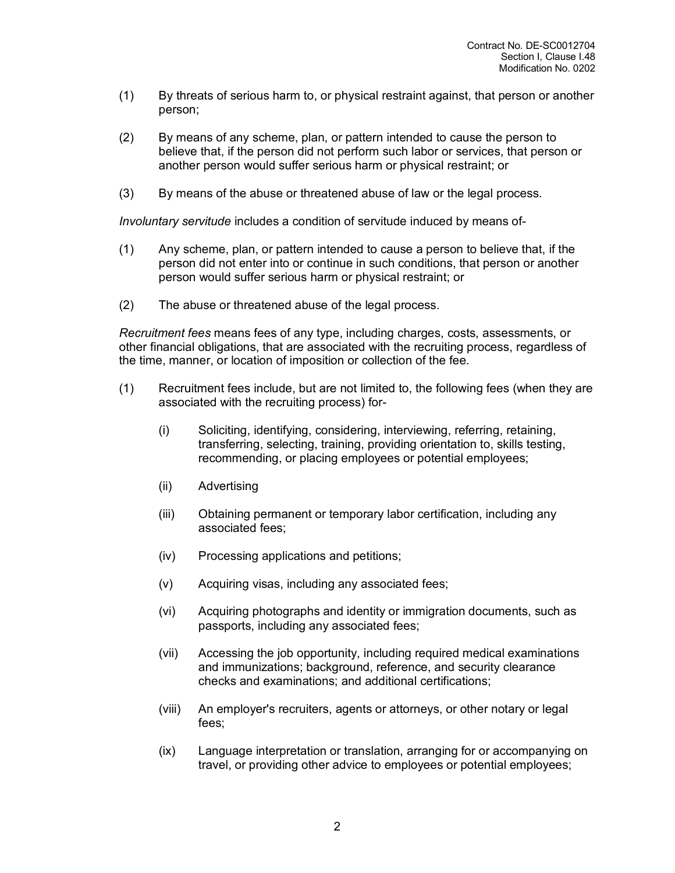- (1) By threats of serious harm to, or physical restraint against, that person or another person;
- (2) By means of any scheme, plan, or pattern intended to cause the person to believe that, if the person did not perform such labor or services, that person or another person would suffer serious harm or physical restraint; or
- (3) By means of the abuse or threatened abuse of law or the legal process.

*Involuntary servitude* includes a condition of servitude induced by means of-

- (1) Any scheme, plan, or pattern intended to cause a person to believe that, if the person did not enter into or continue in such conditions, that person or another person would suffer serious harm or physical restraint; or
- (2) The abuse or threatened abuse of the legal process.

*Recruitment fees* means fees of any type, including charges, costs, assessments, or other financial obligations, that are associated with the recruiting process, regardless of the time, manner, or location of imposition or collection of the fee.

- (1) Recruitment fees include, but are not limited to, the following fees (when they are associated with the recruiting process) for-
	- (i) Soliciting, identifying, considering, interviewing, referring, retaining, transferring, selecting, training, providing orientation to, skills testing, recommending, or placing employees or potential employees;
	- (ii) Advertising
	- (iii) Obtaining permanent or temporary labor certification, including any associated fees;
	- (iv) Processing applications and petitions;
	- (v) Acquiring visas, including any associated fees;
	- (vi) Acquiring photographs and identity or immigration documents, such as passports, including any associated fees;
	- (vii) Accessing the job opportunity, including required medical examinations and immunizations; background, reference, and security clearance checks and examinations; and additional certifications;
	- (viii) An employer's recruiters, agents or attorneys, or other notary or legal fees;
	- (ix) Language interpretation or translation, arranging for or accompanying on travel, or providing other advice to employees or potential employees;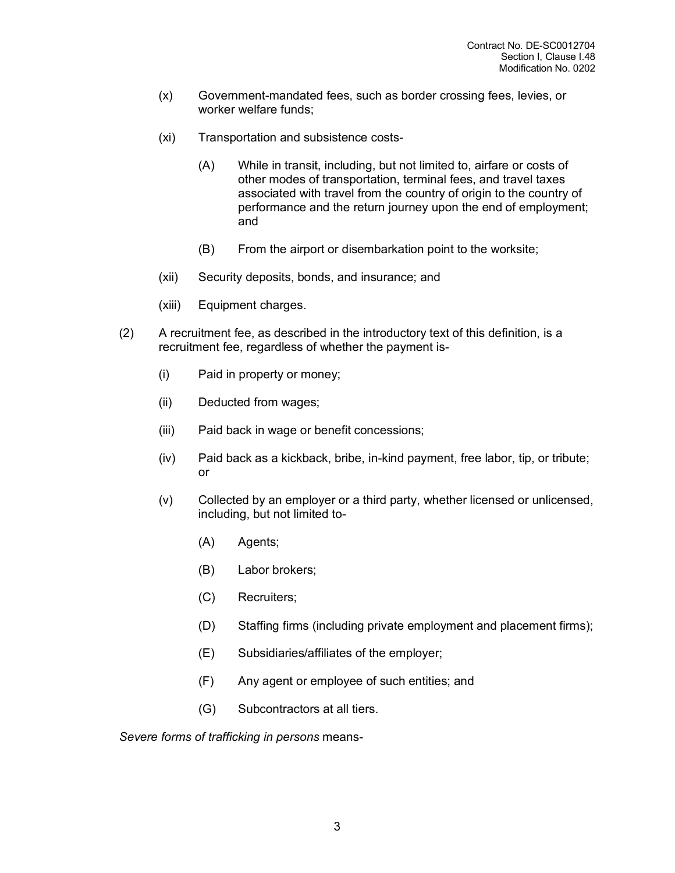- (x) Government-mandated fees, such as border crossing fees, levies, or worker welfare funds;
- (xi) Transportation and subsistence costs-
	- (A) While in transit, including, but not limited to, airfare or costs of other modes of transportation, terminal fees, and travel taxes associated with travel from the country of origin to the country of performance and the return journey upon the end of employment; and
	- (B) From the airport or disembarkation point to the worksite;
- (xii) Security deposits, bonds, and insurance; and
- (xiii) Equipment charges.
- (2) A recruitment fee, as described in the introductory text of this definition, is a recruitment fee, regardless of whether the payment is-
	- (i) Paid in property or money;
	- (ii) Deducted from wages;
	- (iii) Paid back in wage or benefit concessions;
	- (iv) Paid back as a kickback, bribe, in-kind payment, free labor, tip, or tribute; or
	- (v) Collected by an employer or a third party, whether licensed or unlicensed, including, but not limited to-
		- (A) Agents;
		- (B) Labor brokers;
		- (C) Recruiters;
		- (D) Staffing firms (including private employment and placement firms);
		- (E) Subsidiaries/affiliates of the employer;
		- (F) Any agent or employee of such entities; and
		- (G) Subcontractors at all tiers.

*Severe forms of trafficking in persons* means-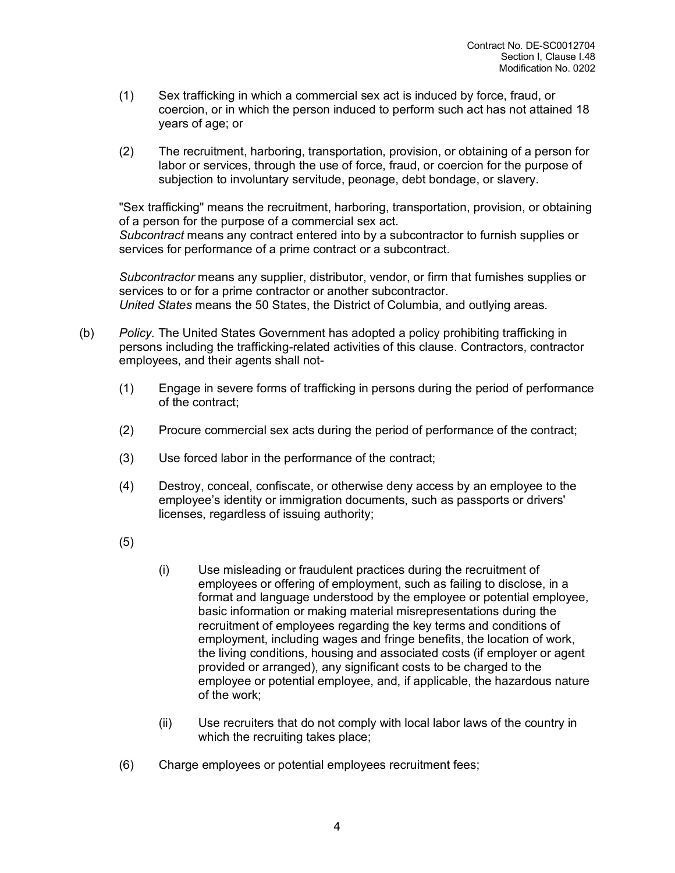- (1) Sex trafficking in which a commercial sex act is induced by force, fraud, or coercion, or in which the person induced to perform such act has not attained 18 years of age; or
- (2) The recruitment, harboring, transportation, provision, or obtaining of a person for labor or services, through the use of force, fraud, or coercion for the purpose of subjection to involuntary servitude, peonage, debt bondage, or slavery.

"Sex trafficking" means the recruitment, harboring, transportation, provision, or obtaining of a person for the purpose of a commercial sex act. *Subcontract* means any contract entered into by a subcontractor to furnish supplies or services for performance of a prime contract or a subcontract.

*Subcontractor* means any supplier, distributor, vendor, or firm that furnishes supplies or services to or for a prime contractor or another subcontractor. *United States* means the 50 States, the District of Columbia, and outlying areas.

- (b) *Policy.* The United States Government has adopted a policy prohibiting trafficking in persons including the trafficking-related activities of this clause. Contractors, contractor employees, and their agents shall not-
	- (1) Engage in severe forms of trafficking in persons during the period of performance of the contract;
	- (2) Procure commercial sex acts during the period of performance of the contract;
	- (3) Use forced labor in the performance of the contract;
	- (4) Destroy, conceal, confiscate, or otherwise deny access by an employee to the employee's identity or immigration documents, such as passports or drivers' licenses, regardless of issuing authority;
	- (5)
- (i) Use misleading or fraudulent practices during the recruitment of employees or offering of employment, such as failing to disclose, in a format and language understood by the employee or potential employee, basic information or making material misrepresentations during the recruitment of employees regarding the key terms and conditions of employment, including wages and fringe benefits, the location of work, the living conditions, housing and associated costs (if employer or agent provided or arranged), any significant costs to be charged to the employee or potential employee, and, if applicable, the hazardous nature of the work;
- (ii) Use recruiters that do not comply with local labor laws of the country in which the recruiting takes place;
- (6) Charge employees or potential employees recruitment fees;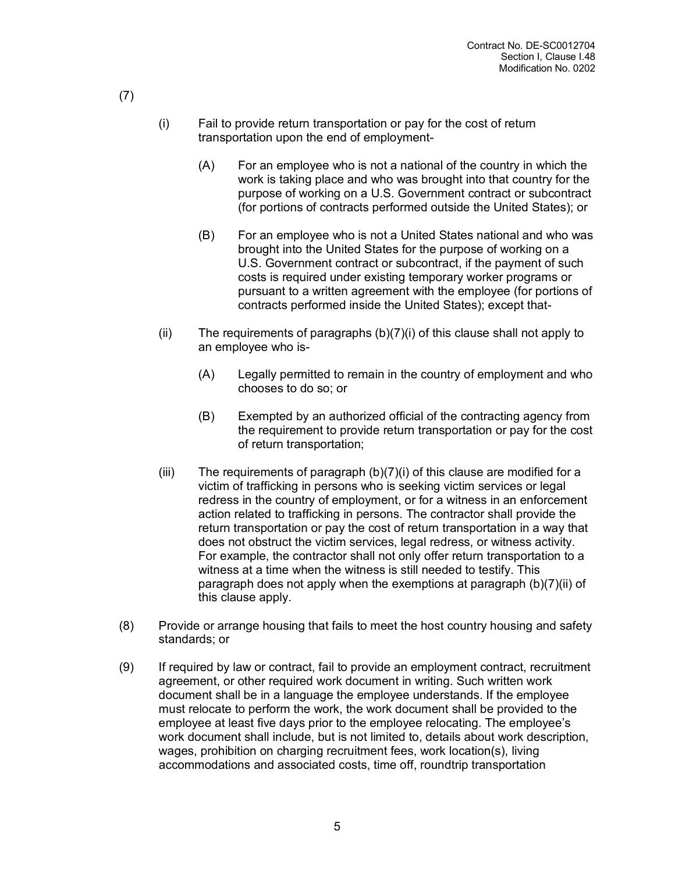- (i) Fail to provide return transportation or pay for the cost of return transportation upon the end of employment-
	- (A) For an employee who is not a national of the country in which the work is taking place and who was brought into that country for the purpose of working on a U.S. Government contract or subcontract (for portions of contracts performed outside the United States); or
	- (B) For an employee who is not a United States national and who was brought into the United States for the purpose of working on a U.S. Government contract or subcontract, if the payment of such costs is required under existing temporary worker programs or pursuant to a written agreement with the employee (for portions of contracts performed inside the United States); except that-
- (ii) The requirements of paragraphs (b)(7)(i) of this clause shall not apply to an employee who is-
	- (A) Legally permitted to remain in the country of employment and who chooses to do so; or
	- (B) Exempted by an authorized official of the contracting agency from the requirement to provide return transportation or pay for the cost of return transportation;
- (iii) The requirements of paragraph (b)(7)(i) of this clause are modified for a victim of trafficking in persons who is seeking victim services or legal redress in the country of employment, or for a witness in an enforcement action related to trafficking in persons. The contractor shall provide the return transportation or pay the cost of return transportation in a way that does not obstruct the victim services, legal redress, or witness activity. For example, the contractor shall not only offer return transportation to a witness at a time when the witness is still needed to testify. This paragraph does not apply when the exemptions at paragraph (b)(7)(ii) of this clause apply.
- (8) Provide or arrange housing that fails to meet the host country housing and safety standards; or
- (9) If required by law or contract, fail to provide an employment contract, recruitment agreement, or other required work document in writing. Such written work document shall be in a language the employee understands. If the employee must relocate to perform the work, the work document shall be provided to the employee at least five days prior to the employee relocating. The employee's work document shall include, but is not limited to, details about work description, wages, prohibition on charging recruitment fees, work location(s), living accommodations and associated costs, time off, roundtrip transportation

(7)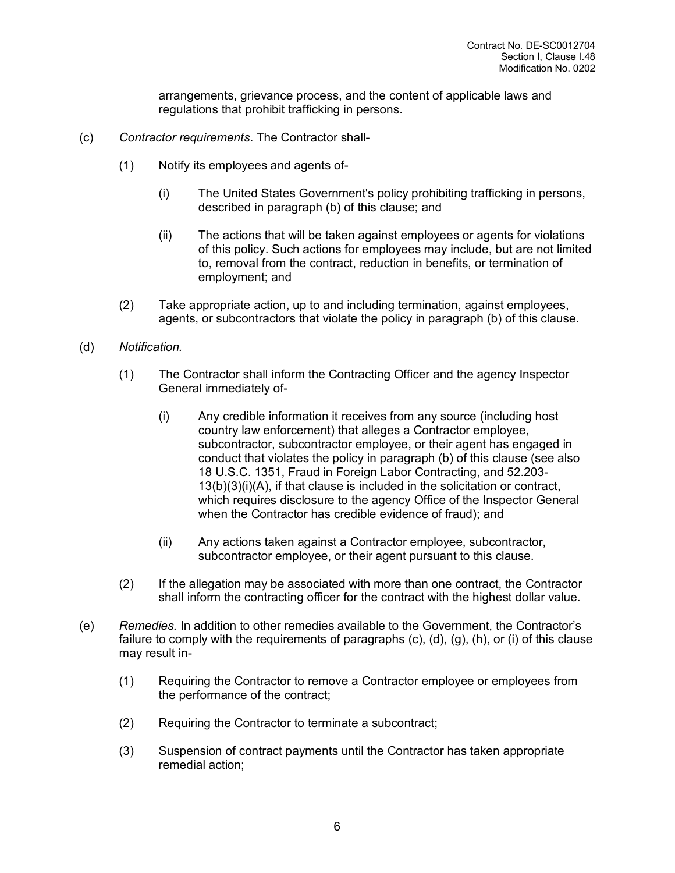arrangements, grievance process, and the content of applicable laws and regulations that prohibit trafficking in persons.

- (c) *Contractor requirements*. The Contractor shall-
	- (1) Notify its employees and agents of-
		- (i) The United States Government's policy prohibiting trafficking in persons, described in paragraph (b) of this clause; and
		- (ii) The actions that will be taken against employees or agents for violations of this policy. Such actions for employees may include, but are not limited to, removal from the contract, reduction in benefits, or termination of employment; and
	- (2) Take appropriate action, up to and including termination, against employees, agents, or subcontractors that violate the policy in paragraph (b) of this clause.
- (d) *Notification.*
	- (1) The Contractor shall inform the Contracting Officer and the agency Inspector General immediately of-
		- (i) Any credible information it receives from any source (including host country law enforcement) that alleges a Contractor employee, subcontractor, subcontractor employee, or their agent has engaged in conduct that violates the policy in paragraph (b) of this clause (see also [18 U.S.C. 1351,](http://uscode.house.gov/browse.xhtml;jsessionid=114A3287C7B3359E597506A31FC855B3) Fraud in Foreign Labor Contracting, and 52.203- 13(b)(3)(i)(A), if that clause is included in the solicitation or contract, which requires disclosure to the agency Office of the Inspector General when the Contractor has credible evidence of fraud); and
		- (ii) Any actions taken against a Contractor employee, subcontractor, subcontractor employee, or their agent pursuant to this clause.
	- (2) If the allegation may be associated with more than one contract, the Contractor shall inform the contracting officer for the contract with the highest dollar value.
- (e) *Remedies.* In addition to other remedies available to the Government, the Contractor's failure to comply with the requirements of paragraphs  $(c)$ ,  $(d)$ ,  $(q)$ ,  $(h)$ , or  $(i)$  of this clause may result in-
	- (1) Requiring the Contractor to remove a Contractor employee or employees from the performance of the contract;
	- (2) Requiring the Contractor to terminate a subcontract;
	- (3) Suspension of contract payments until the Contractor has taken appropriate remedial action;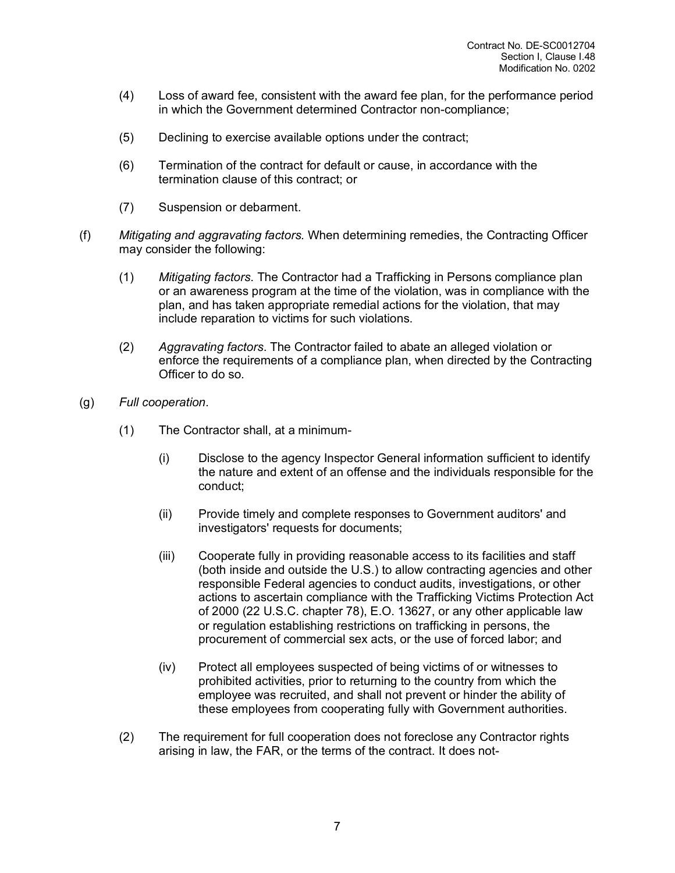- (4) Loss of award fee, consistent with the award fee plan, for the performance period in which the Government determined Contractor non-compliance;
- (5) Declining to exercise available options under the contract;
- (6) Termination of the contract for default or cause, in accordance with the termination clause of this contract; or
- (7) Suspension or debarment.
- (f) *Mitigating and aggravating factors.* When determining remedies, the Contracting Officer may consider the following:
	- (1) *Mitigating factors*. The Contractor had a Trafficking in Persons compliance plan or an awareness program at the time of the violation, was in compliance with the plan, and has taken appropriate remedial actions for the violation, that may include reparation to victims for such violations.
	- (2) *Aggravating factors*. The Contractor failed to abate an alleged violation or enforce the requirements of a compliance plan, when directed by the Contracting Officer to do so.
- (g) *Full cooperation*.
	- (1) The Contractor shall, at a minimum-
		- (i) Disclose to the agency Inspector General information sufficient to identify the nature and extent of an offense and the individuals responsible for the conduct;
		- (ii) Provide timely and complete responses to Government auditors' and investigators' requests for documents;
		- (iii) Cooperate fully in providing reasonable access to its facilities and staff (both inside and outside the U.S.) to allow contracting agencies and other responsible Federal agencies to conduct audits, investigations, or other actions to ascertain compliance with the Trafficking Victims Protection Act of 2000 [\(22 U.S.C. chapter 78\)](http://uscode.house.gov/browse.xhtml;jsessionid=114A3287C7B3359E597506A31FC855B3), E.O. 13627, or any other applicable law or regulation establishing restrictions on trafficking in persons, the procurement of commercial sex acts, or the use of forced labor; and
		- (iv) Protect all employees suspected of being victims of or witnesses to prohibited activities, prior to returning to the country from which the employee was recruited, and shall not prevent or hinder the ability of these employees from cooperating fully with Government authorities.
	- (2) The requirement for full cooperation does not foreclose any Contractor rights arising in law, the FAR, or the terms of the contract. It does not-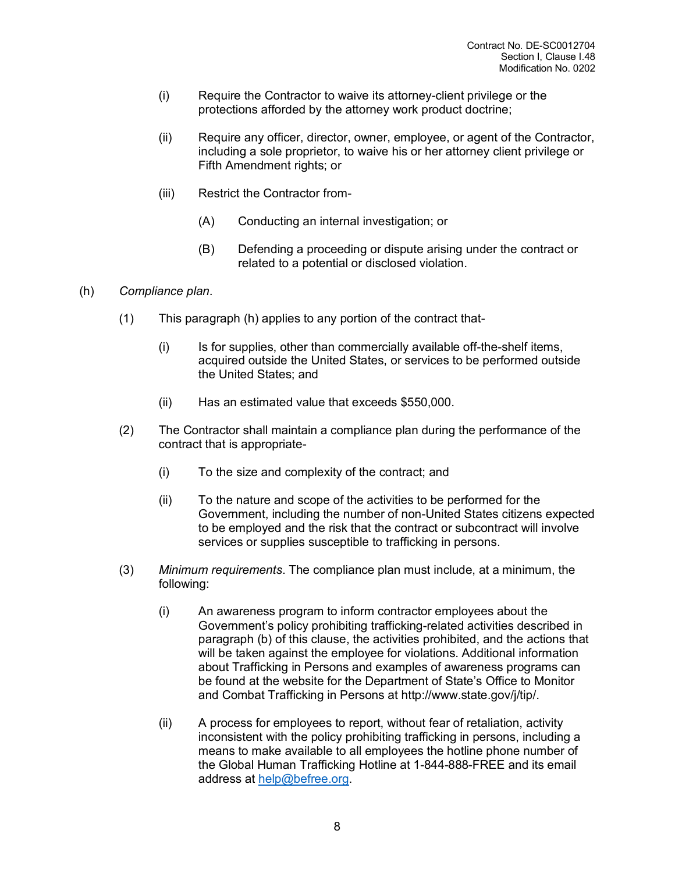- (i) Require the Contractor to waive its attorney-client privilege or the protections afforded by the attorney work product doctrine;
- (ii) Require any officer, director, owner, employee, or agent of the Contractor, including a sole proprietor, to waive his or her attorney client privilege or Fifth Amendment rights; or
- (iii) Restrict the Contractor from-
	- (A) Conducting an internal investigation; or
	- (B) Defending a proceeding or dispute arising under the contract or related to a potential or disclosed violation.

#### (h) *Compliance plan*.

- (1) This paragraph (h) applies to any portion of the contract that-
	- (i) Is for supplies, other than commercially available off-the-shelf items, acquired outside the United States, or services to be performed outside the United States; and
	- (ii) Has an estimated value that exceeds \$550,000.
- (2) The Contractor shall maintain a compliance plan during the performance of the contract that is appropriate-
	- (i) To the size and complexity of the contract; and
	- (ii) To the nature and scope of the activities to be performed for the Government, including the number of non-United States citizens expected to be employed and the risk that the contract or subcontract will involve services or supplies susceptible to trafficking in persons.
- (3) *Minimum requirements*. The compliance plan must include, at a minimum, the following:
	- (i) An awareness program to inform contractor employees about the Government's policy prohibiting trafficking-related activities described in paragraph (b) of this clause, the activities prohibited, and the actions that will be taken against the employee for violations. Additional information about Trafficking in Persons and examples of awareness programs can be found at the website for the Department of State's Office to Monitor and Combat Trafficking in Persons at [http://www.state.gov/j/tip/.](http://www.state.gov/j/tip/)
	- (ii) A process for employees to report, without fear of retaliation, activity inconsistent with the policy prohibiting trafficking in persons, including a means to make available to all employees the hotline phone number of the Global Human Trafficking Hotline at 1-844-888-FREE and its email address at [help@befree.org.](mailto:help@befree.org)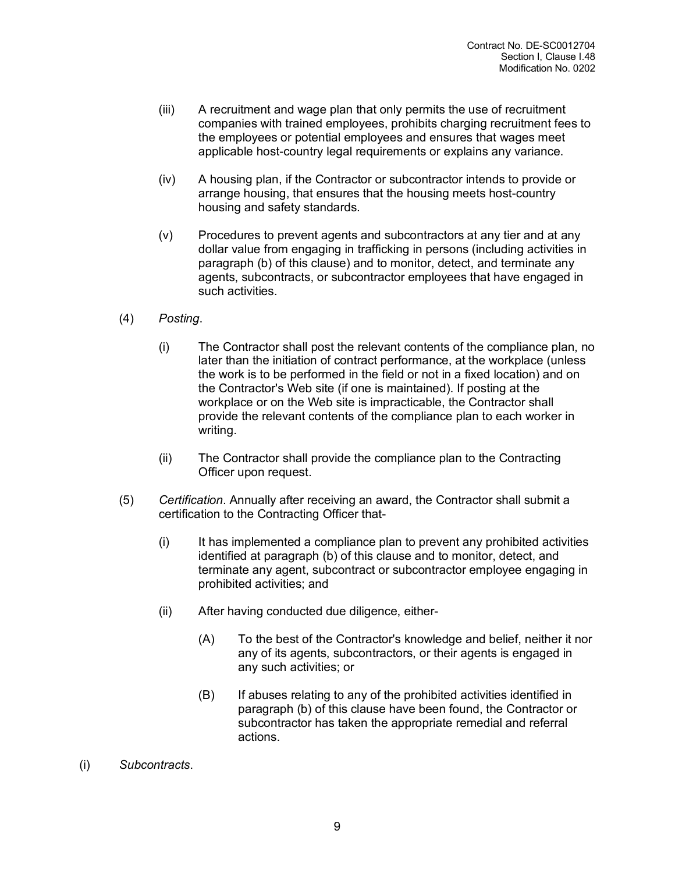- (iii) A recruitment and wage plan that only permits the use of recruitment companies with trained employees, prohibits charging recruitment fees to the employees or potential employees and ensures that wages meet applicable host-country legal requirements or explains any variance.
- (iv) A housing plan, if the Contractor or subcontractor intends to provide or arrange housing, that ensures that the housing meets host-country housing and safety standards.
- (v) Procedures to prevent agents and subcontractors at any tier and at any dollar value from engaging in trafficking in persons (including activities in paragraph (b) of this clause) and to monitor, detect, and terminate any agents, subcontracts, or subcontractor employees that have engaged in such activities.
- (4) *Posting*.
	- (i) The Contractor shall post the relevant contents of the compliance plan, no later than the initiation of contract performance, at the workplace (unless the work is to be performed in the field or not in a fixed location) and on the Contractor's Web site (if one is maintained). If posting at the workplace or on the Web site is impracticable, the Contractor shall provide the relevant contents of the compliance plan to each worker in writing.
	- (ii) The Contractor shall provide the compliance plan to the Contracting Officer upon request.
- (5) *Certification*. Annually after receiving an award, the Contractor shall submit a certification to the Contracting Officer that-
	- (i) It has implemented a compliance plan to prevent any prohibited activities identified at paragraph (b) of this clause and to monitor, detect, and terminate any agent, subcontract or subcontractor employee engaging in prohibited activities; and
	- (ii) After having conducted due diligence, either-
		- (A) To the best of the Contractor's knowledge and belief, neither it nor any of its agents, subcontractors, or their agents is engaged in any such activities; or
		- (B) If abuses relating to any of the prohibited activities identified in paragraph (b) of this clause have been found, the Contractor or subcontractor has taken the appropriate remedial and referral actions.
- (i) *Subcontracts*.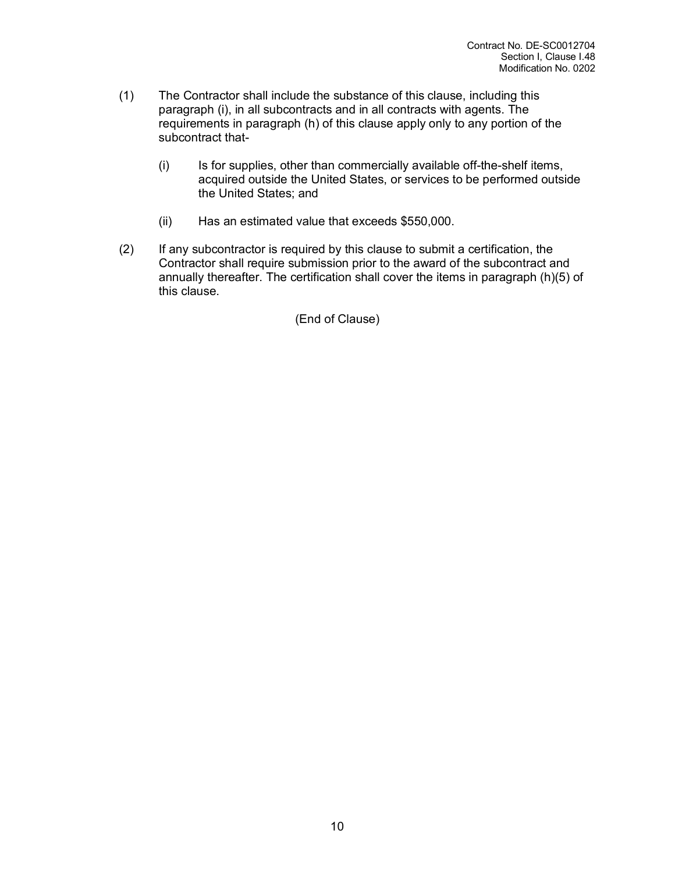- (1) The Contractor shall include the substance of this clause, including this paragraph (i), in all subcontracts and in all contracts with agents. The requirements in paragraph (h) of this clause apply only to any portion of the subcontract that-
	- (i) Is for supplies, other than commercially available off-the-shelf items, acquired outside the United States, or services to be performed outside the United States; and
	- (ii) Has an estimated value that exceeds \$550,000.
- (2) If any subcontractor is required by this clause to submit a certification, the Contractor shall require submission prior to the award of the subcontract and annually thereafter. The certification shall cover the items in paragraph (h)(5) of this clause.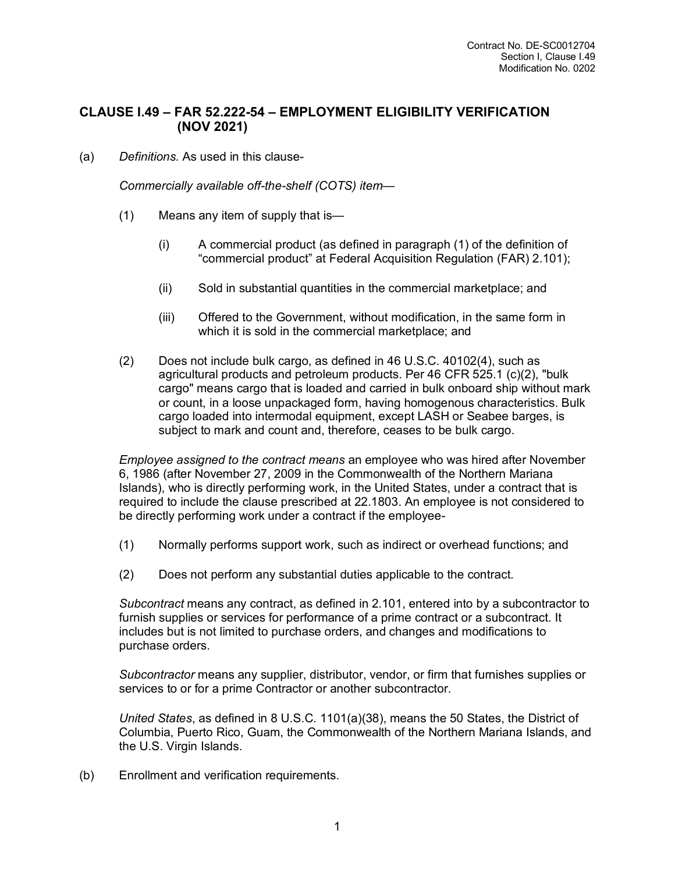### **CLAUSE I.49 – FAR 52.222-54 – EMPLOYMENT ELIGIBILITY VERIFICATION (NOV 2021)**

(a) *Definitions.* As used in this clause-

*Commercially available off-the-shelf (COTS) item—*

- (1) Means any item of supply that is—
	- (i) A commercial product (as defined in paragraph (1) of the definition of "commercial product" at Federal Acquisition Regulation (FAR) 2.101);
	- (ii) Sold in substantial quantities in the commercial marketplace; and
	- (iii) Offered to the Government, without modification, in the same form in which it is sold in the commercial marketplace; and
- (2) Does not include bulk cargo, as defined in [46 U.S.C. 40102\(4\),](http://uscode.house.gov/browse.xhtml;jsessionid=114A3287C7B3359E597506A31FC855B3) such as agricultural products and petroleum products. Per 46 CFR 525.1 (c)(2), "bulk cargo" means cargo that is loaded and carried in bulk onboard ship without mark or count, in a loose unpackaged form, having homogenous characteristics. Bulk cargo loaded into intermodal equipment, except LASH or Seabee barges, is subject to mark and count and, therefore, ceases to be bulk cargo.

*Employee assigned to the contract means* an employee who was hired after November 6, 1986 (after November 27, 2009 in the Commonwealth of the Northern Mariana Islands), who is directly performing work, in the United States, under a contract that is required to include the clause prescribed at 22.1803. An employee is not considered to be directly performing work under a contract if the employee-

- (1) Normally performs support work, such as indirect or overhead functions; and
- (2) Does not perform any substantial duties applicable to the contract.

*Subcontract* means any contract, as defined in 2.101, entered into by a subcontractor to furnish supplies or services for performance of a prime contract or a subcontract. It includes but is not limited to purchase orders, and changes and modifications to purchase orders.

*Subcontractor* means any supplier, distributor, vendor, or firm that furnishes supplies or services to or for a prime Contractor or another subcontractor.

*United States*, as defined in [8 U.S.C. 1101\(a\)\(38\),](http://uscode.house.gov/browse.xhtml;jsessionid=114A3287C7B3359E597506A31FC855B3) means the 50 States, the District of Columbia, Puerto Rico, Guam, the Commonwealth of the Northern Mariana Islands, and the U.S. Virgin Islands.

(b) Enrollment and verification requirements.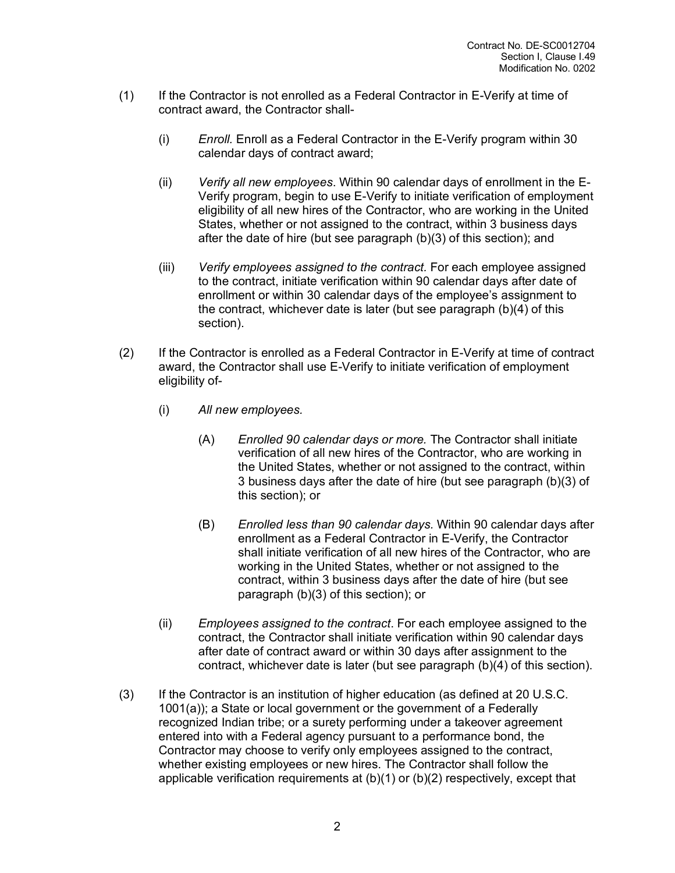- (1) If the Contractor is not enrolled as a Federal Contractor in E-Verify at time of contract award, the Contractor shall-
	- (i) *Enroll.* Enroll as a Federal Contractor in the E-Verify program within 30 calendar days of contract award;
	- (ii) *Verify all new employees*. Within 90 calendar days of enrollment in the E-Verify program, begin to use E-Verify to initiate verification of employment eligibility of all new hires of the Contractor, who are working in the United States, whether or not assigned to the contract, within 3 business days after the date of hire (but see paragraph (b)(3) of this section); and
	- (iii) *Verify employees assigned to the contract.* For each employee assigned to the contract, initiate verification within 90 calendar days after date of enrollment or within 30 calendar days of the employee's assignment to the contract, whichever date is later (but see paragraph (b)(4) of this section).
- (2) If the Contractor is enrolled as a Federal Contractor in E-Verify at time of contract award, the Contractor shall use E-Verify to initiate verification of employment eligibility of-
	- (i) *All new employees.*
		- (A) *Enrolled 90 calendar days or more.* The Contractor shall initiate verification of all new hires of the Contractor, who are working in the United States, whether or not assigned to the contract, within 3 business days after the date of hire (but see paragraph (b)(3) of this section); or
		- (B) *Enrolled less than 90 calendar days.* Within 90 calendar days after enrollment as a Federal Contractor in E-Verify, the Contractor shall initiate verification of all new hires of the Contractor, who are working in the United States, whether or not assigned to the contract, within 3 business days after the date of hire (but see paragraph (b)(3) of this section); or
	- (ii) *Employees assigned to the contract*. For each employee assigned to the contract, the Contractor shall initiate verification within 90 calendar days after date of contract award or within 30 days after assignment to the contract, whichever date is later (but see paragraph (b)(4) of this section).
- (3) If the Contractor is an institution of higher education (as defined at [20 U.S.C.](http://uscode.house.gov/browse.xhtml;jsessionid=114A3287C7B3359E597506A31FC855B3)  [1001\(a\)\)](http://uscode.house.gov/browse.xhtml;jsessionid=114A3287C7B3359E597506A31FC855B3); a State or local government or the government of a Federally recognized Indian tribe; or a surety performing under a takeover agreement entered into with a Federal agency pursuant to a performance bond, the Contractor may choose to verify only employees assigned to the contract, whether existing employees or new hires. The Contractor shall follow the applicable verification requirements at (b)(1) or (b)(2) respectively, except that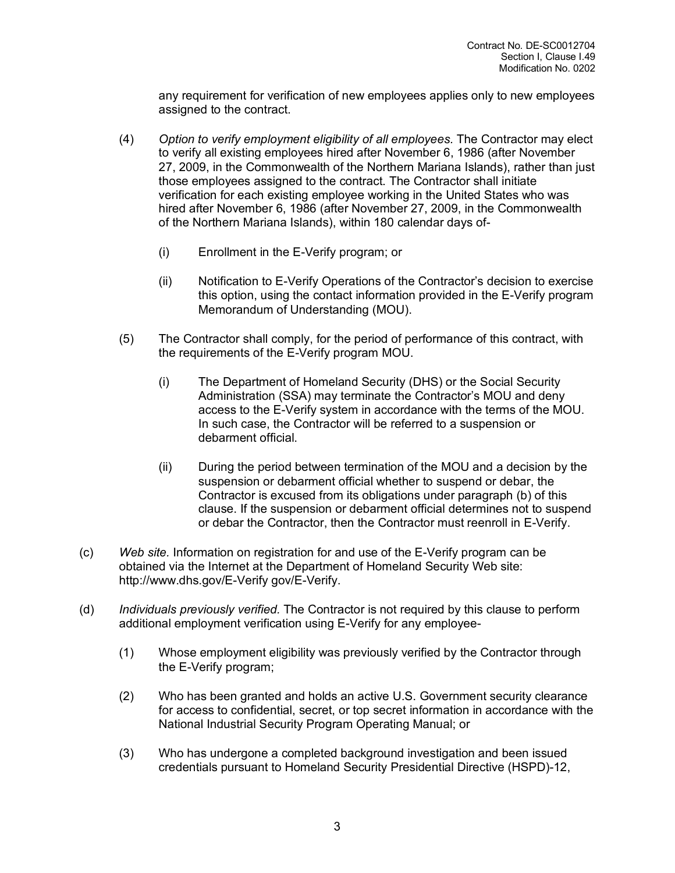any requirement for verification of new employees applies only to new employees assigned to the contract.

- (4) *Option to verify employment eligibility of all employees.* The Contractor may elect to verify all existing employees hired after November 6, 1986 (after November 27, 2009, in the Commonwealth of the Northern Mariana Islands), rather than just those employees assigned to the contract. The Contractor shall initiate verification for each existing employee working in the United States who was hired after November 6, 1986 (after November 27, 2009, in the Commonwealth of the Northern Mariana Islands), within 180 calendar days of-
	- (i) Enrollment in the E-Verify program; or
	- (ii) Notification to E-Verify Operations of the Contractor's decision to exercise this option, using the contact information provided in the E-Verify program Memorandum of Understanding (MOU).
- (5) The Contractor shall comply, for the period of performance of this contract, with the requirements of the E-Verify program MOU.
	- (i) The Department of Homeland Security (DHS) or the Social Security Administration (SSA) may terminate the Contractor's MOU and deny access to the E-Verify system in accordance with the terms of the MOU. In such case, the Contractor will be referred to a suspension or debarment official.
	- (ii) During the period between termination of the MOU and a decision by the suspension or debarment official whether to suspend or debar, the Contractor is excused from its obligations under paragraph (b) of this clause. If the suspension or debarment official determines not to suspend or debar the Contractor, then the Contractor must reenroll in E-Verify.
- (c) *Web site.* Information on registration for and use of the E-Verify program can be obtained via the Internet at the Department of Homeland Security Web site: [http://www.dhs.gov/E-Verify gov/E-Verify.](http://uscode.house.gov/browse.xhtml;jsessionid=114A3287C7B3359E597506A31FC855B3)
- (d) *Individuals previously verified.* The Contractor is not required by this clause to perform additional employment verification using E-Verify for any employee-
	- (1) Whose employment eligibility was previously verified by the Contractor through the E-Verify program;
	- (2) Who has been granted and holds an active U.S. Government security clearance for access to confidential, secret, or top secret information in accordance with the National Industrial Security Program Operating Manual; or
	- (3) Who has undergone a completed background investigation and been issued credentials pursuant to Homeland Security Presidential Directive (HSPD)-12,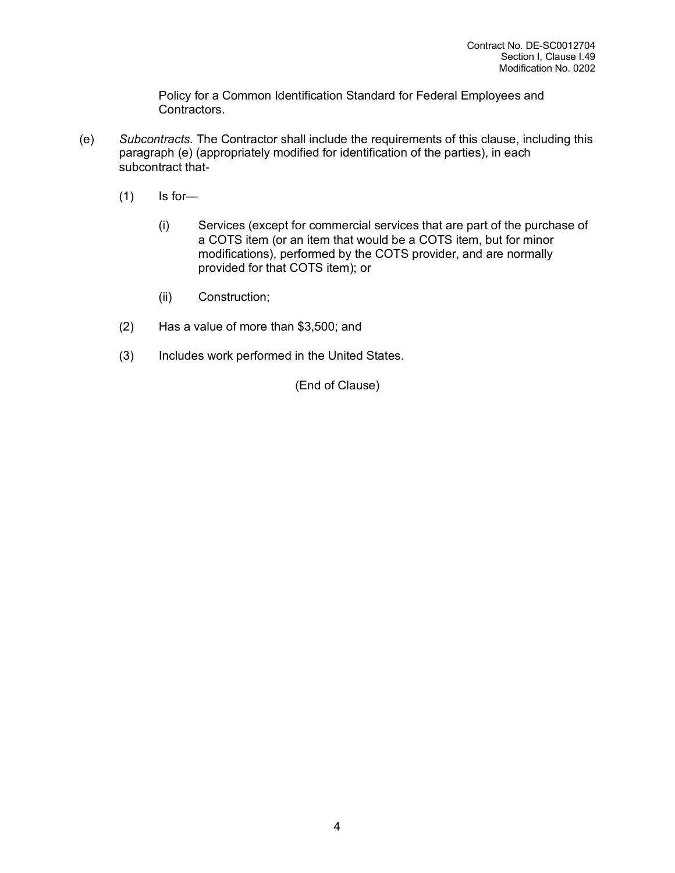Policy for a Common Identification Standard for Federal Employees and Contractors.

- (e) *Subcontracts.* The Contractor shall include the requirements of this clause, including this paragraph (e) (appropriately modified for identification of the parties), in each subcontract that-
	- $(1)$  Is for-
		- (i) Services (except for commercial services that are part of the purchase of a COTS item (or an item that would be a COTS item, but for minor modifications), performed by the COTS provider, and are normally provided for that COTS item); or
		- (ii) Construction;
	- (2) Has a value of more than \$3,500; and
	- (3) Includes work performed in the United States.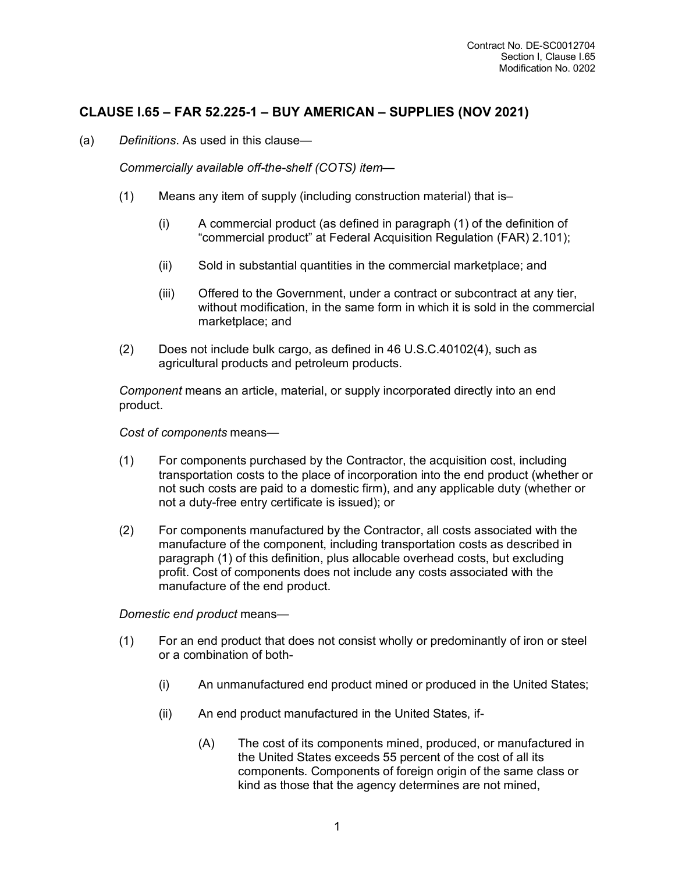### **CLAUSE I.65 – FAR 52.225-1 – BUY AMERICAN – SUPPLIES (NOV 2021)**

(a) *Definitions*. As used in this clause—

*Commercially available off-the-shelf (COTS) item*—

- (1) Means any item of supply (including construction material) that is–
	- (i) A commercial product (as defined in paragraph (1) of the definition of "commercial product" at Federal Acquisition Regulation (FAR) 2.101);
	- (ii) Sold in substantial quantities in the commercial marketplace; and
	- (iii) Offered to the Government, under a contract or subcontract at any tier, without modification, in the same form in which it is sold in the commercial marketplace; and
- (2) Does not include bulk cargo, as defined in [46 U.S.C.40102\(4\),](http://uscode.house.gov/browse.xhtml;jsessionid=114A3287C7B3359E597506A31FC855B3) such as agricultural products and petroleum products.

*Component* means an article, material, or supply incorporated directly into an end product.

*Cost of components* means—

- (1) For components purchased by the Contractor, the acquisition cost, including transportation costs to the place of incorporation into the end product (whether or not such costs are paid to a domestic firm), and any applicable duty (whether or not a duty-free entry certificate is issued); or
- (2) For components manufactured by the Contractor, all costs associated with the manufacture of the component, including transportation costs as described in paragraph (1) of this definition, plus allocable overhead costs, but excluding profit. Cost of components does not include any costs associated with the manufacture of the end product.

*Domestic end product* means—

- (1) For an end product that does not consist wholly or predominantly of iron or steel or a combination of both-
	- (i) An unmanufactured end product mined or produced in the United States;
	- (ii) An end product manufactured in the United States, if-
		- (A) The cost of its components mined, produced, or manufactured in the United States exceeds 55 percent of the cost of all its components. Components of foreign origin of the same class or kind as those that the agency determines are not mined,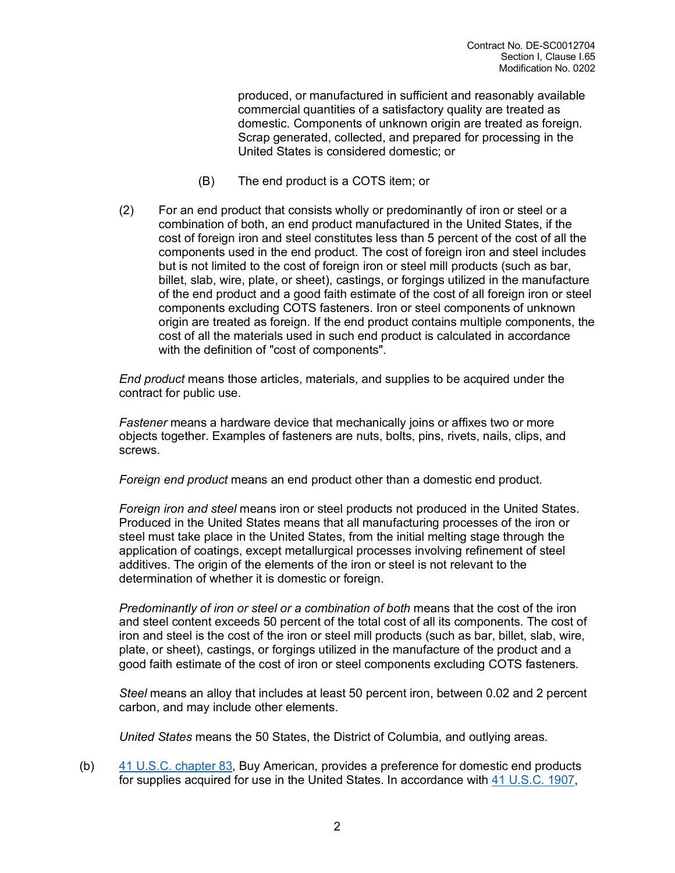produced, or manufactured in sufficient and reasonably available commercial quantities of a satisfactory quality are treated as domestic. Components of unknown origin are treated as foreign. Scrap generated, collected, and prepared for processing in the United States is considered domestic; or

- (B) The end product is a COTS item; or
- (2) For an end product that consists wholly or predominantly of iron or steel or a combination of both, an end product manufactured in the United States, if the cost of foreign iron and steel constitutes less than 5 percent of the cost of all the components used in the end product. The cost of foreign iron and steel includes but is not limited to the cost of foreign iron or steel mill products (such as bar, billet, slab, wire, plate, or sheet), castings, or forgings utilized in the manufacture of the end product and a good faith estimate of the cost of all foreign iron or steel components excluding COTS fasteners. Iron or steel components of unknown origin are treated as foreign. If the end product contains multiple components, the cost of all the materials used in such end product is calculated in accordance with the definition of "cost of components".

*End product* means those articles, materials, and supplies to be acquired under the contract for public use.

*Fastener* means a hardware device that mechanically joins or affixes two or more objects together. Examples of fasteners are nuts, bolts, pins, rivets, nails, clips, and screws.

*Foreign end product* means an end product other than a domestic end product.

*Foreign iron and steel* means iron or steel products not produced in the United States. Produced in the United States means that all manufacturing processes of the iron or steel must take place in the United States, from the initial melting stage through the application of coatings, except metallurgical processes involving refinement of steel additives. The origin of the elements of the iron or steel is not relevant to the determination of whether it is domestic or foreign.

*Predominantly of iron or steel or a combination of both* means that the cost of the iron and steel content exceeds 50 percent of the total cost of all its components. The cost of iron and steel is the cost of the iron or steel mill products (such as bar, billet, slab, wire, plate, or sheet), castings, or forgings utilized in the manufacture of the product and a good faith estimate of the cost of iron or steel components excluding COTS fasteners.

*Steel* means an alloy that includes at least 50 percent iron, between 0.02 and 2 percent carbon, and may include other elements.

*United States* means the 50 States, the District of Columbia, and outlying areas.

(b) 41 U.S.C. [chapter](http://uscode.house.gov/browse.xhtml;jsessionid=114A3287C7B3359E597506A31FC855B3) [83,](http://uscode.house.gov/browse.xhtml;jsessionid=114A3287C7B3359E597506A31FC855B3) Buy American, provides a preference for domestic end products for supplies acquired for use in the United States. In accordance with 41 [U.S.C.](http://uscode.house.gov/browse.xhtml;jsessionid=114A3287C7B3359E597506A31FC855B3) [1907,](http://uscode.house.gov/browse.xhtml;jsessionid=114A3287C7B3359E597506A31FC855B3)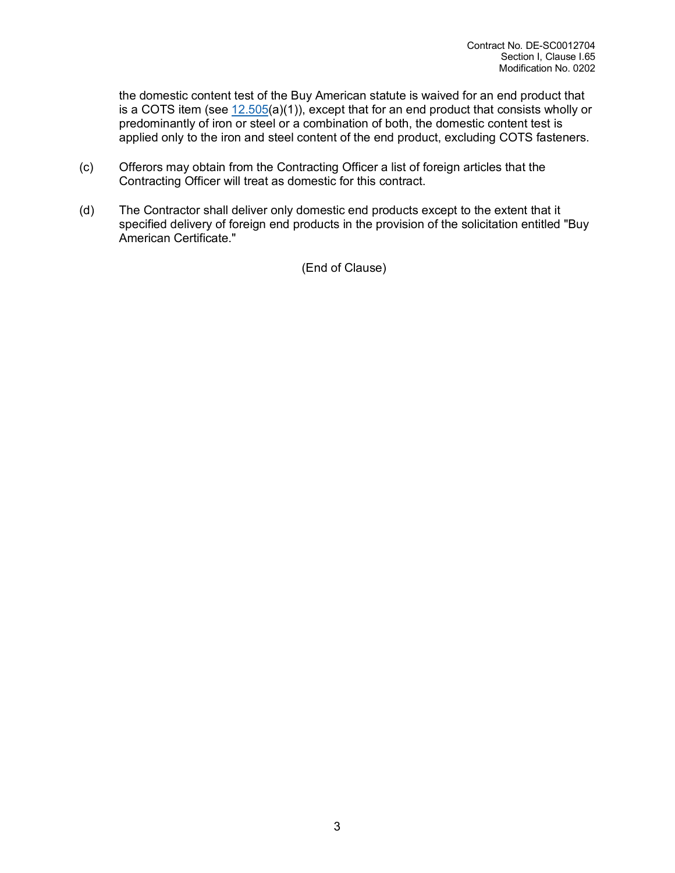the domestic content test of the Buy American statute is waived for an end product that is a COTS item (see [12.505\(](https://www.acquisition.gov/far/part-12#FAR_12_505)a)(1)), except that for an end product that consists wholly or predominantly of iron or steel or a combination of both, the domestic content test is applied only to the iron and steel content of the end product, excluding COTS fasteners.

- (c) Offerors may obtain from the Contracting Officer a list of foreign articles that the Contracting Officer will treat as domestic for this contract.
- (d) The Contractor shall deliver only domestic end products except to the extent that it specified delivery of foreign end products in the provision of the solicitation entitled "Buy American Certificate."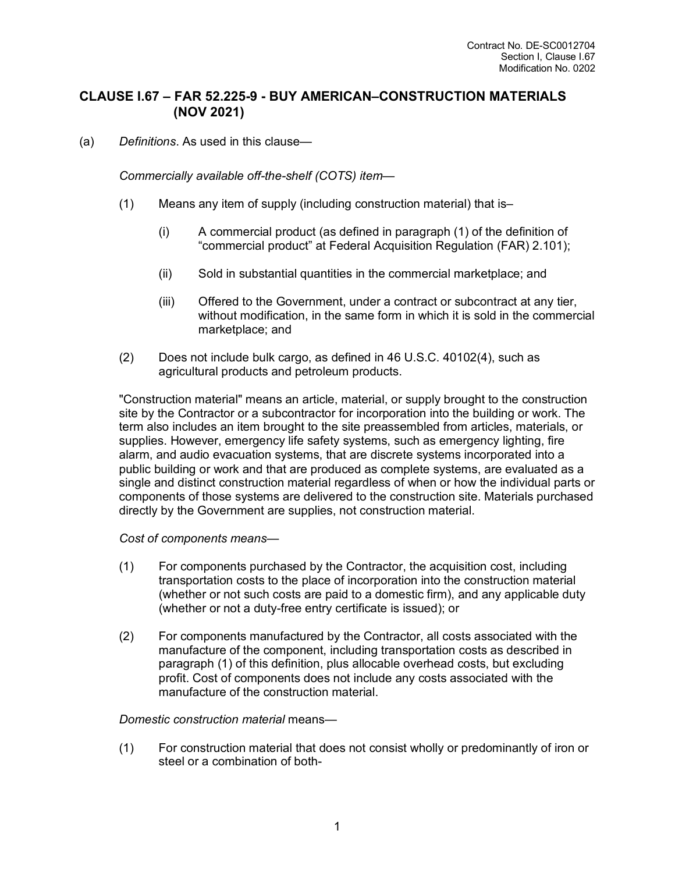### **CLAUSE I.67 – FAR 52.225-9 - BUY AMERICAN–CONSTRUCTION MATERIALS (NOV 2021)**

(a) *Definitions*. As used in this clause—

*Commercially available off-the-shelf (COTS) item*—

- (1) Means any item of supply (including construction material) that is–
	- (i) A commercial product (as defined in paragraph (1) of the definition of "commercial product" at Federal Acquisition Regulation (FAR) 2.101);
	- (ii) Sold in substantial quantities in the commercial marketplace; and
	- (iii) Offered to the Government, under a contract or subcontract at any tier, without modification, in the same form in which it is sold in the commercial marketplace; and
- (2) Does not include bulk cargo, as defined in 46 U.S.C. 40102(4), such as agricultural products and petroleum products.

"Construction material" means an article, material, or supply brought to the construction site by the Contractor or a subcontractor for incorporation into the building or work. The term also includes an item brought to the site preassembled from articles, materials, or supplies. However, emergency life safety systems, such as emergency lighting, fire alarm, and audio evacuation systems, that are discrete systems incorporated into a public building or work and that are produced as complete systems, are evaluated as a single and distinct construction material regardless of when or how the individual parts or components of those systems are delivered to the construction site. Materials purchased directly by the Government are supplies, not construction material.

*Cost of components means*—

- (1) For components purchased by the Contractor, the acquisition cost, including transportation costs to the place of incorporation into the construction material (whether or not such costs are paid to a domestic firm), and any applicable duty (whether or not a duty-free entry certificate is issued); or
- (2) For components manufactured by the Contractor, all costs associated with the manufacture of the component, including transportation costs as described in paragraph (1) of this definition, plus allocable overhead costs, but excluding profit. Cost of components does not include any costs associated with the manufacture of the construction material.

#### *Domestic construction material* means—

(1) For construction material that does not consist wholly or predominantly of iron or steel or a combination of both-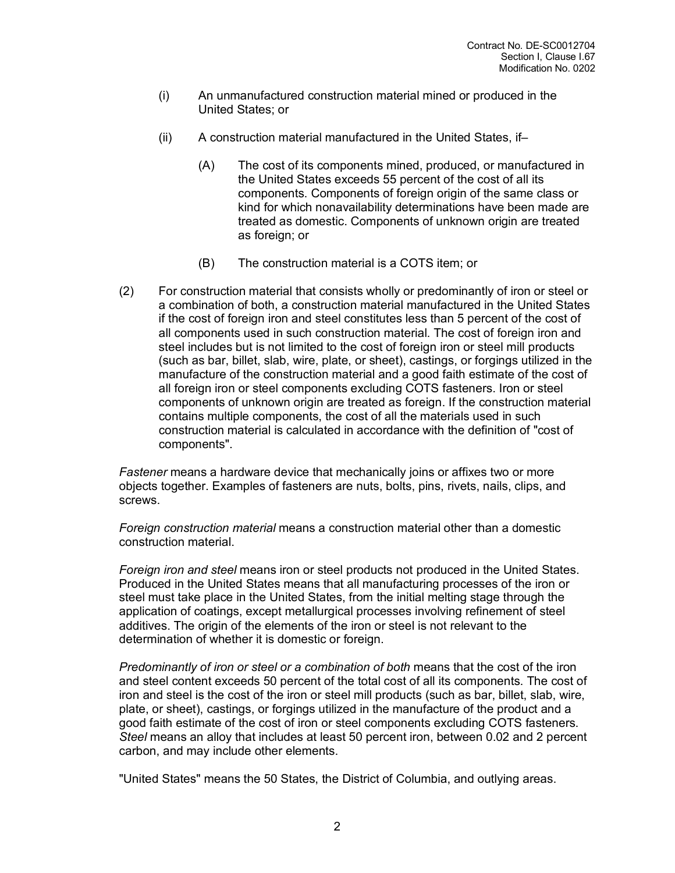- (i) An unmanufactured construction material mined or produced in the United States; or
- (ii) A construction material manufactured in the United States, if–
	- (A) The cost of its components mined, produced, or manufactured in the United States exceeds 55 percent of the cost of all its components. Components of foreign origin of the same class or kind for which nonavailability determinations have been made are treated as domestic. Components of unknown origin are treated as foreign; or
	- (B) The construction material is a COTS item; or
- (2) For construction material that consists wholly or predominantly of iron or steel or a combination of both, a construction material manufactured in the United States if the cost of foreign iron and steel constitutes less than 5 percent of the cost of all components used in such construction material. The cost of foreign iron and steel includes but is not limited to the cost of foreign iron or steel mill products (such as bar, billet, slab, wire, plate, or sheet), castings, or forgings utilized in the manufacture of the construction material and a good faith estimate of the cost of all foreign iron or steel components excluding COTS fasteners. Iron or steel components of unknown origin are treated as foreign. If the construction material contains multiple components, the cost of all the materials used in such construction material is calculated in accordance with the definition of "cost of components".

*Fastener* means a hardware device that mechanically joins or affixes two or more objects together. Examples of fasteners are nuts, bolts, pins, rivets, nails, clips, and screws.

*Foreign construction material* means a construction material other than a domestic construction material.

*Foreign iron and steel* means iron or steel products not produced in the United States. Produced in the United States means that all manufacturing processes of the iron or steel must take place in the United States, from the initial melting stage through the application of coatings, except metallurgical processes involving refinement of steel additives. The origin of the elements of the iron or steel is not relevant to the determination of whether it is domestic or foreign.

*Predominantly of iron or steel or a combination of both* means that the cost of the iron and steel content exceeds 50 percent of the total cost of all its components. The cost of iron and steel is the cost of the iron or steel mill products (such as bar, billet, slab, wire, plate, or sheet), castings, or forgings utilized in the manufacture of the product and a good faith estimate of the cost of iron or steel components excluding COTS fasteners. *Steel* means an alloy that includes at least 50 percent iron, between 0.02 and 2 percent carbon, and may include other elements.

"United States" means the 50 States, the District of Columbia, and outlying areas.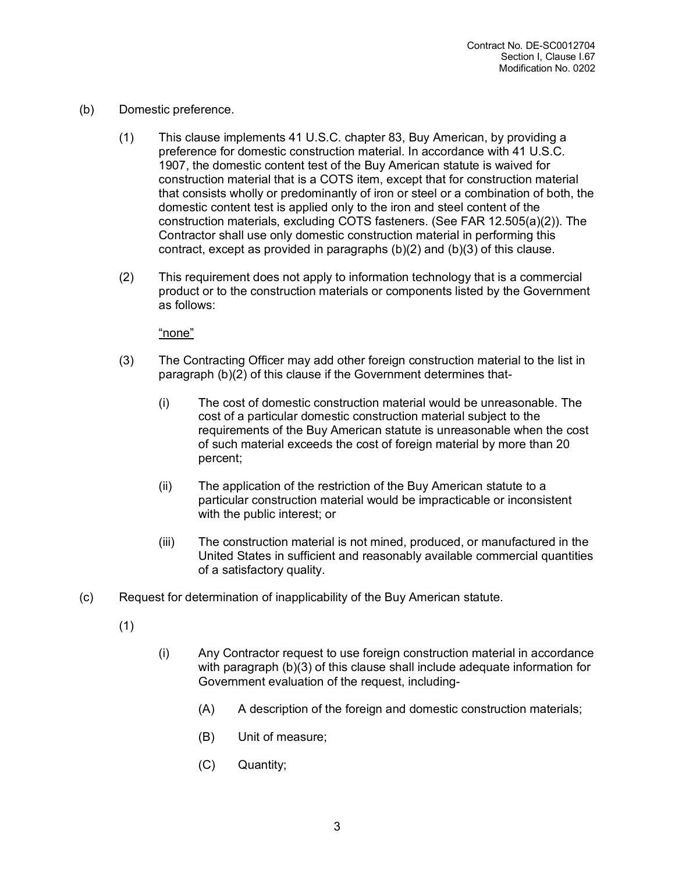- (b) Domestic preference.
	- (1) This clause implements 41 U.S.C. [chapter 83,](http://uscode.house.gov/browse.xhtml;jsessionid=114A3287C7B3359E597506A31FC855B3) Buy American, by providing a preference for domestic construction material. In accordance with [41 U.S.C.](http://uscode.house.gov/browse.xhtml;jsessionid=114A3287C7B3359E597506A31FC855B3)  [1907,](http://uscode.house.gov/browse.xhtml;jsessionid=114A3287C7B3359E597506A31FC855B3) the domestic content test of the Buy American statute is waived for construction material that is a COTS item, except that for construction material that consists wholly or predominantly of iron or steel or a combination of both, the domestic content test is applied only to the iron and steel content of the construction materials, excluding COTS fasteners. (See FAR 12.505(a)(2)). The Contractor shall use only domestic construction material in performing this contract, except as provided in paragraphs (b)(2) and (b)(3) of this clause.
	- (2) This requirement does not apply to information technology that is a commercial product or to the construction materials or components listed by the Government as follows:

"none"

- (3) The Contracting Officer may add other foreign construction material to the list in paragraph (b)(2) of this clause if the Government determines that-
	- (i) The cost of domestic construction material would be unreasonable. The cost of a particular domestic construction material subject to the requirements of the Buy American statute is unreasonable when the cost of such material exceeds the cost of foreign material by more than 20 percent;
	- (ii) The application of the restriction of the Buy American statute to a particular construction material would be impracticable or inconsistent with the public interest; or
	- (iii) The construction material is not mined, produced, or manufactured in the United States in sufficient and reasonably available commercial quantities of a satisfactory quality.
- (c) Request for determination of inapplicability of the Buy American statute.
	- (1)
- (i) Any Contractor request to use foreign construction material in accordance with paragraph (b)(3) of this clause shall include adequate information for Government evaluation of the request, including-
	- (A) A description of the foreign and domestic construction materials;
	- (B) Unit of measure;
	- (C) Quantity;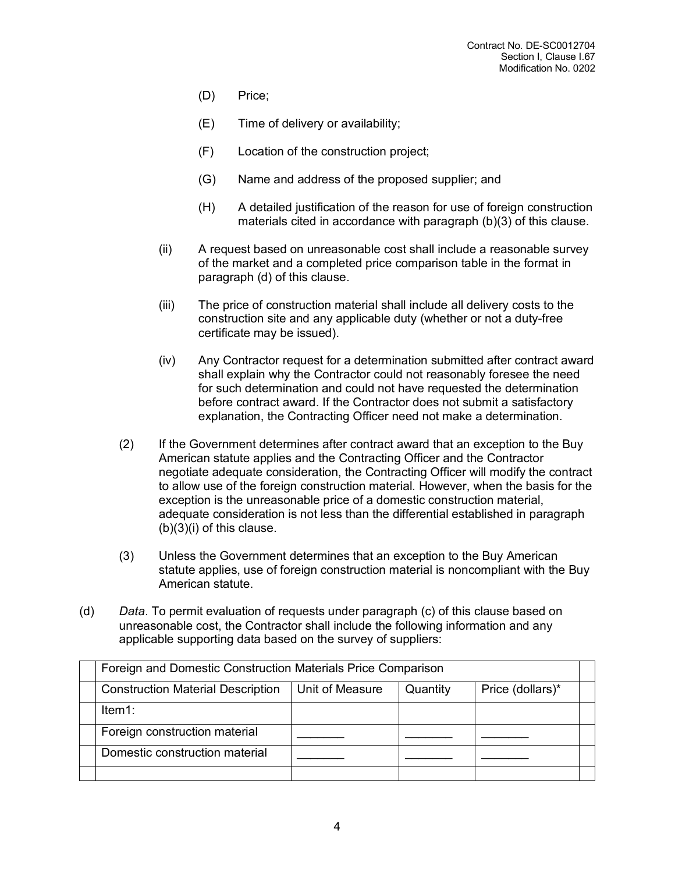- (D) Price;
- (E) Time of delivery or availability;
- (F) Location of the construction project;
- (G) Name and address of the proposed supplier; and
- (H) A detailed justification of the reason for use of foreign construction materials cited in accordance with paragraph (b)(3) of this clause.
- (ii) A request based on unreasonable cost shall include a reasonable survey of the market and a completed price comparison table in the format in paragraph (d) of this clause.
- (iii) The price of construction material shall include all delivery costs to the construction site and any applicable duty (whether or not a duty-free certificate may be issued).
- (iv) Any Contractor request for a determination submitted after contract award shall explain why the Contractor could not reasonably foresee the need for such determination and could not have requested the determination before contract award. If the Contractor does not submit a satisfactory explanation, the Contracting Officer need not make a determination.
- (2) If the Government determines after contract award that an exception to the Buy American statute applies and the Contracting Officer and the Contractor negotiate adequate consideration, the Contracting Officer will modify the contract to allow use of the foreign construction material. However, when the basis for the exception is the unreasonable price of a domestic construction material, adequate consideration is not less than the differential established in paragraph (b)(3)(i) of this clause.
- (3) Unless the Government determines that an exception to the Buy American statute applies, use of foreign construction material is noncompliant with the Buy American statute.
- (d) *Data*. To permit evaluation of requests under paragraph (c) of this clause based on unreasonable cost, the Contractor shall include the following information and any applicable supporting data based on the survey of suppliers:

| Foreign and Domestic Construction Materials Price Comparison |                 |          |                  |  |  |
|--------------------------------------------------------------|-----------------|----------|------------------|--|--|
| <b>Construction Material Description</b>                     | Unit of Measure | Quantity | Price (dollars)* |  |  |
| Item1:                                                       |                 |          |                  |  |  |
| Foreign construction material                                |                 |          |                  |  |  |
| Domestic construction material                               |                 |          |                  |  |  |
|                                                              |                 |          |                  |  |  |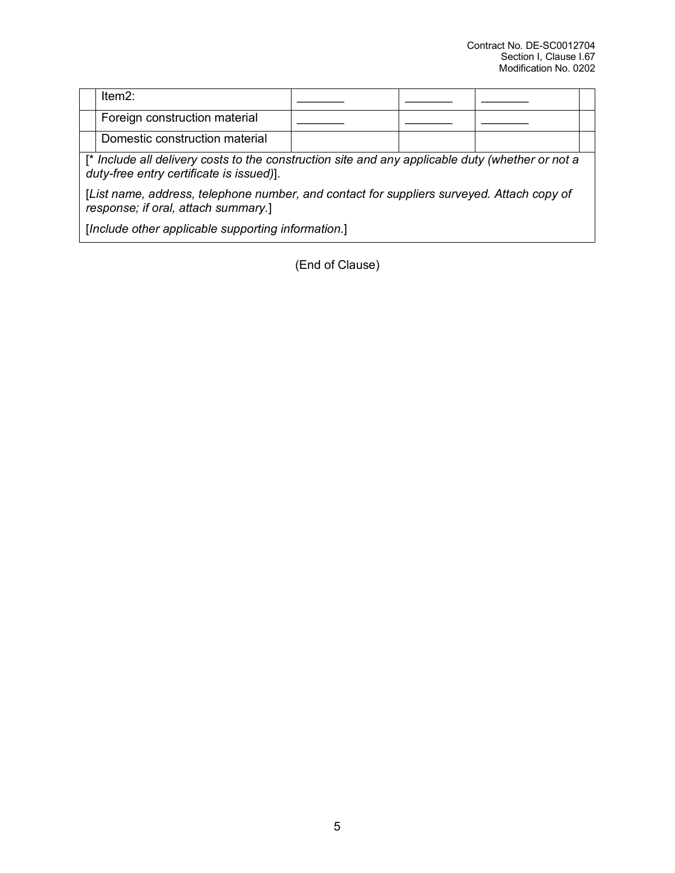|                                                                                                                                              | ltem2:                         |  |  |  |  |
|----------------------------------------------------------------------------------------------------------------------------------------------|--------------------------------|--|--|--|--|
|                                                                                                                                              | Foreign construction material  |  |  |  |  |
|                                                                                                                                              | Domestic construction material |  |  |  |  |
| [* Include all delivery costs to the construction site and any applicable duty (whether or not a<br>duty-free entry certificate is issued)]. |                                |  |  |  |  |
| [List name, address, telephone number, and contact for suppliers surveyed. Attach copy of<br>response; if oral, attach summary.]             |                                |  |  |  |  |

[*Include other applicable supporting information.*]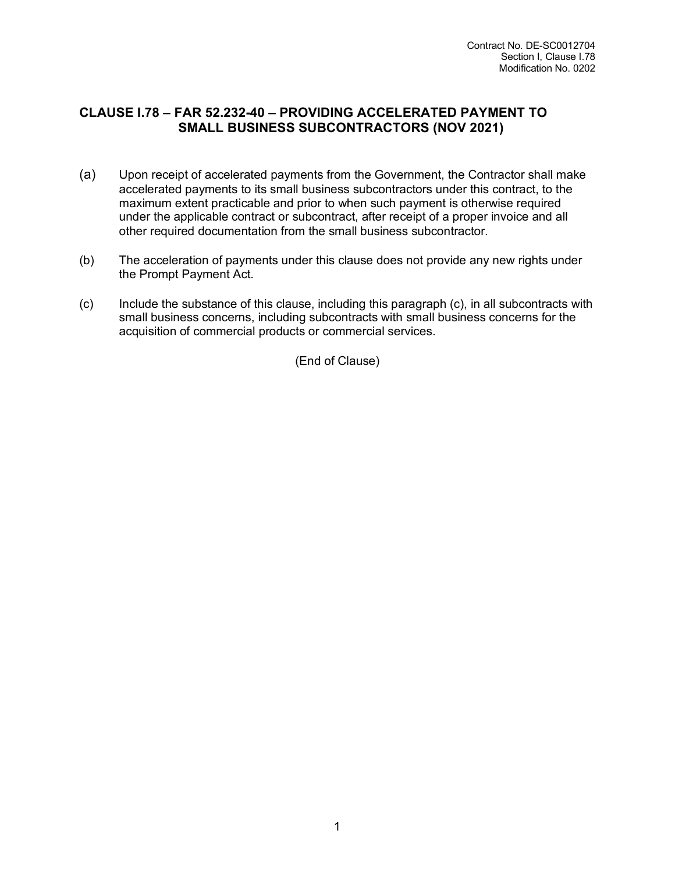### **CLAUSE I.78 – FAR 52.232-40 – PROVIDING ACCELERATED PAYMENT TO SMALL BUSINESS SUBCONTRACTORS (NOV 2021)**

- (a) Upon receipt of accelerated payments from the Government, the Contractor shall make accelerated payments to its small business subcontractors under this contract, to the maximum extent practicable and prior to when such payment is otherwise required under the applicable contract or subcontract, after receipt of a proper invoice and all other required documentation from the small business subcontractor.
- (b) The acceleration of payments under this clause does not provide any new rights under the Prompt Payment Act.
- (c) Include the substance of this clause, including this paragraph (c), in all subcontracts with small business concerns, including subcontracts with small business concerns for the acquisition of commercial products or commercial services.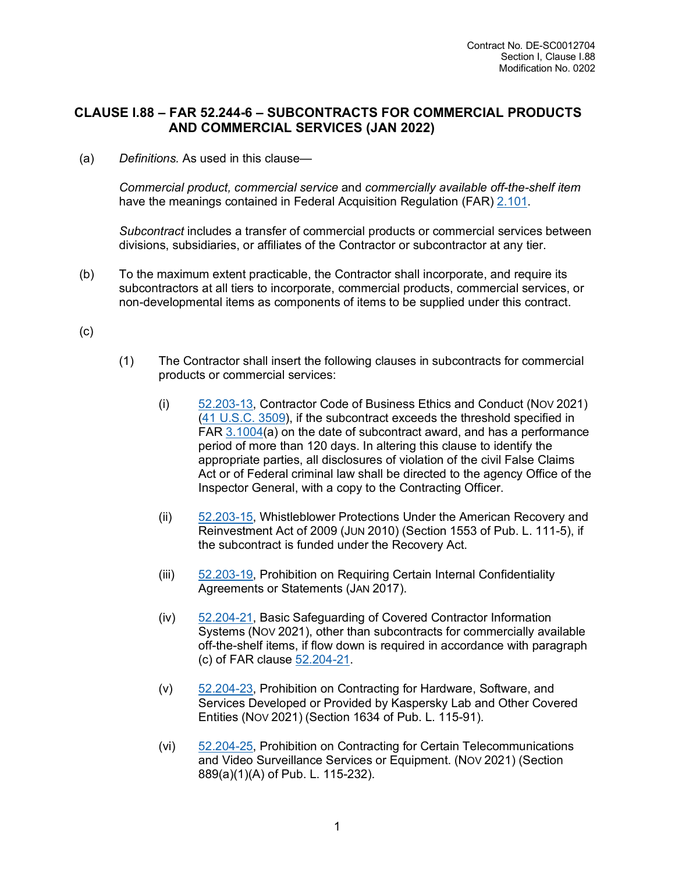#### **CLAUSE I.88 – FAR 52.244-6 – SUBCONTRACTS FOR COMMERCIAL PRODUCTS AND COMMERCIAL SERVICES (JAN 2022)**

(a) *Definitions.* As used in this clause—

*Commercial product, commercial service* and *commercially available off-the-shelf item* have the meanings contained in Federal Acquisition Regulation (FAR) [2.101.](https://www.acquisition.gov/far/part-2#FAR_2_101)

*Subcontract* includes a transfer of commercial products or commercial services between divisions, subsidiaries, or affiliates of the Contractor or subcontractor at any tier.

(b) To the maximum extent practicable, the Contractor shall incorporate, and require its subcontractors at all tiers to incorporate, commercial products, commercial services, or non-developmental items as components of items to be supplied under this contract.

(c)

- (1) The Contractor shall insert the following clauses in subcontracts for commercial products or commercial services:
	- (i) [52.203-13,](https://www.acquisition.gov/far/part-52#FAR_52_203_13) Contractor Code of Business Ethics and Conduct (NOV 2021) (41 [U.S.C.](http://uscode.house.gov/browse.xhtml;jsessionid=114A3287C7B3359E597506A31FC855B3) [3509\)](http://uscode.house.gov/browse.xhtml;jsessionid=114A3287C7B3359E597506A31FC855B3), if the subcontract exceeds the threshold specified in FAR [3.1004\(](https://www.acquisition.gov/far/part-3#FAR_3_1004)a) on the date of subcontract award, and has a performance period of more than 120 days. In altering this clause to identify the appropriate parties, all disclosures of violation of the civil False Claims Act or of Federal criminal law shall be directed to the agency Office of the Inspector General, with a copy to the Contracting Officer.
	- (ii) [52.203-15,](https://www.acquisition.gov/far/part-52#FAR_52_203_15) Whistleblower Protections Under the American Recovery and Reinvestment Act of 2009 (JUN 2010) (Section 1553 of Pub. L. 111-5), if the subcontract is funded under the Recovery Act.
	- (iii) [52.203-19,](https://www.acquisition.gov/far/part-52#FAR_52_203_19) Prohibition on Requiring Certain Internal Confidentiality Agreements or Statements (JAN 2017).
	- (iv) [52.204-21,](https://www.acquisition.gov/far/part-52#FAR_52_204_21) Basic Safeguarding of Covered Contractor Information Systems (NOV 2021), other than subcontracts for commercially available off-the-shelf items, if flow down is required in accordance with paragraph (c) of FAR clause [52.204-21.](https://www.acquisition.gov/far/part-52#FAR_52_204_21)
	- (v) [52.204-23,](https://www.acquisition.gov/far/part-52#FAR_52_204_23) Prohibition on Contracting for Hardware, Software, and Services Developed or Provided by Kaspersky Lab and Other Covered Entities (NOV 2021) (Section 1634 of Pub. L. 115-91).
	- (vi) [52.204-25,](https://www.acquisition.gov/far/part-52#FAR_52_204_25) Prohibition on Contracting for Certain Telecommunications and Video Surveillance Services or Equipment. (NOV 2021) (Section 889(a)(1)(A) of Pub. L. 115-232).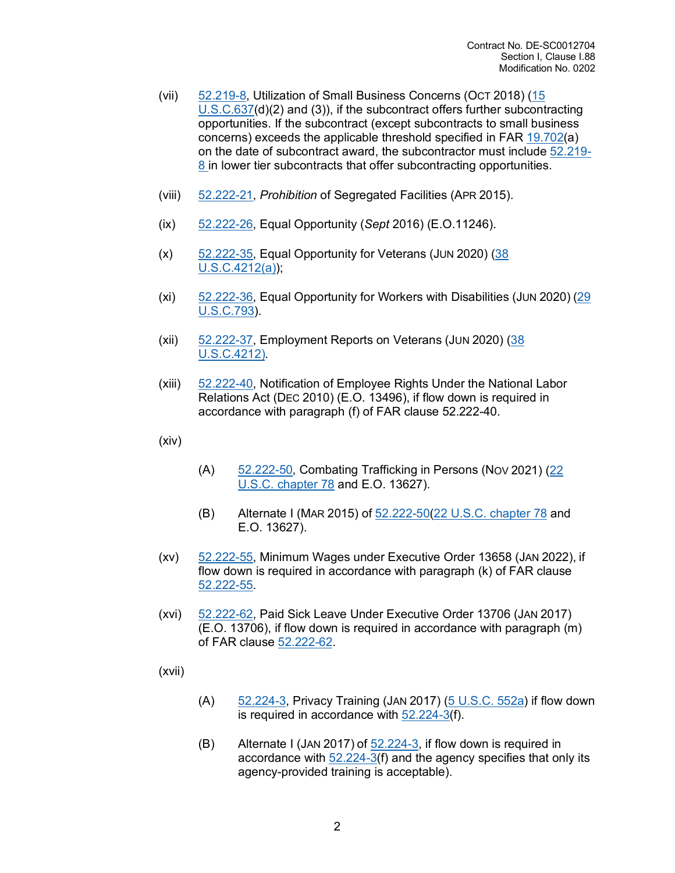- (vii) [52.219-8,](https://www.acquisition.gov/far/part-52#FAR_52_219_8) Utilization of Small Business Concerns (OCT 2018) [\(15](http://uscode.house.gov/view.xhtml?req=granuleid:USC-prelim-title15-section637&num=0&edition=prelim) [U.S.C.637\(](http://uscode.house.gov/view.xhtml?req=granuleid:USC-prelim-title15-section637&num=0&edition=prelim)d)(2) and (3)), if the subcontract offers further subcontracting opportunities. If the subcontract (except subcontracts to small business concerns) exceeds the applicable threshold specified in FAR [19.702\(](https://www.acquisition.gov/far/part-19#FAR_19_702)a) on the date of subcontract award, the subcontractor must include [52.219-](https://www.acquisition.gov/far/part-52#FAR_52_219_8) [8](https://www.acquisition.gov/far/part-52#FAR_52_219_8) in lower tier subcontracts that offer subcontracting opportunities.
- (viii) [52.222-21,](https://www.acquisition.gov/far/part-52#FAR_52_222_21) *Prohibition* of Segregated Facilities (APR 2015).
- (ix) [52.222-26,](https://www.acquisition.gov/far/part-52#FAR_52_222_26) Equal Opportunity (*Sept* 2016) (E.O.11246).
- $(x)$  [52.222-35,](https://www.acquisition.gov/far/part-52#FAR_52_222_35) Equal Opportunity for Veterans (JUN 2020)  $(38)$  $(38)$ [U.S.C.4212\(a\)\)](http://uscode.house.gov/browse.xhtml;jsessionid=114A3287C7B3359E597506A31FC855B3);
- (xi)  $52.222-36$ , Equal Opportunity for Workers with Disabilities (JUN 2020) ( $29$ [U.S.C.793\)](http://uscode.house.gov/browse.xhtml;jsessionid=114A3287C7B3359E597506A31FC855B3).
- (xii) [52.222-37,](https://www.acquisition.gov/far/part-52#FAR_52_222_37) Employment Reports on Veterans (JUN 2020) [\(38](http://uscode.house.gov/browse.xhtml;jsessionid=114A3287C7B3359E597506A31FC855B3) [U.S.C.4212\).](http://uscode.house.gov/browse.xhtml;jsessionid=114A3287C7B3359E597506A31FC855B3)
- (xiii) [52.222-40,](https://www.acquisition.gov/far/part-52#FAR_52_222_40) Notification of Employee Rights Under the National Labor Relations Act (DEC 2010) (E.O. 13496), if flow down is required in accordance with paragraph (f) of FAR clause 52.222-40.
- (xiv)
- (A) [52.222-50,](https://www.acquisition.gov/far/part-52#FAR_52_222_50) Combating Trafficking in Persons (NOV 2021) [\(22](http://uscode.house.gov/browse.xhtml;jsessionid=114A3287C7B3359E597506A31FC855B3) U.S.C. [chapter](http://uscode.house.gov/browse.xhtml;jsessionid=114A3287C7B3359E597506A31FC855B3) 78 and E.O. 13627).
- (B) Alternate I (MAR 2015) of [52.222-50\(](https://www.acquisition.gov/far/part-52#FAR_52_222_50)22 U.S.C. [chapter](http://uscode.house.gov/browse.xhtml;jsessionid=114A3287C7B3359E597506A31FC855B3) [78](http://uscode.house.gov/browse.xhtml;jsessionid=114A3287C7B3359E597506A31FC855B3) and E.O. 13627).
- (xv) [52.222-55,](https://www.acquisition.gov/far/part-52#FAR_52_222_55) Minimum Wages under Executive Order 13658 (JAN 2022), if flow down is required in accordance with paragraph (k) of FAR clause [52.222-55.](https://www.acquisition.gov/far/part-52#FAR_52_222_55)
- (xvi) [52.222-62,](https://www.acquisition.gov/far/part-52#FAR_52_222_62) Paid Sick Leave Under Executive Order 13706 (JAN 2017) (E.O. 13706), if flow down is required in accordance with paragraph (m) of FAR clause [52.222-62.](https://www.acquisition.gov/far/part-52#FAR_52_222_62)

(xvii)

- (A)  $52.224-3$ , Privacy Training (JAN 2017) ( $5 \text{ U.S.C. } 552a$  $5 \text{ U.S.C. } 552a$  $5 \text{ U.S.C. } 552a$ ) if flow down is required in accordance with [52.224-3\(](https://www.acquisition.gov/far/part-52#FAR_52_224_3)f).
- (B) Alternate I (JAN 2017) of [52.224-3,](https://www.acquisition.gov/far/part-52#FAR_52_224_3) if flow down is required in accordance with [52.224-3\(](https://www.acquisition.gov/far/part-52#FAR_52_224_3)f) and the agency specifies that only its agency-provided training is acceptable).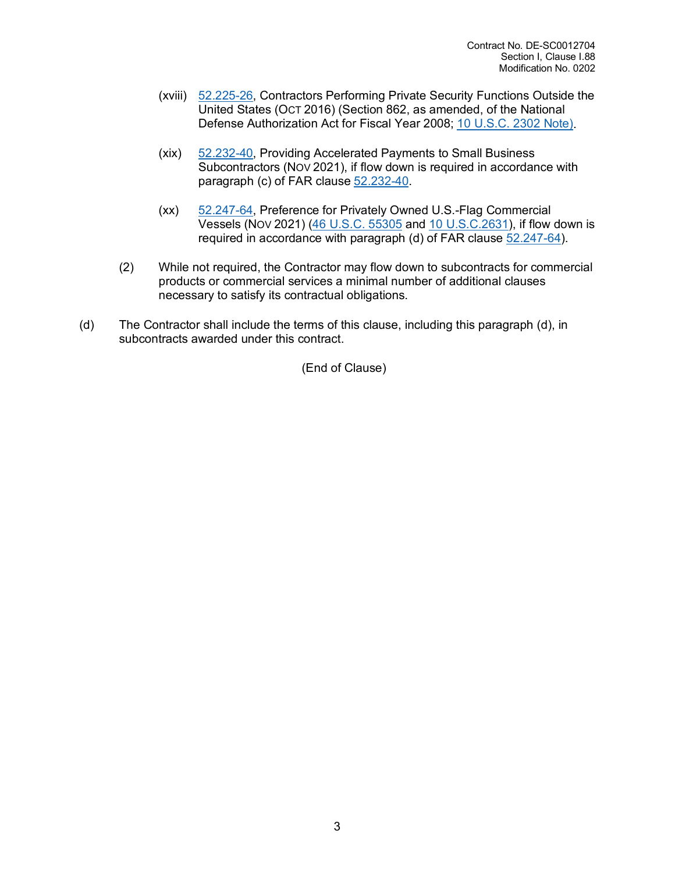- (xviii) [52.225-26,](https://www.acquisition.gov/far/part-52#FAR_52_225_26) Contractors Performing Private Security Functions Outside the United States (OCT 2016) (Section 862, as amended, of the National Defense Authorization Act for Fiscal Year 2008; 10 [U.S.C.](http://uscode.house.gov/browse.xhtml;jsessionid=114A3287C7B3359E597506A31FC855B3) 2302 [Note\).](http://uscode.house.gov/browse.xhtml;jsessionid=114A3287C7B3359E597506A31FC855B3)
- (xix) [52.232-40,](https://www.acquisition.gov/far/part-52#FAR_52_232_40) Providing Accelerated Payments to Small Business Subcontractors (NOV 2021), if flow down is required in accordance with paragraph (c) of FAR clause [52.232-40.](https://www.acquisition.gov/far/part-52#FAR_52_232_40)
- (xx) [52.247-64,](https://www.acquisition.gov/far/part-52#FAR_52_247_64) Preference for Privately Owned U.S.-Flag Commercial Vessels (NOV 2021) (46 [U.S.C.](https://www.govinfo.gov/content/pkg/USCODE-2019-title46/html/USCODE-2019-title46-subtitleV-partD-chap553-subchapI-sec55305.htm) [55305](https://www.govinfo.gov/content/pkg/USCODE-2019-title46/html/USCODE-2019-title46-subtitleV-partD-chap553-subchapI-sec55305.htm) and [10](http://uscode.house.gov/browse.xhtml;jsessionid=114A3287C7B3359E597506A31FC855B3) [U.S.C.2631\)](http://uscode.house.gov/browse.xhtml;jsessionid=114A3287C7B3359E597506A31FC855B3), if flow down is required in accordance with paragraph (d) of FAR clause [52.247-64\)](https://www.acquisition.gov/far/part-52#FAR_52_247_64).
- (2) While not required, the Contractor may flow down to subcontracts for commercial products or commercial services a minimal number of additional clauses necessary to satisfy its contractual obligations.
- (d) The Contractor shall include the terms of this clause, including this paragraph (d), in subcontracts awarded under this contract.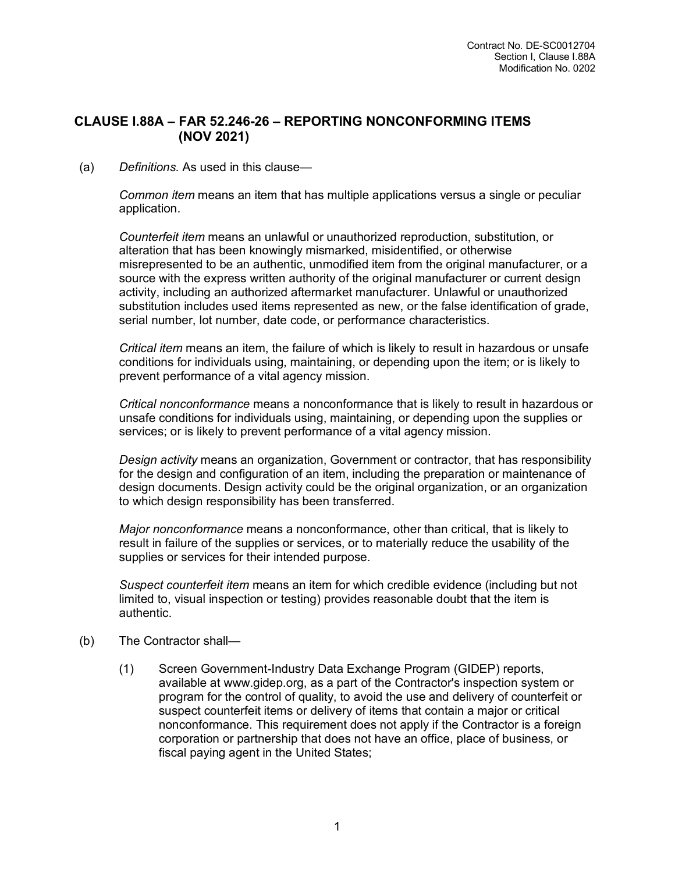### **CLAUSE I.88A – FAR 52.246-26 – REPORTING NONCONFORMING ITEMS (NOV 2021)**

(a) *Definitions.* As used in this clause—

*Common item* means an item that has multiple applications versus a single or peculiar application.

*Counterfeit item* means an unlawful or unauthorized reproduction, substitution, or alteration that has been knowingly mismarked, misidentified, or otherwise misrepresented to be an authentic, unmodified item from the original manufacturer, or a source with the express written authority of the original manufacturer or current design activity, including an authorized aftermarket manufacturer. Unlawful or unauthorized substitution includes used items represented as new, or the false identification of grade, serial number, lot number, date code, or performance characteristics.

*Critical item* means an item, the failure of which is likely to result in hazardous or unsafe conditions for individuals using, maintaining, or depending upon the item; or is likely to prevent performance of a vital agency mission.

*Critical nonconformance* means a nonconformance that is likely to result in hazardous or unsafe conditions for individuals using, maintaining, or depending upon the supplies or services; or is likely to prevent performance of a vital agency mission.

*Design activity* means an organization, Government or contractor, that has responsibility for the design and configuration of an item, including the preparation or maintenance of design documents. Design activity could be the original organization, or an organization to which design responsibility has been transferred.

*Major nonconformance* means a nonconformance, other than critical, that is likely to result in failure of the supplies or services, or to materially reduce the usability of the supplies or services for their intended purpose.

*Suspect counterfeit item* means an item for which credible evidence (including but not limited to, visual inspection or testing) provides reasonable doubt that the item is authentic.

- (b) The Contractor shall—
	- (1) Screen Government-Industry Data Exchange Program (GIDEP) reports, available at [www.gidep.org,](http://www.gidep.org/) as a part of the Contractor's inspection system or program for the control of quality, to avoid the use and delivery of counterfeit or suspect counterfeit items or delivery of items that contain a major or critical nonconformance. This requirement does not apply if the Contractor is a foreign corporation or partnership that does not have an office, place of business, or fiscal paying agent in the United States;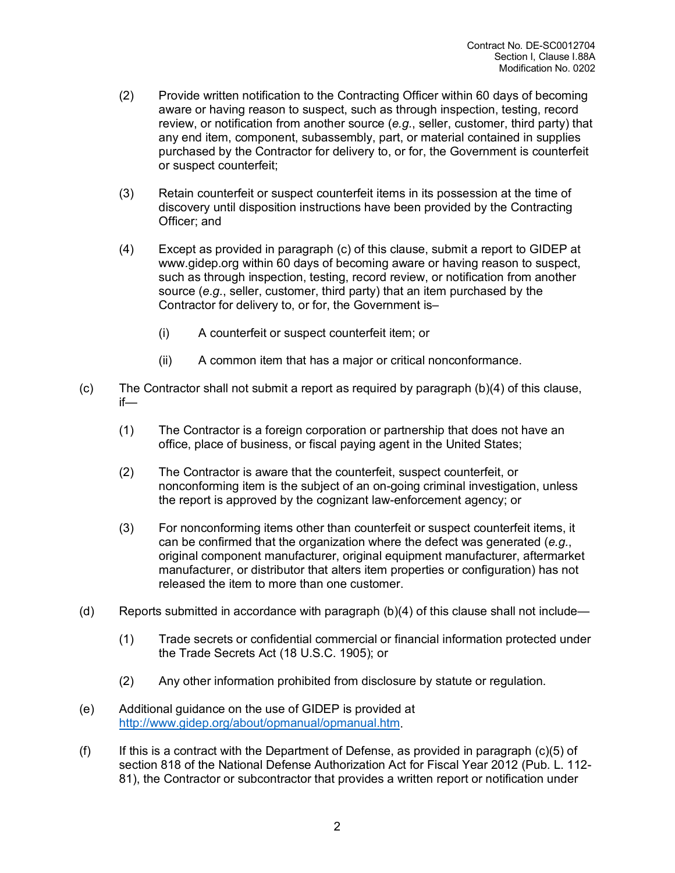- (2) Provide written notification to the Contracting Officer within 60 days of becoming aware or having reason to suspect, such as through inspection, testing, record review, or notification from another source (*e.g.*, seller, customer, third party) that any end item, component, subassembly, part, or material contained in supplies purchased by the Contractor for delivery to, or for, the Government is counterfeit or suspect counterfeit;
- (3) Retain counterfeit or suspect counterfeit items in its possession at the time of discovery until disposition instructions have been provided by the Contracting Officer; and
- (4) Except as provided in paragraph (c) of this clause, submit a report to GIDEP at [www.gidep.org](http://www.gidep.org/) within 60 days of becoming aware or having reason to suspect, such as through inspection, testing, record review, or notification from another source (*e.g.*, seller, customer, third party) that an item purchased by the Contractor for delivery to, or for, the Government is–
	- (i) A counterfeit or suspect counterfeit item; or
	- (ii) A common item that has a major or critical nonconformance.
- $(c)$  The Contractor shall not submit a report as required by paragraph  $(b)(4)$  of this clause, if—
	- (1) The Contractor is a foreign corporation or partnership that does not have an office, place of business, or fiscal paying agent in the United States;
	- (2) The Contractor is aware that the counterfeit, suspect counterfeit, or nonconforming item is the subject of an on-going criminal investigation, unless the report is approved by the cognizant law-enforcement agency; or
	- (3) For nonconforming items other than counterfeit or suspect counterfeit items, it can be confirmed that the organization where the defect was generated (*e.g.*, original component manufacturer, original equipment manufacturer, aftermarket manufacturer, or distributor that alters item properties or configuration) has not released the item to more than one customer.
- (d) Reports submitted in accordance with paragraph (b)(4) of this clause shall not include—
	- (1) Trade secrets or confidential commercial or financial information protected under the Trade Secrets Act [\(18 U.S.C. 1905\)](https://uscode.house.gov/view.xhtml?req=granuleid:USC-prelim-title18-section1905&num=0&edition=prelim); or
	- (2) Any other information prohibited from disclosure by statute or regulation.
- (e) Additional guidance on the use of GIDEP is provided at [http://www.gidep.org/about/opmanual/opmanual.htm.](http://www.gidep.org/about/opmanual/opmanual.htm)
- (f) If this is a contract with the Department of Defense, as provided in paragraph  $(c)(5)$  of section 818 of the National Defense Authorization Act for Fiscal Year 2012 (Pub. L. 112- 81), the Contractor or subcontractor that provides a written report or notification under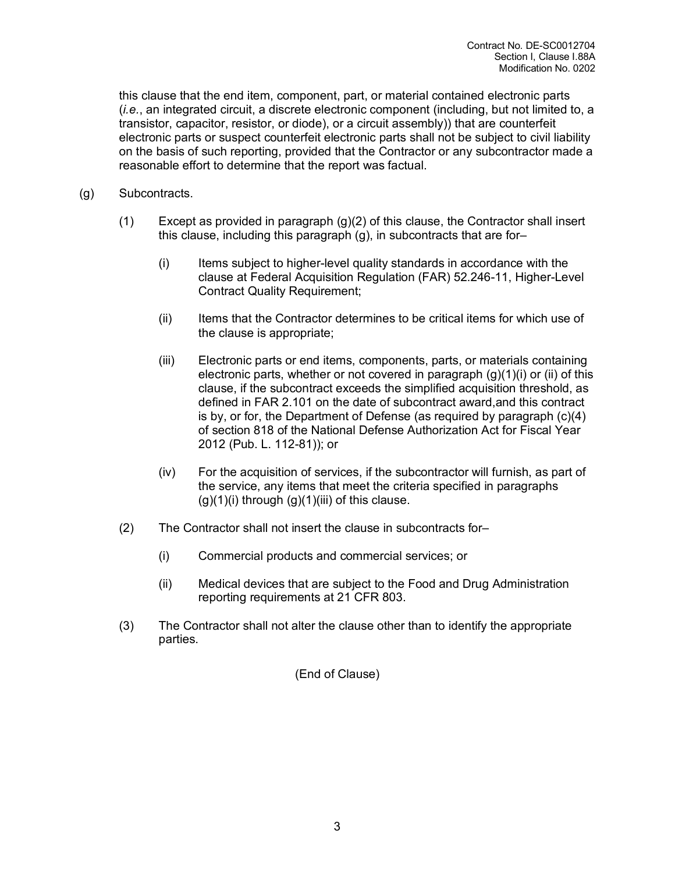this clause that the end item, component, part, or material contained electronic parts (*i.e.*, an integrated circuit, a discrete electronic component (including, but not limited to, a transistor, capacitor, resistor, or diode), or a circuit assembly)) that are counterfeit electronic parts or suspect counterfeit electronic parts shall not be subject to civil liability on the basis of such reporting, provided that the Contractor or any subcontractor made a reasonable effort to determine that the report was factual.

- (g) Subcontracts.
	- (1) Except as provided in paragraph (g)(2) of this clause, the Contractor shall insert this clause, including this paragraph (g), in subcontracts that are for–
		- (i) Items subject to higher-level quality standards in accordance with the clause at Federal Acquisition Regulation (FAR) 52.246-11, Higher-Level Contract Quality Requirement;
		- (ii) Items that the Contractor determines to be critical items for which use of the clause is appropriate;
		- (iii) Electronic parts or end items, components, parts, or materials containing electronic parts, whether or not covered in paragraph  $(g)(1)(i)$  or  $(ii)$  of this clause, if the subcontract exceeds the simplified acquisition threshold, as defined in FAR 2.101 on the date of subcontract award,and this contract is by, or for, the Department of Defense (as required by paragraph (c)(4) of section 818 of the National Defense Authorization Act for Fiscal Year 2012 (Pub. L. 112-81)); or
		- (iv) For the acquisition of services, if the subcontractor will furnish, as part of the service, any items that meet the criteria specified in paragraphs  $(g)(1)(i)$  through  $(g)(1)(iii)$  of this clause.
	- (2) The Contractor shall not insert the clause in subcontracts for–
		- (i) Commercial products and commercial services; or
		- (ii) Medical devices that are subject to the Food and Drug Administration reporting requirements at 21 CFR 803.
	- (3) The Contractor shall not alter the clause other than to identify the appropriate parties.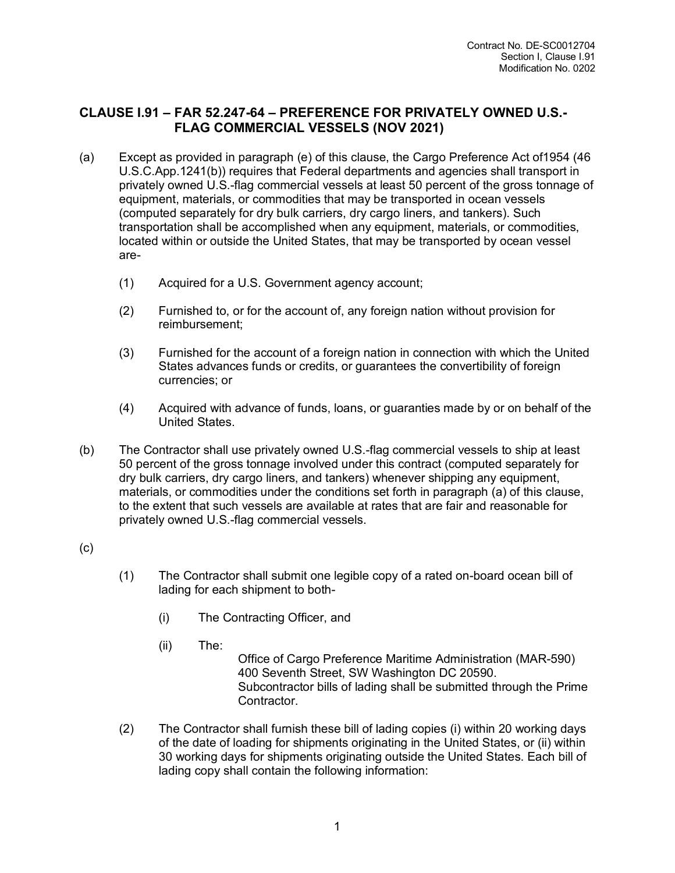### **CLAUSE I.91 – FAR 52.247-64 – PREFERENCE FOR PRIVATELY OWNED U.S.- FLAG COMMERCIAL VESSELS (NOV 2021)**

- (a) Except as provided in paragraph (e) of this clause, the Cargo Preference Act of1954 [\(46](http://uscode.house.gov/browse.xhtml;jsessionid=114A3287C7B3359E597506A31FC855B3)  [U.S.C.App.1241\(b\)\)](http://uscode.house.gov/browse.xhtml;jsessionid=114A3287C7B3359E597506A31FC855B3) requires that Federal departments and agencies shall transport in privately owned U.S.-flag commercial vessels at least 50 percent of the gross tonnage of equipment, materials, or commodities that may be transported in ocean vessels (computed separately for dry bulk carriers, dry cargo liners, and tankers). Such transportation shall be accomplished when any equipment, materials, or commodities, located within or outside the United States, that may be transported by ocean vessel are-
	- (1) Acquired for a U.S. Government agency account;
	- (2) Furnished to, or for the account of, any foreign nation without provision for reimbursement;
	- (3) Furnished for the account of a foreign nation in connection with which the United States advances funds or credits, or guarantees the convertibility of foreign currencies; or
	- (4) Acquired with advance of funds, loans, or guaranties made by or on behalf of the United States.
- (b) The Contractor shall use privately owned U.S.-flag commercial vessels to ship at least 50 percent of the gross tonnage involved under this contract (computed separately for dry bulk carriers, dry cargo liners, and tankers) whenever shipping any equipment, materials, or commodities under the conditions set forth in paragraph (a) of this clause, to the extent that such vessels are available at rates that are fair and reasonable for privately owned U.S.-flag commercial vessels.
- (c)
- (1) The Contractor shall submit one legible copy of a rated on-board ocean bill of lading for each shipment to both-
	- (i) The Contracting Officer, and
	- (ii) The:
		- Office of Cargo Preference Maritime Administration (MAR-590) 400 Seventh Street, SW Washington DC 20590. Subcontractor bills of lading shall be submitted through the Prime Contractor.
- (2) The Contractor shall furnish these bill of lading copies (i) within 20 working days of the date of loading for shipments originating in the United States, or (ii) within 30 working days for shipments originating outside the United States. Each bill of lading copy shall contain the following information: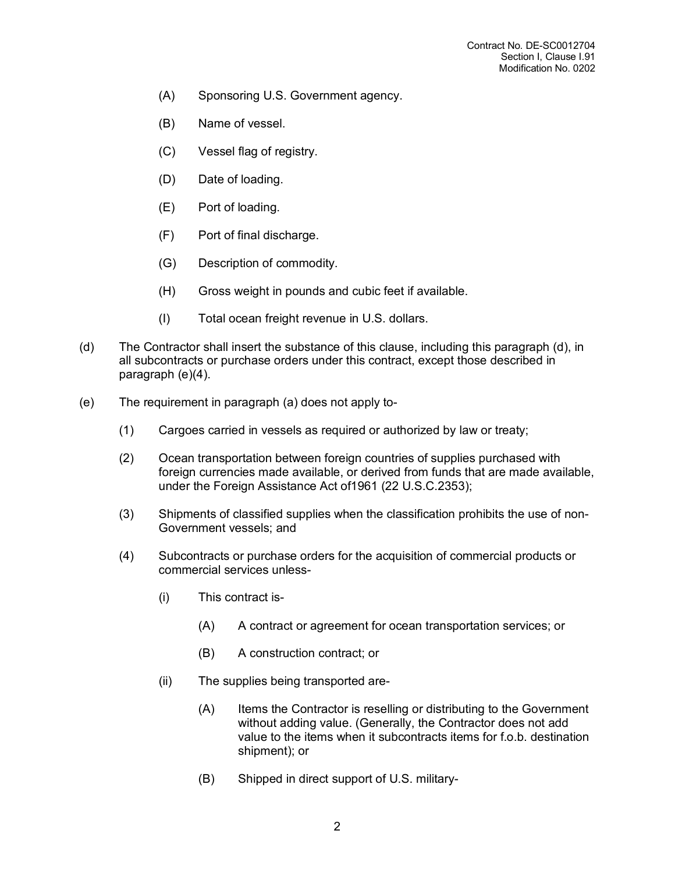- (A) Sponsoring U.S. Government agency.
- (B) Name of vessel.
- (C) Vessel flag of registry.
- (D) Date of loading.
- (E) Port of loading.
- (F) Port of final discharge.
- (G) Description of commodity.
- (H) Gross weight in pounds and cubic feet if available.
- (I) Total ocean freight revenue in U.S. dollars.
- (d) The Contractor shall insert the substance of this clause, including this paragraph (d), in all subcontracts or purchase orders under this contract, except those described in paragraph (e)(4).
- (e) The requirement in paragraph (a) does not apply to-
	- (1) Cargoes carried in vessels as required or authorized by law or treaty;
	- (2) Ocean transportation between foreign countries of supplies purchased with foreign currencies made available, or derived from funds that are made available, under the Foreign Assistance Act of1961 [\(22 U.S.C.2353\)](http://uscode.house.gov/browse.xhtml;jsessionid=114A3287C7B3359E597506A31FC855B3);
	- (3) Shipments of classified supplies when the classification prohibits the use of non-Government vessels; and
	- (4) Subcontracts or purchase orders for the acquisition of commercial products or commercial services unless-
		- (i) This contract is-
			- (A) A contract or agreement for ocean transportation services; or
			- (B) A construction contract; or
		- (ii) The supplies being transported are-
			- (A) Items the Contractor is reselling or distributing to the Government without adding value. (Generally, the Contractor does not add value to the items when it subcontracts items for f.o.b. destination shipment); or
			- (B) Shipped in direct support of U.S. military-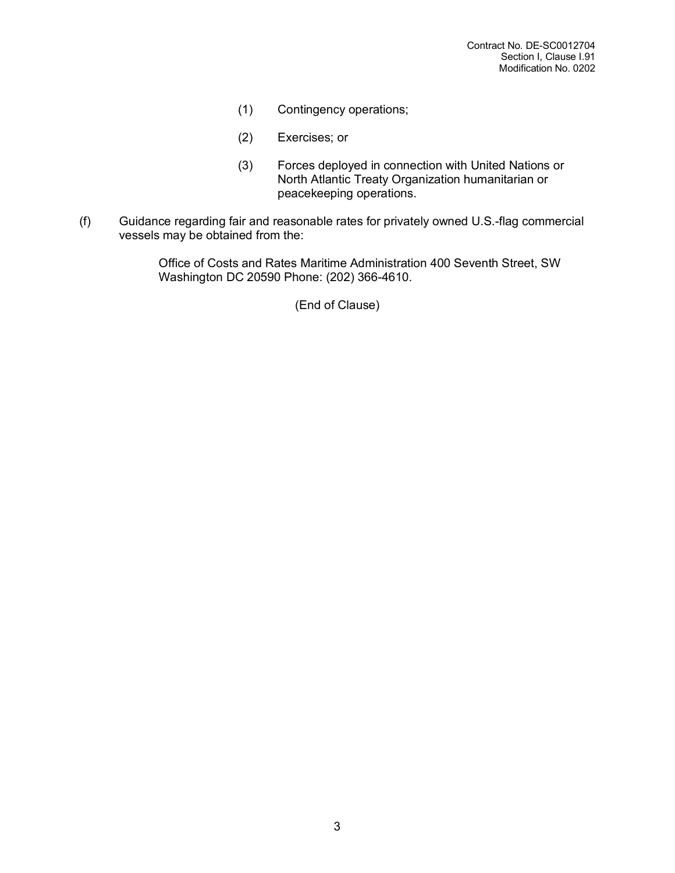- (1) Contingency operations;
- (2) Exercises; or
- (3) Forces deployed in connection with United Nations or North Atlantic Treaty Organization humanitarian or peacekeeping operations.
- (f) Guidance regarding fair and reasonable rates for privately owned U.S.-flag commercial vessels may be obtained from the:

Office of Costs and Rates Maritime Administration 400 Seventh Street, SW Washington DC 20590 Phone: (202) 366-4610.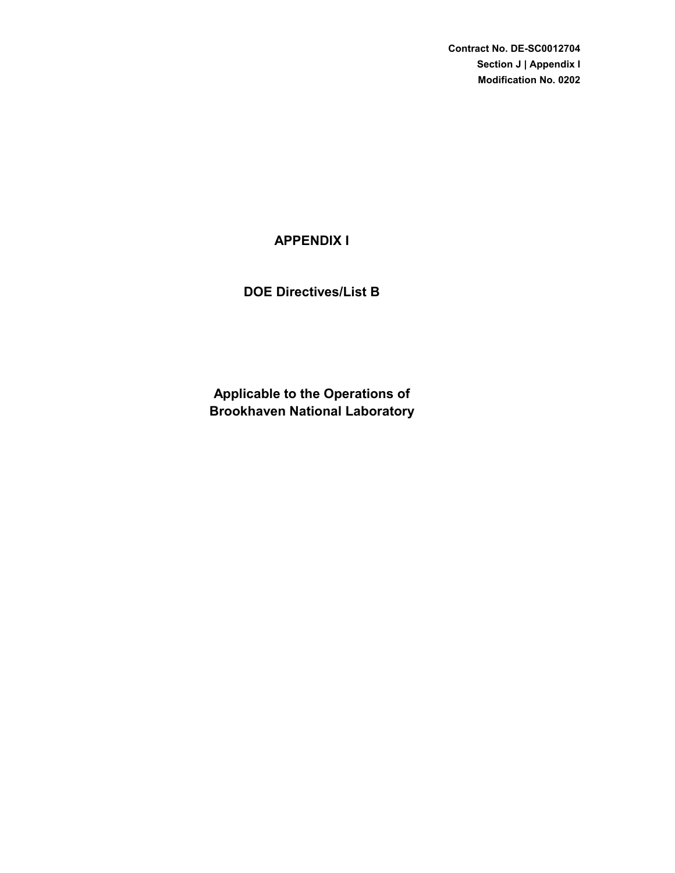**Contract No. DE-SC0012704 Section J | Appendix I Modification No. 0202**

# **APPENDIX I**

# **DOE Directives/List B**

**Brookhaven National Laboratory Applicable to the Operations of**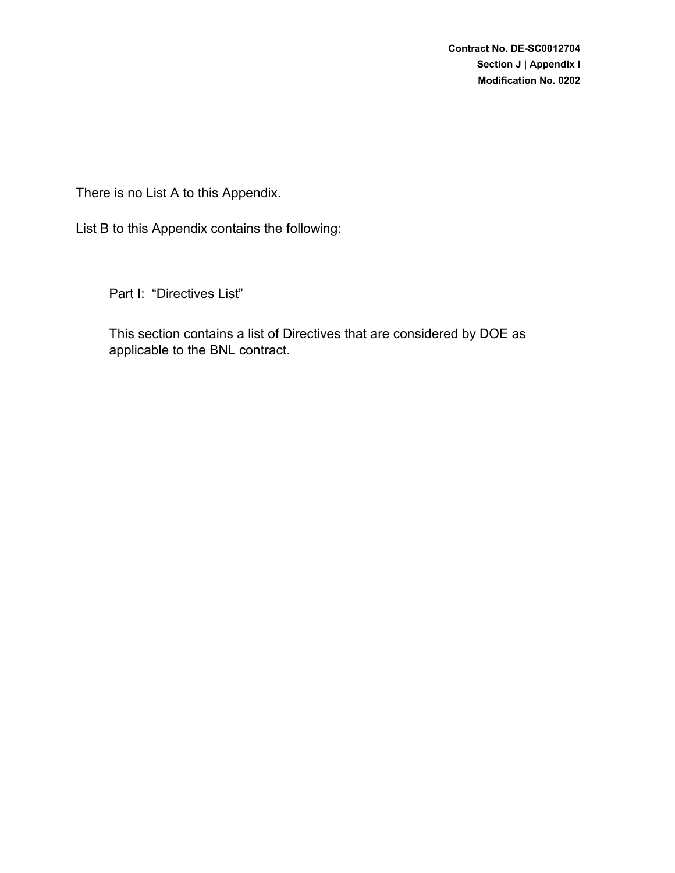There is no List A to this Appendix.

List B to this Appendix contains the following:

Part I: "Directives List"

This section contains a list of Directives that are considered by DOE as applicable to the BNL contract.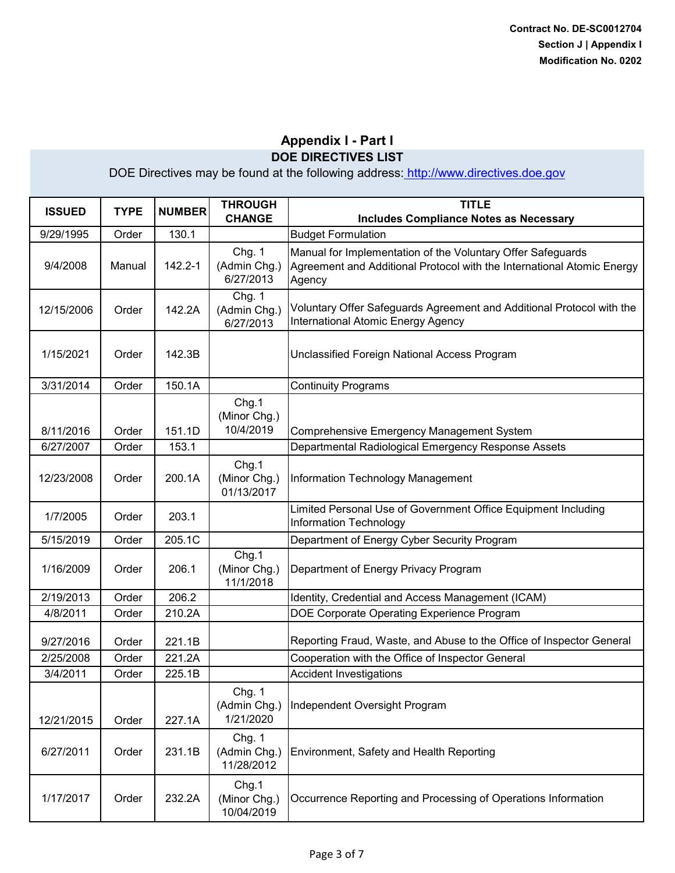| <b>ISSUED</b> | <b>TYPE</b> | <b>NUMBER</b> | <b>THROUGH</b><br><b>CHANGE</b>      | <b>TITLE</b><br><b>Includes Compliance Notes as Necessary</b>                                                                                   |
|---------------|-------------|---------------|--------------------------------------|-------------------------------------------------------------------------------------------------------------------------------------------------|
| 9/29/1995     | Order       | 130.1         |                                      | <b>Budget Formulation</b>                                                                                                                       |
| 9/4/2008      | Manual      | 142.2-1       | Chg. 1<br>(Admin Chg.)<br>6/27/2013  | Manual for Implementation of the Voluntary Offer Safeguards<br>Agreement and Additional Protocol with the International Atomic Energy<br>Agency |
| 12/15/2006    | Order       | 142.2A        | Chg. 1<br>(Admin Chg.)<br>6/27/2013  | Voluntary Offer Safeguards Agreement and Additional Protocol with the<br>International Atomic Energy Agency                                     |
| 1/15/2021     | Order       | 142.3B        |                                      | Unclassified Foreign National Access Program                                                                                                    |
| 3/31/2014     | Order       | 150.1A        |                                      | <b>Continuity Programs</b>                                                                                                                      |
| 8/11/2016     | Order       | 151.1D        | Chg.1<br>(Minor Chg.)<br>10/4/2019   | <b>Comprehensive Emergency Management System</b>                                                                                                |
| 6/27/2007     | Order       | 153.1         |                                      | Departmental Radiological Emergency Response Assets                                                                                             |
| 12/23/2008    | Order       | 200.1A        | Chg.1<br>(Minor Chg.)<br>01/13/2017  | Information Technology Management                                                                                                               |
| 1/7/2005      | Order       | 203.1         |                                      | Limited Personal Use of Government Office Equipment Including<br>Information Technology                                                         |
| 5/15/2019     | Order       | 205.1C        |                                      | Department of Energy Cyber Security Program                                                                                                     |
| 1/16/2009     | Order       | 206.1         | Chg.1<br>(Minor Chg.)<br>11/1/2018   | Department of Energy Privacy Program                                                                                                            |
| 2/19/2013     | Order       | 206.2         |                                      | Identity, Credential and Access Management (ICAM)                                                                                               |
| 4/8/2011      | Order       | 210.2A        |                                      | DOE Corporate Operating Experience Program                                                                                                      |
| 9/27/2016     | Order       | 221.1B        |                                      | Reporting Fraud, Waste, and Abuse to the Office of Inspector General                                                                            |
| 2/25/2008     | Order       | 221.2A        |                                      | Cooperation with the Office of Inspector General                                                                                                |
| 3/4/2011      | Order       | 225.1B        |                                      | <b>Accident Investigations</b>                                                                                                                  |
| 12/21/2015    | Order       | 227.1A        | Chg. 1<br>(Admin Chg.)<br>1/21/2020  | Independent Oversight Program                                                                                                                   |
| 6/27/2011     | Order       | 231.1B        | Chg. 1<br>(Admin Chg.)<br>11/28/2012 | Environment, Safety and Health Reporting                                                                                                        |
| 1/17/2017     | Order       | 232.2A        | Chg.1<br>(Minor Chg.)<br>10/04/2019  | Occurrence Reporting and Processing of Operations Information                                                                                   |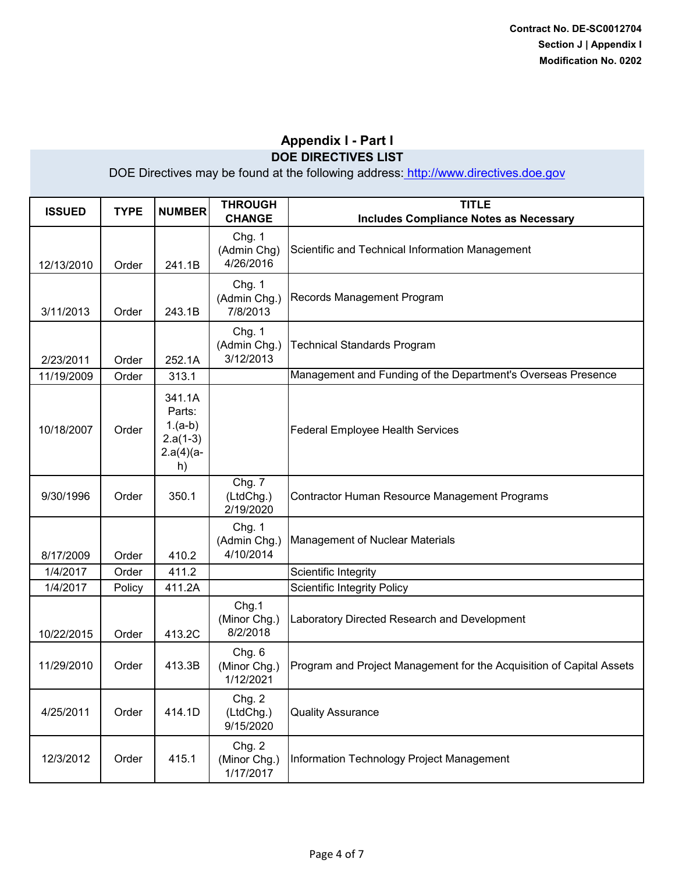| <b>ISSUED</b> | <b>TYPE</b> | <b>NUMBER</b>                                                    | <b>THROUGH</b><br><b>CHANGE</b>     | <b>TITLE</b><br><b>Includes Compliance Notes as Necessary</b>        |
|---------------|-------------|------------------------------------------------------------------|-------------------------------------|----------------------------------------------------------------------|
| 12/13/2010    | Order       | 241.1B                                                           | Chg. 1<br>(Admin Chg)<br>4/26/2016  | Scientific and Technical Information Management                      |
| 3/11/2013     | Order       | 243.1B                                                           | Chg. 1<br>(Admin Chg.)<br>7/8/2013  | Records Management Program                                           |
| 2/23/2011     | Order       | 252.1A                                                           | Chg. 1<br>(Admin Chg.)<br>3/12/2013 | <b>Technical Standards Program</b>                                   |
| 11/19/2009    | Order       | 313.1                                                            |                                     | Management and Funding of the Department's Overseas Presence         |
| 10/18/2007    | Order       | 341.1A<br>Parts:<br>$1.(a-b)$<br>$2.a(1-3)$<br>$2.a(4)(a-$<br>h) |                                     | <b>Federal Employee Health Services</b>                              |
| 9/30/1996     | Order       | 350.1                                                            | Chg. 7<br>(LtdChg.)<br>2/19/2020    | <b>Contractor Human Resource Management Programs</b>                 |
| 8/17/2009     | Order       | 410.2                                                            | Chg. 1<br>(Admin Chg.)<br>4/10/2014 | <b>Management of Nuclear Materials</b>                               |
| 1/4/2017      | Order       | 411.2                                                            |                                     | Scientific Integrity                                                 |
| 1/4/2017      | Policy      | 411.2A                                                           |                                     | <b>Scientific Integrity Policy</b>                                   |
| 10/22/2015    | Order       | 413.2C                                                           | Chg.1<br>(Minor Chg.)<br>8/2/2018   | Laboratory Directed Research and Development                         |
| 11/29/2010    | Order       | 413.3B                                                           | Chg. 6<br>(Minor Chg.)<br>1/12/2021 | Program and Project Management for the Acquisition of Capital Assets |
| 4/25/2011     | Order       | 414.1D                                                           | Chg. 2<br>(LtdChg.)<br>9/15/2020    | <b>Quality Assurance</b>                                             |
| 12/3/2012     | Order       | 415.1                                                            | Chg. 2<br>(Minor Chg.)<br>1/17/2017 | Information Technology Project Management                            |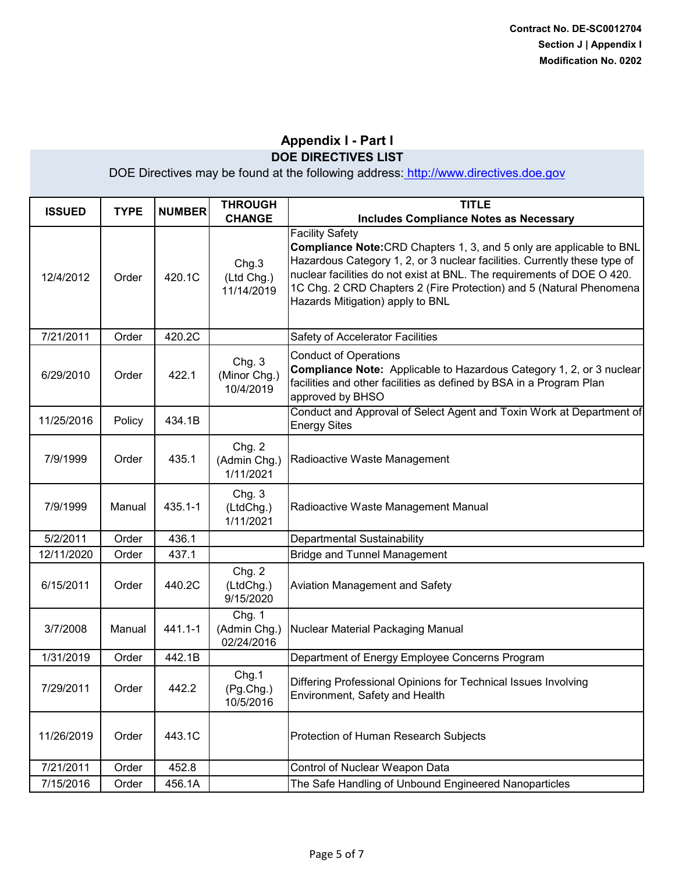| <b>ISSUED</b> | <b>TYPE</b> | <b>NUMBER</b> | <b>THROUGH</b><br><b>CHANGE</b>      | <b>TITLE</b><br><b>Includes Compliance Notes as Necessary</b>                                                                                                                                                                                                                                                                                                    |
|---------------|-------------|---------------|--------------------------------------|------------------------------------------------------------------------------------------------------------------------------------------------------------------------------------------------------------------------------------------------------------------------------------------------------------------------------------------------------------------|
| 12/4/2012     | Order       | 420.1C        | Chg.3<br>(Ltd Chg.)<br>11/14/2019    | <b>Facility Safety</b><br>Compliance Note: CRD Chapters 1, 3, and 5 only are applicable to BNL<br>Hazardous Category 1, 2, or 3 nuclear facilities. Currently these type of<br>nuclear facilities do not exist at BNL. The requirements of DOE O 420.<br>1C Chg. 2 CRD Chapters 2 (Fire Protection) and 5 (Natural Phenomena<br>Hazards Mitigation) apply to BNL |
| 7/21/2011     | Order       | 420.2C        |                                      | Safety of Accelerator Facilities                                                                                                                                                                                                                                                                                                                                 |
| 6/29/2010     | Order       | 422.1         | Chg.3<br>(Minor Chg.)<br>10/4/2019   | <b>Conduct of Operations</b><br><b>Compliance Note:</b> Applicable to Hazardous Category 1, 2, or 3 nuclear<br>facilities and other facilities as defined by BSA in a Program Plan<br>approved by BHSO                                                                                                                                                           |
| 11/25/2016    | Policy      | 434.1B        |                                      | Conduct and Approval of Select Agent and Toxin Work at Department of<br><b>Energy Sites</b>                                                                                                                                                                                                                                                                      |
| 7/9/1999      | Order       | 435.1         | Chg. 2<br>(Admin Chg.)<br>1/11/2021  | Radioactive Waste Management                                                                                                                                                                                                                                                                                                                                     |
| 7/9/1999      | Manual      | 435.1-1       | Chg. 3<br>(LtdChg.)<br>1/11/2021     | Radioactive Waste Management Manual                                                                                                                                                                                                                                                                                                                              |
| 5/2/2011      | Order       | 436.1         |                                      | Departmental Sustainability                                                                                                                                                                                                                                                                                                                                      |
| 12/11/2020    | Order       | 437.1         |                                      | <b>Bridge and Tunnel Management</b>                                                                                                                                                                                                                                                                                                                              |
| 6/15/2011     | Order       | 440.2C        | Chg. 2<br>(LtdChg.)<br>9/15/2020     | <b>Aviation Management and Safety</b>                                                                                                                                                                                                                                                                                                                            |
| 3/7/2008      | Manual      | 441.1-1       | Chg. 1<br>(Admin Chg.)<br>02/24/2016 | Nuclear Material Packaging Manual                                                                                                                                                                                                                                                                                                                                |
| 1/31/2019     | Order       | 442.1B        |                                      | Department of Energy Employee Concerns Program                                                                                                                                                                                                                                                                                                                   |
| 7/29/2011     | Order       | 442.2         | Chg.1<br>(Pg.Chg.)<br>10/5/2016      | Differing Professional Opinions for Technical Issues Involving<br>Environment, Safety and Health                                                                                                                                                                                                                                                                 |
| 11/26/2019    | Order       | 443.1C        |                                      | Protection of Human Research Subjects                                                                                                                                                                                                                                                                                                                            |
| 7/21/2011     | Order       | 452.8         |                                      | Control of Nuclear Weapon Data                                                                                                                                                                                                                                                                                                                                   |
| 7/15/2016     | Order       | 456.1A        |                                      | The Safe Handling of Unbound Engineered Nanoparticles                                                                                                                                                                                                                                                                                                            |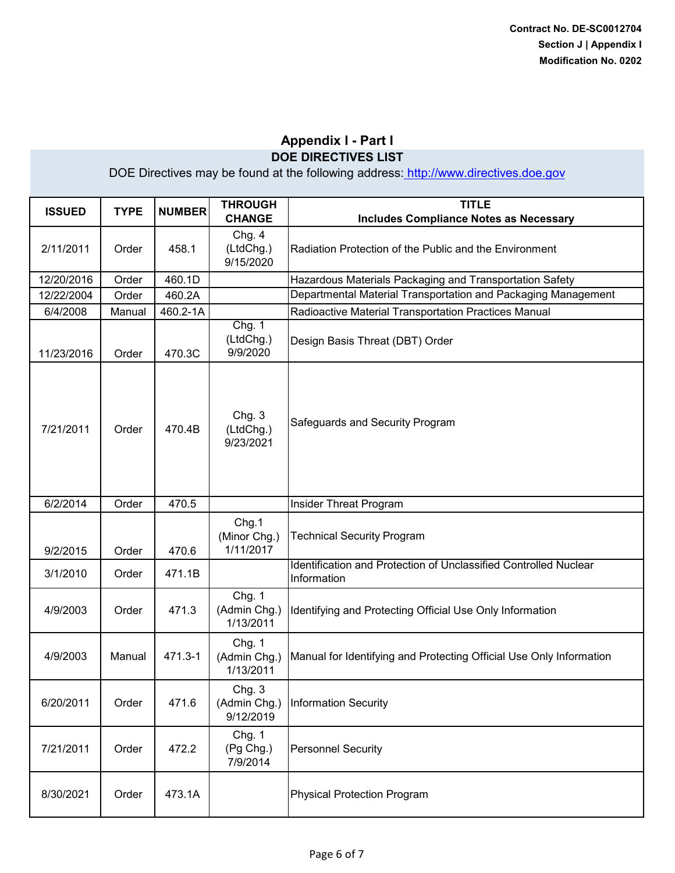| <b>ISSUED</b> | <b>TYPE</b> | <b>NUMBER</b> | <b>THROUGH</b><br><b>CHANGE</b>     | <b>TITLE</b><br><b>Includes Compliance Notes as Necessary</b>                   |
|---------------|-------------|---------------|-------------------------------------|---------------------------------------------------------------------------------|
| 2/11/2011     | Order       | 458.1         | Chg. 4<br>(LtdChg.)<br>9/15/2020    | Radiation Protection of the Public and the Environment                          |
| 12/20/2016    | Order       | 460.1D        |                                     | Hazardous Materials Packaging and Transportation Safety                         |
| 12/22/2004    | Order       | 460.2A        |                                     | Departmental Material Transportation and Packaging Management                   |
| 6/4/2008      | Manual      | 460.2-1A      |                                     | Radioactive Material Transportation Practices Manual                            |
| 11/23/2016    | Order       | 470.3C        | Chg. 1<br>(LtdChg.)<br>9/9/2020     | Design Basis Threat (DBT) Order                                                 |
| 7/21/2011     | Order       | 470.4B        | Chg.3<br>(LtdChg.)<br>9/23/2021     | Safeguards and Security Program                                                 |
| 6/2/2014      | Order       | 470.5         |                                     | Insider Threat Program                                                          |
| 9/2/2015      | Order       | 470.6         | Chg.1<br>(Minor Chg.)<br>1/11/2017  | <b>Technical Security Program</b>                                               |
| 3/1/2010      | Order       | 471.1B        |                                     | Identification and Protection of Unclassified Controlled Nuclear<br>Information |
| 4/9/2003      | Order       | 471.3         | Chg. 1<br>(Admin Chg.)<br>1/13/2011 | Identifying and Protecting Official Use Only Information                        |
| 4/9/2003      | Manual      | 471.3-1       | Chg. 1<br>(Admin Chg.)<br>1/13/2011 | Manual for Identifying and Protecting Official Use Only Information             |
| 6/20/2011     | Order       | 471.6         | Chg. 3<br>(Admin Chg.)<br>9/12/2019 | <b>Information Security</b>                                                     |
| 7/21/2011     | Order       | 472.2         | Chg. 1<br>(Pg Chg.)<br>7/9/2014     | <b>Personnel Security</b>                                                       |
| 8/30/2021     | Order       | 473.1A        |                                     | <b>Physical Protection Program</b>                                              |